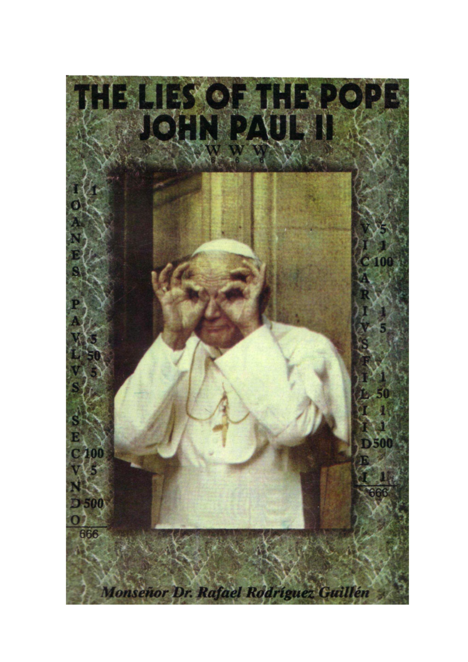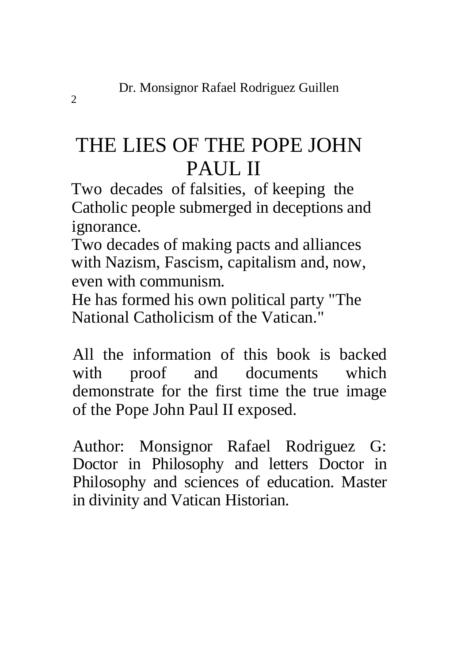# THE LIES OF THE POPE JOHN PAUL II

Two decades of falsities, of keeping the Catholic people submerged in deceptions and ignorance.

Two decades of making pacts and alliances with Nazism, Fascism, capitalism and, now, even with communism.

He has formed his own political party "The National Catholicism of the Vatican."

All the information of this book is backed with proof and documents which demonstrate for the first time the true image of the Pope John Paul II exposed.

Author: Monsignor Rafael Rodriguez G: Doctor in Philosophy and letters Doctor in Philosophy and sciences of education. Master in divinity and Vatican Historian.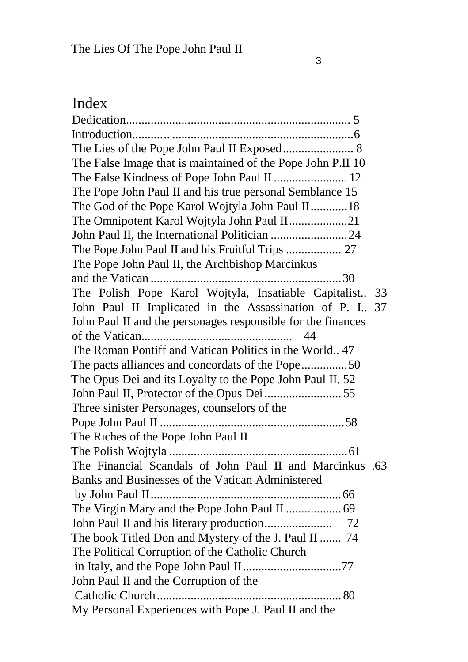## Index

| The Lies of the Pope John Paul II Exposed 8                  |    |
|--------------------------------------------------------------|----|
| The False Image that is maintained of the Pope John P.II 10  |    |
| The False Kindness of Pope John Paul II  12                  |    |
| The Pope John Paul II and his true personal Semblance 15     |    |
| The God of the Pope Karol Wojtyla John Paul II18             |    |
| The Omnipotent Karol Wojtyla John Paul II21                  |    |
|                                                              |    |
|                                                              |    |
| The Pope John Paul II, the Archbishop Marcinkus              |    |
|                                                              |    |
| The Polish Pope Karol Wojtyla, Insatiable Capitalist         | 33 |
| John Paul II Implicated in the Assassination of P. I         | 37 |
| John Paul II and the personages responsible for the finances |    |
| 44                                                           |    |
| The Roman Pontiff and Vatican Politics in the World., 47     |    |
| The pacts alliances and concordats of the Pope50             |    |
| The Opus Dei and its Loyalty to the Pope John Paul II. 52    |    |
|                                                              |    |
| Three sinister Personages, counselors of the                 |    |
|                                                              |    |
| The Riches of the Pope John Paul II                          |    |
|                                                              |    |
| The Financial Scandals of John Paul II and Marcinkus .63     |    |
| Banks and Businesses of the Vatican Administered             |    |
|                                                              |    |
|                                                              |    |
|                                                              |    |
| The book Titled Don and Mystery of the J. Paul II  74        |    |
| The Political Corruption of the Catholic Church              |    |
|                                                              |    |
| John Paul II and the Corruption of the                       |    |
|                                                              |    |
| My Personal Experiences with Pope J. Paul II and the         |    |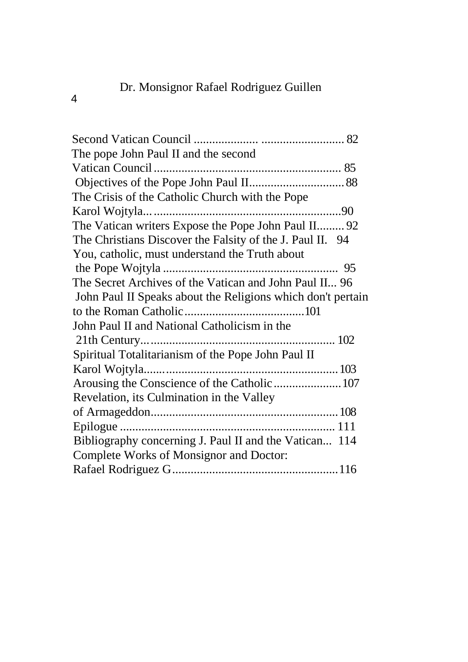#### Dr. Monsignor Rafael Rodriguez Guillen

4

| The pope John Paul II and the second                        |  |
|-------------------------------------------------------------|--|
|                                                             |  |
|                                                             |  |
| The Crisis of the Catholic Church with the Pope             |  |
|                                                             |  |
| The Vatican writers Expose the Pope John Paul II 92         |  |
| The Christians Discover the Falsity of the J. Paul II. 94   |  |
| You, catholic, must understand the Truth about              |  |
|                                                             |  |
| The Secret Archives of the Vatican and John Paul II 96      |  |
| John Paul II Speaks about the Religions which don't pertain |  |
|                                                             |  |
| John Paul II and National Catholicism in the                |  |
|                                                             |  |
| Spiritual Totalitarianism of the Pope John Paul II          |  |
|                                                             |  |
| Arousing the Conscience of the Catholic  107                |  |
| Revelation, its Culmination in the Valley                   |  |
|                                                             |  |
|                                                             |  |
| Bibliography concerning J. Paul II and the Vatican 114      |  |
| Complete Works of Monsignor and Doctor:                     |  |
|                                                             |  |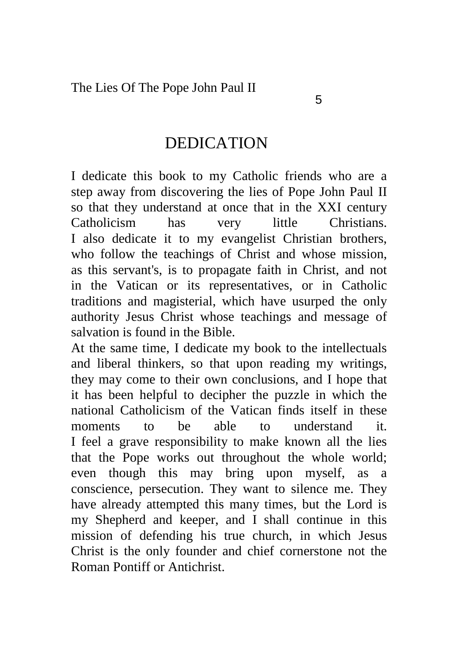#### DEDICATION

I dedicate this book to my Catholic friends who are a step away from discovering the lies of Pope John Paul II so that they understand at once that in the XXI century Catholicism has very little Christians. I also dedicate it to my evangelist Christian brothers, who follow the teachings of Christ and whose mission, as this servant's, is to propagate faith in Christ, and not in the Vatican or its representatives, or in Catholic traditions and magisterial, which have usurped the only authority Jesus Christ whose teachings and message of salvation is found in the Bible.

At the same time, I dedicate my book to the intellectuals and liberal thinkers, so that upon reading my writings, they may come to their own conclusions, and I hope that it has been helpful to decipher the puzzle in which the national Catholicism of the Vatican finds itself in these moments to be able to understand it. I feel a grave responsibility to make known all the lies that the Pope works out throughout the whole world; even though this may bring upon myself, as a conscience, persecution. They want to silence me. They have already attempted this many times, but the Lord is my Shepherd and keeper, and I shall continue in this mission of defending his true church, in which Jesus Christ is the only founder and chief cornerstone not the Roman Pontiff or Antichrist.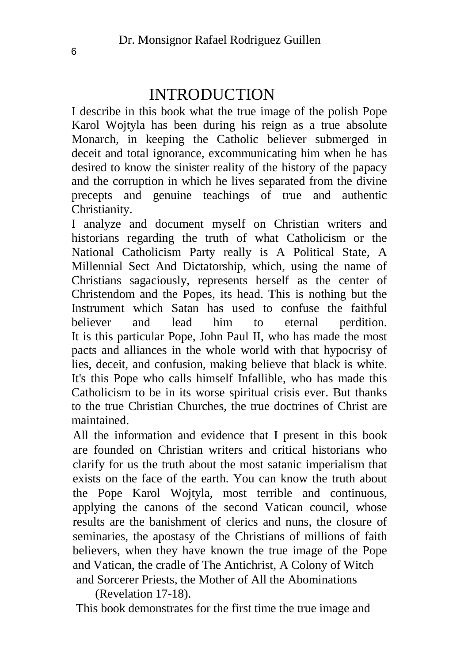### INTRODUCTION

I describe in this book what the true image of the polish Pope Karol Wojtyla has been during his reign as a true absolute Monarch, in keeping the Catholic believer submerged in deceit and total ignorance, excommunicating him when he has desired to know the sinister reality of the history of the papacy and the corruption in which he lives separated from the divine precepts and genuine teachings of true and authentic Christianity.

I analyze and document myself on Christian writers and historians regarding the truth of what Catholicism or the National Catholicism Party really is A Political State, A Millennial Sect And Dictatorship, which, using the name of Christians sagaciously, represents herself as the center of Christendom and the Popes, its head. This is nothing but the Instrument which Satan has used to confuse the faithful believer and lead him to eternal perdition. It is this particular Pope, John Paul II, who has made the most pacts and alliances in the whole world with that hypocrisy of lies, deceit, and confusion, making believe that black is white. It's this Pope who calls himself Infallible, who has made this Catholicism to be in its worse spiritual crisis ever. But thanks to the true Christian Churches, the true doctrines of Christ are maintained.

All the information and evidence that I present in this book are founded on Christian writers and critical historians who clarify for us the truth about the most satanic imperialism that exists on the face of the earth. You can know the truth about the Pope Karol Wojtyla, most terrible and continuous, applying the canons of the second Vatican council, whose results are the banishment of clerics and nuns, the closure of seminaries, the apostasy of the Christians of millions of faith believers, when they have known the true image of the Pope and Vatican, the cradle of The Antichrist, A Colony of Witch and Sorcerer Priests, the Mother of All the Abominations

(Revelation 17-18).

This book demonstrates for the first time the true image and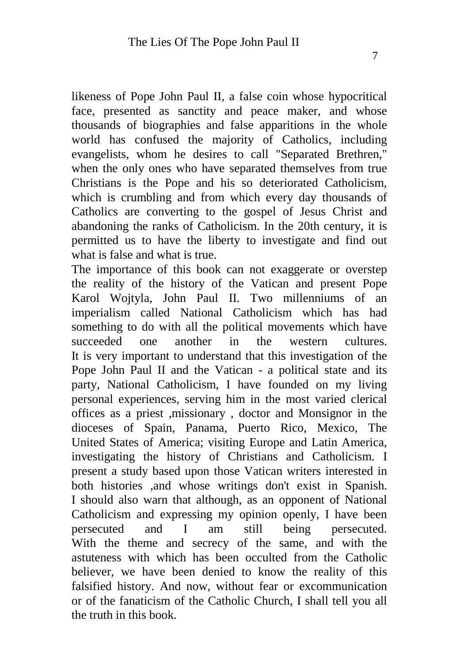likeness of Pope John Paul II, a false coin whose hypocritical face, presented as sanctity and peace maker, and whose thousands of biographies and false apparitions in the whole world has confused the majority of Catholics, including evangelists, whom he desires to call "Separated Brethren," when the only ones who have separated themselves from true Christians is the Pope and his so deteriorated Catholicism, which is crumbling and from which every day thousands of Catholics are converting to the gospel of Jesus Christ and abandoning the ranks of Catholicism. In the 20th century, it is permitted us to have the liberty to investigate and find out what is false and what is true.

The importance of this book can not exaggerate or overstep the reality of the history of the Vatican and present Pope Karol Wojtyla, John Paul II. Two millenniums of an imperialism called National Catholicism which has had something to do with all the political movements which have succeeded one another in the western cultures. It is very important to understand that this investigation of the Pope John Paul II and the Vatican - a political state and its party, National Catholicism, I have founded on my living personal experiences, serving him in the most varied clerical offices as a priest ,missionary , doctor and Monsignor in the dioceses of Spain, Panama, Puerto Rico, Mexico, The United States of America; visiting Europe and Latin America, investigating the history of Christians and Catholicism. I present a study based upon those Vatican writers interested in both histories ,and whose writings don't exist in Spanish. I should also warn that although, as an opponent of National Catholicism and expressing my opinion openly, I have been persecuted and I am still being persecuted. With the theme and secrecy of the same, and with the astuteness with which has been occulted from the Catholic believer, we have been denied to know the reality of this falsified history. And now, without fear or excommunication or of the fanaticism of the Catholic Church, I shall tell you all the truth in this book.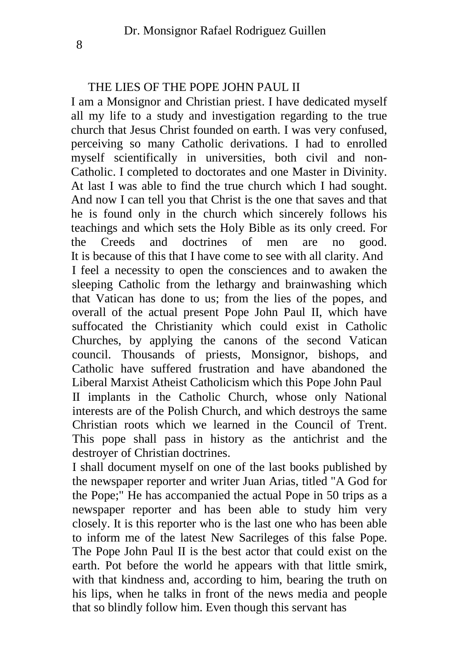#### THE LIES OF THE POPE JOHN PAUL II

I am a Monsignor and Christian priest. I have dedicated myself all my life to a study and investigation regarding to the true church that Jesus Christ founded on earth. I was very confused, perceiving so many Catholic derivations. I had to enrolled myself scientifically in universities, both civil and non-Catholic. I completed to doctorates and one Master in Divinity. At last I was able to find the true church which I had sought. And now I can tell you that Christ is the one that saves and that he is found only in the church which sincerely follows his teachings and which sets the Holy Bible as its only creed. For the Creeds and doctrines of men are no good. It is because of this that I have come to see with all clarity. And I feel a necessity to open the consciences and to awaken the sleeping Catholic from the lethargy and brainwashing which that Vatican has done to us; from the lies of the popes, and overall of the actual present Pope John Paul II, which have suffocated the Christianity which could exist in Catholic Churches, by applying the canons of the second Vatican council. Thousands of priests, Monsignor, bishops, and Catholic have suffered frustration and have abandoned the Liberal Marxist Atheist Catholicism which this Pope John Paul II implants in the Catholic Church, whose only National interests are of the Polish Church, and which destroys the same Christian roots which we learned in the Council of Trent. This pope shall pass in history as the antichrist and the destroyer of Christian doctrines.

I shall document myself on one of the last books published by the newspaper reporter and writer Juan Arias, titled "A God for the Pope;" He has accompanied the actual Pope in 50 trips as a newspaper reporter and has been able to study him very closely. It is this reporter who is the last one who has been able to inform me of the latest New Sacrileges of this false Pope. The Pope John Paul II is the best actor that could exist on the earth. Pot before the world he appears with that little smirk, with that kindness and, according to him, bearing the truth on his lips, when he talks in front of the news media and people that so blindly follow him. Even though this servant has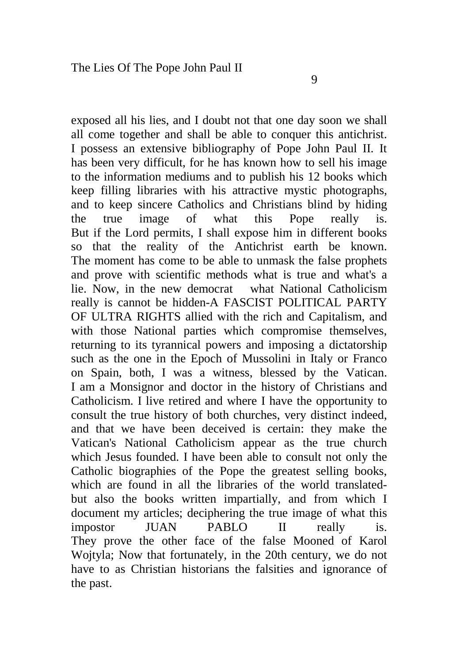exposed all his lies, and I doubt not that one day soon we shall all come together and shall be able to conquer this antichrist. I possess an extensive bibliography of Pope John Paul II. It has been very difficult, for he has known how to sell his image to the information mediums and to publish his 12 books which keep filling libraries with his attractive mystic photographs, and to keep sincere Catholics and Christians blind by hiding the true image of what this Pope really is. But if the Lord permits, I shall expose him in different books so that the reality of the Antichrist earth be known. The moment has come to be able to unmask the false prophets and prove with scientific methods what is true and what's a lie. Now, in the new democrat what National Catholicism really is cannot be hidden-A FASCIST POLITICAL PARTY OF ULTRA RIGHTS allied with the rich and Capitalism, and with those National parties which compromise themselves, returning to its tyrannical powers and imposing a dictatorship such as the one in the Epoch of Mussolini in Italy or Franco on Spain, both, I was a witness, blessed by the Vatican. I am a Monsignor and doctor in the history of Christians and Catholicism. I live retired and where I have the opportunity to consult the true history of both churches, very distinct indeed, and that we have been deceived is certain: they make the Vatican's National Catholicism appear as the true church which Jesus founded. I have been able to consult not only the Catholic biographies of the Pope the greatest selling books, which are found in all the libraries of the world translatedbut also the books written impartially, and from which I document my articles; deciphering the true image of what this<br>impostor  $\begin{array}{cc} \text{II} \text{I} & \text{PABLO} & \text{II} & \text{really} \end{array}$  is. impostor JUAN PABLO II really is. They prove the other face of the false Mooned of Karol Wojtyla; Now that fortunately, in the 20th century, we do not have to as Christian historians the falsities and ignorance of the past.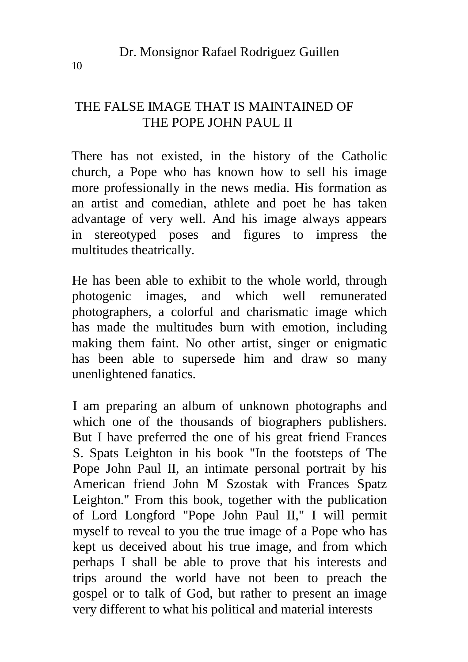#### THE FALSE IMAGE THAT IS MAINTAINED OF THE POPE JOHN PAUL II

There has not existed, in the history of the Catholic church, a Pope who has known how to sell his image more professionally in the news media. His formation as an artist and comedian, athlete and poet he has taken advantage of very well. And his image always appears in stereotyped poses and figures to impress the multitudes theatrically.

He has been able to exhibit to the whole world, through photogenic images, and which well remunerated photographers, a colorful and charismatic image which has made the multitudes burn with emotion, including making them faint. No other artist, singer or enigmatic has been able to supersede him and draw so many unenlightened fanatics.

I am preparing an album of unknown photographs and which one of the thousands of biographers publishers. But I have preferred the one of his great friend Frances S. Spats Leighton in his book "In the footsteps of The Pope John Paul II, an intimate personal portrait by his American friend John M Szostak with Frances Spatz Leighton." From this book, together with the publication of Lord Longford "Pope John Paul II," I will permit myself to reveal to you the true image of a Pope who has kept us deceived about his true image, and from which perhaps I shall be able to prove that his interests and trips around the world have not been to preach the gospel or to talk of God, but rather to present an image very different to what his political and material interests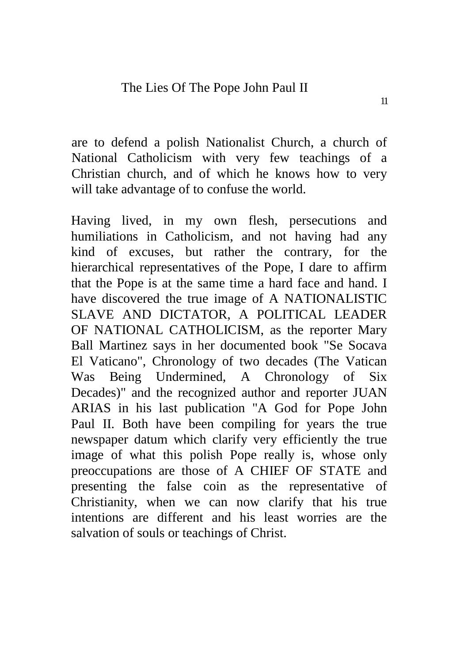are to defend a polish Nationalist Church, a church of National Catholicism with very few teachings of a Christian church, and of which he knows how to very will take advantage of to confuse the world.

Having lived, in my own flesh, persecutions and humiliations in Catholicism, and not having had any kind of excuses, but rather the contrary, for the hierarchical representatives of the Pope, I dare to affirm that the Pope is at the same time a hard face and hand. I have discovered the true image of A NATIONALISTIC SLAVE AND DICTATOR, A POLITICAL LEADER OF NATIONAL CATHOLICISM, as the reporter Mary Ball Martinez says in her documented book "Se Socava El Vaticano", Chronology of two decades (The Vatican Was Being Undermined, A Chronology of Six Decades)" and the recognized author and reporter JUAN ARIAS in his last publication "A God for Pope John Paul II. Both have been compiling for years the true newspaper datum which clarify very efficiently the true image of what this polish Pope really is, whose only preoccupations are those of A CHIEF OF STATE and presenting the false coin as the representative of Christianity, when we can now clarify that his true intentions are different and his least worries are the salvation of souls or teachings of Christ.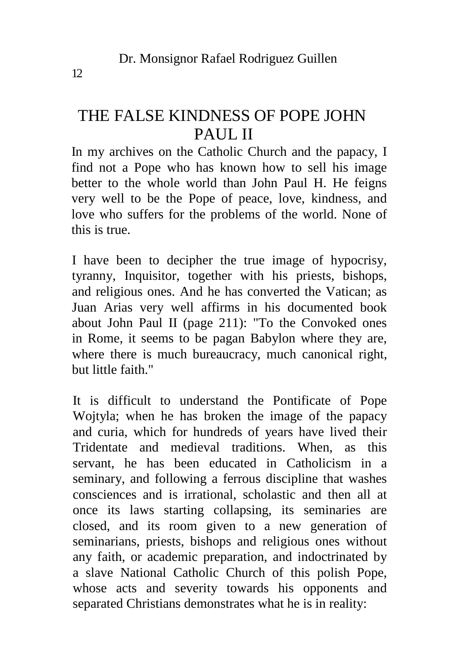### THE FALSE KINDNESS OF POPE JOHN PAUL II

In my archives on the Catholic Church and the papacy, I find not a Pope who has known how to sell his image better to the whole world than John Paul H. He feigns very well to be the Pope of peace, love, kindness, and love who suffers for the problems of the world. None of this is true.

I have been to decipher the true image of hypocrisy, tyranny, Inquisitor, together with his priests, bishops, and religious ones. And he has converted the Vatican; as Juan Arias very well affirms in his documented book about John Paul II (page 211): "To the Convoked ones in Rome, it seems to be pagan Babylon where they are, where there is much bureaucracy, much canonical right, but little faith."

It is difficult to understand the Pontificate of Pope Wojtyla; when he has broken the image of the papacy and curia, which for hundreds of years have lived their Tridentate and medieval traditions. When, as this servant, he has been educated in Catholicism in a seminary, and following a ferrous discipline that washes consciences and is irrational, scholastic and then all at once its laws starting collapsing, its seminaries are closed, and its room given to a new generation of seminarians, priests, bishops and religious ones without any faith, or academic preparation, and indoctrinated by a slave National Catholic Church of this polish Pope, whose acts and severity towards his opponents and separated Christians demonstrates what he is in reality: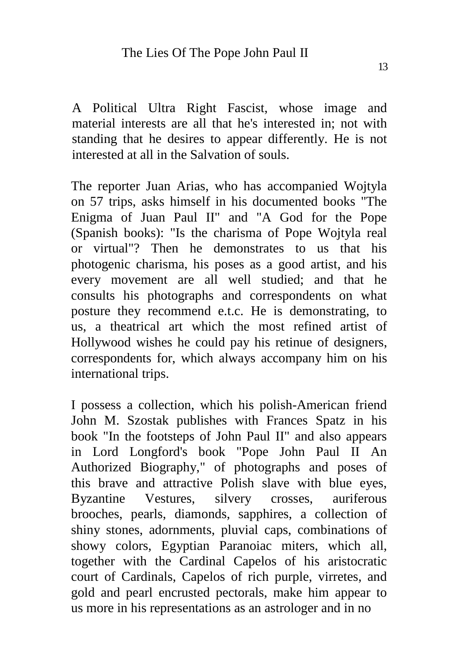A Political Ultra Right Fascist, whose image and material interests are all that he's interested in; not with standing that he desires to appear differently. He is not interested at all in the Salvation of souls.

The reporter Juan Arias, who has accompanied Wojtyla on 57 trips, asks himself in his documented books "The Enigma of Juan Paul II" and "A God for the Pope (Spanish books): "Is the charisma of Pope Wojtyla real or virtual"? Then he demonstrates to us that his photogenic charisma, his poses as a good artist, and his every movement are all well studied; and that he consults his photographs and correspondents on what posture they recommend e.t.c. He is demonstrating, to us, a theatrical art which the most refined artist of Hollywood wishes he could pay his retinue of designers, correspondents for, which always accompany him on his international trips.

I possess a collection, which his polish-American friend John M. Szostak publishes with Frances Spatz in his book "In the footsteps of John Paul II" and also appears in Lord Longford's book "Pope John Paul II An Authorized Biography," of photographs and poses of this brave and attractive Polish slave with blue eyes, Byzantine Vestures, silvery crosses, auriferous brooches, pearls, diamonds, sapphires, a collection of shiny stones, adornments, pluvial caps, combinations of showy colors, Egyptian Paranoiac miters, which all, together with the Cardinal Capelos of his aristocratic court of Cardinals, Capelos of rich purple, virretes, and gold and pearl encrusted pectorals, make him appear to us more in his representations as an astrologer and in no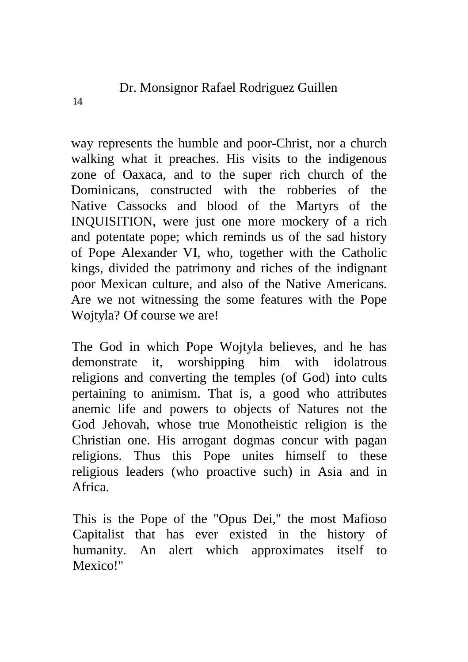way represents the humble and poor-Christ, nor a church walking what it preaches. His visits to the indigenous zone of Oaxaca, and to the super rich church of the Dominicans, constructed with the robberies of the Native Cassocks and blood of the Martyrs of the INQUISITION, were just one more mockery of a rich and potentate pope; which reminds us of the sad history of Pope Alexander VI, who, together with the Catholic kings, divided the patrimony and riches of the indignant poor Mexican culture, and also of the Native Americans. Are we not witnessing the some features with the Pope Wojtyla? Of course we are!

The God in which Pope Wojtyla believes, and he has demonstrate it, worshipping him with idolatrous religions and converting the temples (of God) into cults pertaining to animism. That is, a good who attributes anemic life and powers to objects of Natures not the God Jehovah, whose true Monotheistic religion is the Christian one. His arrogant dogmas concur with pagan religions. Thus this Pope unites himself to these religious leaders (who proactive such) in Asia and in Africa.

This is the Pope of the "Opus Dei," the most Mafioso Capitalist that has ever existed in the history of humanity. An alert which approximates itself to Mexico!"

14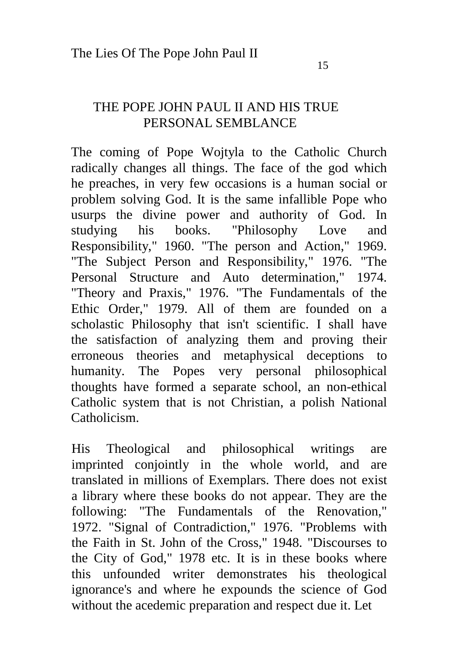#### THE POPE JOHN PAUL II AND HIS TRUE PERSONAL SEMBLANCE

The coming of Pope Wojtyla to the Catholic Church radically changes all things. The face of the god which he preaches, in very few occasions is a human social or problem solving God. It is the same infallible Pope who usurps the divine power and authority of God. In studying his books. "Philosophy Love and Responsibility," 1960. "The person and Action," 1969. "The Subject Person and Responsibility," 1976. "The Personal Structure and Auto determination," 1974. "Theory and Praxis," 1976. "The Fundamentals of the Ethic Order," 1979. All of them are founded on a scholastic Philosophy that isn't scientific. I shall have the satisfaction of analyzing them and proving their erroneous theories and metaphysical deceptions to humanity. The Popes very personal philosophical thoughts have formed a separate school, an non-ethical Catholic system that is not Christian, a polish National Catholicism.

His Theological and philosophical writings are imprinted conjointly in the whole world, and are translated in millions of Exemplars. There does not exist a library where these books do not appear. They are the following: "The Fundamentals of the Renovation," 1972. "Signal of Contradiction," 1976. "Problems with the Faith in St. John of the Cross," 1948. "Discourses to the City of God," 1978 etc. It is in these books where this unfounded writer demonstrates his theological ignorance's and where he expounds the science of God without the acedemic preparation and respect due it. Let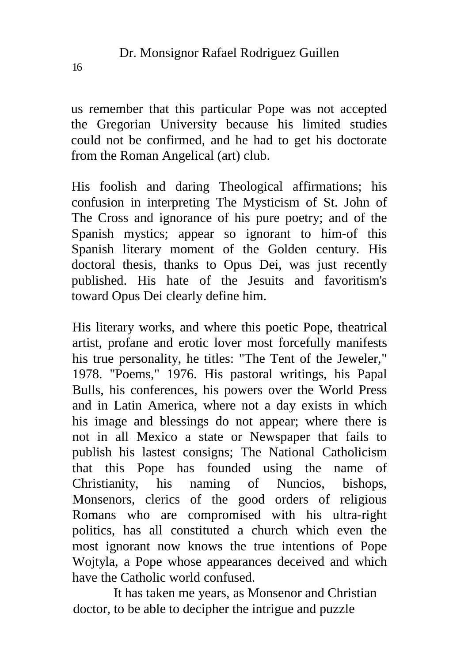us remember that this particular Pope was not accepted the Gregorian University because his limited studies could not be confirmed, and he had to get his doctorate from the Roman Angelical (art) club.

His foolish and daring Theological affirmations; his confusion in interpreting The Mysticism of St. John of The Cross and ignorance of his pure poetry; and of the Spanish mystics; appear so ignorant to him-of this Spanish literary moment of the Golden century. His doctoral thesis, thanks to Opus Dei, was just recently published. His hate of the Jesuits and favoritism's toward Opus Dei clearly define him.

His literary works, and where this poetic Pope, theatrical artist, profane and erotic lover most forcefully manifests his true personality, he titles: "The Tent of the Jeweler," 1978. "Poems," 1976. His pastoral writings, his Papal Bulls, his conferences, his powers over the World Press and in Latin America, where not a day exists in which his image and blessings do not appear; where there is not in all Mexico a state or Newspaper that fails to publish his lastest consigns; The National Catholicism that this Pope has founded using the name of Christianity, his naming of Nuncios, bishops, Monsenors, clerics of the good orders of religious Romans who are compromised with his ultra-right politics, has all constituted a church which even the most ignorant now knows the true intentions of Pope Wojtyla, a Pope whose appearances deceived and which have the Catholic world confused.

It has taken me years, as Monsenor and Christian doctor, to be able to decipher the intrigue and puzzle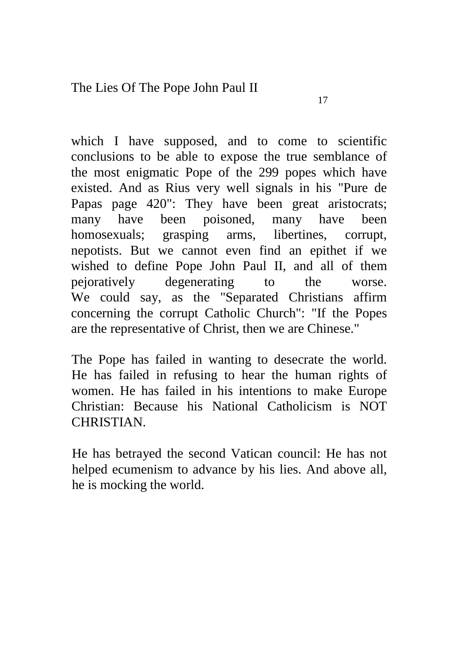which I have supposed, and to come to scientific conclusions to be able to expose the true semblance of the most enigmatic Pope of the 299 popes which have existed. And as Rius very well signals in his "Pure de Papas page 420": They have been great aristocrats; many have been poisoned, many have been homosexuals; grasping arms, libertines, corrupt, nepotists. But we cannot even find an epithet if we wished to define Pope John Paul II, and all of them pejoratively degenerating to the worse. We could say, as the "Separated Christians affirm

The Pope has failed in wanting to desecrate the world. He has failed in refusing to hear the human rights of women. He has failed in his intentions to make Europe Christian: Because his National Catholicism is NOT **CHRISTIAN** 

concerning the corrupt Catholic Church": "If the Popes are the representative of Christ, then we are Chinese."

He has betrayed the second Vatican council: He has not helped ecumenism to advance by his lies. And above all, he is mocking the world.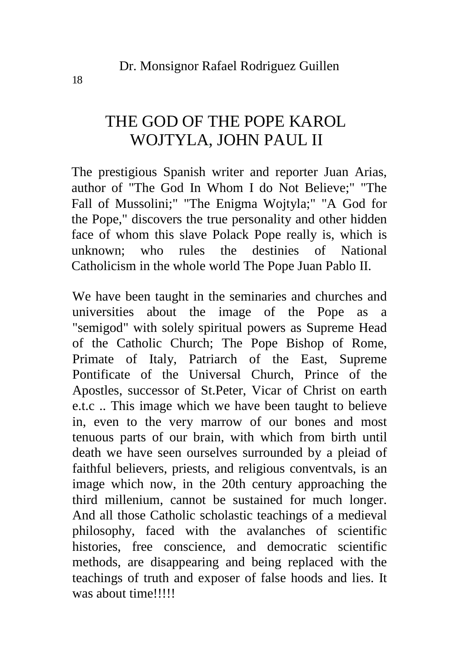### THE GOD OF THE POPE KAROL WOJTYLA, JOHN PAUL II

The prestigious Spanish writer and reporter Juan Arias, author of "The God In Whom I do Not Believe;" "The Fall of Mussolini;" "The Enigma Wojtyla;" "A God for the Pope," discovers the true personality and other hidden face of whom this slave Polack Pope really is, which is unknown; who rules the destinies of National Catholicism in the whole world The Pope Juan Pablo II.

We have been taught in the seminaries and churches and universities about the image of the Pope as a "semigod" with solely spiritual powers as Supreme Head of the Catholic Church; The Pope Bishop of Rome, Primate of Italy, Patriarch of the East, Supreme Pontificate of the Universal Church, Prince of the Apostles, successor of St.Peter, Vicar of Christ on earth e.t.c .. This image which we have been taught to believe in, even to the very marrow of our bones and most tenuous parts of our brain, with which from birth until death we have seen ourselves surrounded by a pleiad of faithful believers, priests, and religious conventvals, is an image which now, in the 20th century approaching the third millenium, cannot be sustained for much longer. And all those Catholic scholastic teachings of a medieval philosophy, faced with the avalanches of scientific histories, free conscience, and democratic scientific methods, are disappearing and being replaced with the teachings of truth and exposer of false hoods and lies. It was about time!!!!!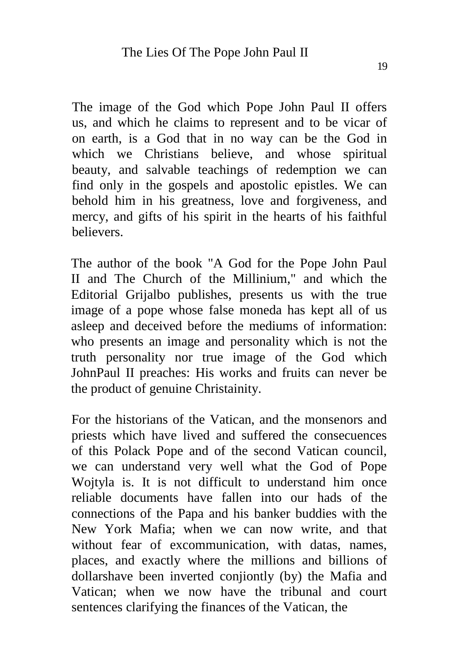The image of the God which Pope John Paul II offers us, and which he claims to represent and to be vicar of on earth, is a God that in no way can be the God in which we Christians believe, and whose spiritual beauty, and salvable teachings of redemption we can find only in the gospels and apostolic epistles. We can behold him in his greatness, love and forgiveness, and mercy, and gifts of his spirit in the hearts of his faithful believers.

The author of the book "A God for the Pope John Paul II and The Church of the Millinium," and which the Editorial Grijalbo publishes, presents us with the true image of a pope whose false moneda has kept all of us asleep and deceived before the mediums of information: who presents an image and personality which is not the truth personality nor true image of the God which JohnPaul II preaches: His works and fruits can never be the product of genuine Christainity.

For the historians of the Vatican, and the monsenors and priests which have lived and suffered the consecuences of this Polack Pope and of the second Vatican council, we can understand very well what the God of Pope Wojtyla is. It is not difficult to understand him once reliable documents have fallen into our hads of the connections of the Papa and his banker buddies with the New York Mafia; when we can now write, and that without fear of excommunication, with datas, names, places, and exactly where the millions and billions of dollarshave been inverted conjiontly (by) the Mafia and Vatican; when we now have the tribunal and court sentences clarifying the finances of the Vatican, the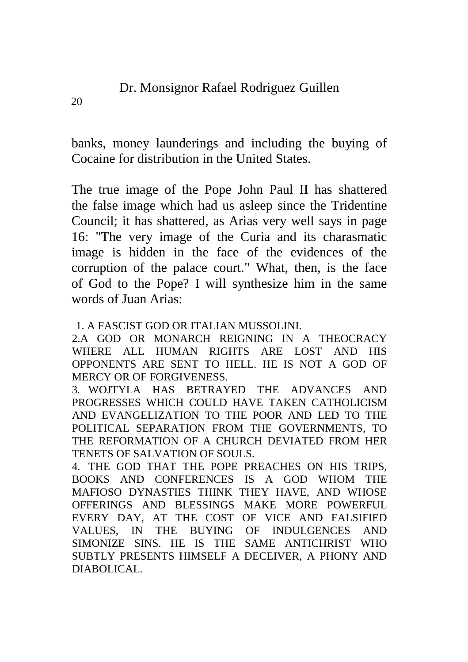banks, money launderings and including the buying of Cocaine for distribution in the United States.

The true image of the Pope John Paul II has shattered the false image which had us asleep since the Tridentine Council; it has shattered, as Arias very well says in page 16: "The very image of the Curia and its charasmatic image is hidden in the face of the evidences of the corruption of the palace court." What, then, is the face of God to the Pope? I will synthesize him in the same words of Juan Arias:

1. A FASCIST GOD OR ITALIAN MUSSOLINI.

2.A GOD OR MONARCH REIGNING IN A THEOCRACY WHERE ALL HUMAN RIGHTS ARE LOST AND HIS OPPONENTS ARE SENT TO HELL. HE IS NOT A GOD OF MERCY OR OF FORGIVENESS.

3. WOJTYLA HAS BETRAYED THE ADVANCES AND PROGRESSES WHICH COULD HAVE TAKEN CATHOLICISM AND EVANGELIZATION TO THE POOR AND LED TO THE POLITICAL SEPARATION FROM THE GOVERNMENTS, TO THE REFORMATION OF A CHURCH DEVIATED FROM HER TENETS OF SALVATION OF SOULS.

4. THE GOD THAT THE POPE PREACHES ON HIS TRIPS, BOOKS AND CONFERENCES IS A GOD WHOM THE MAFIOSO DYNASTIES THINK THEY HAVE, AND WHOSE OFFERINGS AND BLESSINGS MAKE MORE POWERFUL EVERY DAY, AT THE COST OF VICE AND FALSIFIED VALUES, IN THE BUYING OF INDULGENCES AND SIMONIZE SINS. HE IS THE SAME ANTICHRIST WHO SUBTLY PRESENTS HIMSELF A DECEIVER, A PHONY AND DIABOLICAL.

20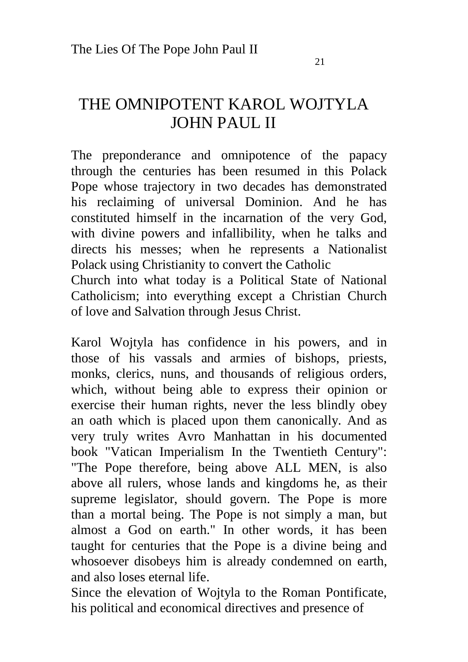### THE OMNIPOTENT KAROL WOJTYLA JOHN PAUL II

The preponderance and omnipotence of the papacy through the centuries has been resumed in this Polack Pope whose trajectory in two decades has demonstrated his reclaiming of universal Dominion. And he has constituted himself in the incarnation of the very God, with divine powers and infallibility, when he talks and directs his messes; when he represents a Nationalist Polack using Christianity to convert the Catholic

Church into what today is a Political State of National Catholicism; into everything except a Christian Church of love and Salvation through Jesus Christ.

Karol Wojtyla has confidence in his powers, and in those of his vassals and armies of bishops, priests, monks, clerics, nuns, and thousands of religious orders, which, without being able to express their opinion or exercise their human rights, never the less blindly obey an oath which is placed upon them canonically. And as very truly writes Avro Manhattan in his documented book "Vatican Imperialism In the Twentieth Century": "The Pope therefore, being above ALL MEN, is also above all rulers, whose lands and kingdoms he, as their supreme legislator, should govern. The Pope is more than a mortal being. The Pope is not simply a man, but almost a God on earth." In other words, it has been taught for centuries that the Pope is a divine being and whosoever disobeys him is already condemned on earth, and also loses eternal life.

Since the elevation of Wojtyla to the Roman Pontificate, his political and economical directives and presence of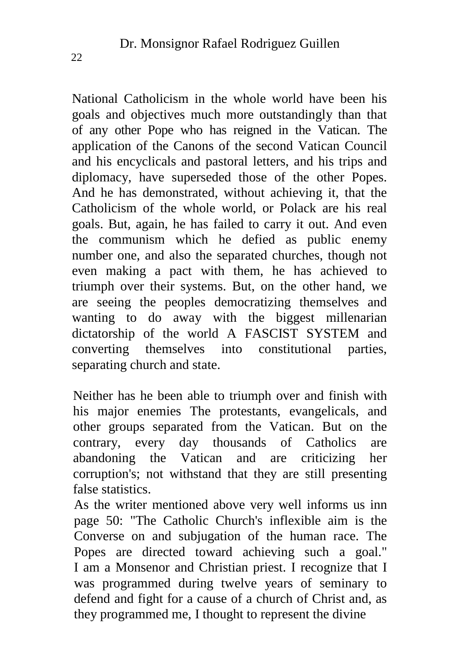National Catholicism in the whole world have been his goals and objectives much more outstandingly than that of any other Pope who has reigned in the Vatican. The application of the Canons of the second Vatican Council and his encyclicals and pastoral letters, and his trips and diplomacy, have superseded those of the other Popes. And he has demonstrated, without achieving it, that the Catholicism of the whole world, or Polack are his real goals. But, again, he has failed to carry it out. And even the communism which he defied as public enemy number one, and also the separated churches, though not even making a pact with them, he has achieved to triumph over their systems. But, on the other hand, we are seeing the peoples democratizing themselves and wanting to do away with the biggest millenarian dictatorship of the world A FASCIST SYSTEM and converting themselves into constitutional parties, separating church and state.

Neither has he been able to triumph over and finish with his major enemies The protestants, evangelicals, and other groups separated from the Vatican. But on the contrary, every day thousands of Catholics are abandoning the Vatican and are criticizing her corruption's; not withstand that they are still presenting false statistics.

As the writer mentioned above very well informs us inn page 50: "The Catholic Church's inflexible aim is the Converse on and subjugation of the human race. The Popes are directed toward achieving such a goal." I am a Monsenor and Christian priest. I recognize that I was programmed during twelve years of seminary to defend and fight for a cause of a church of Christ and, as they programmed me, I thought to represent the divine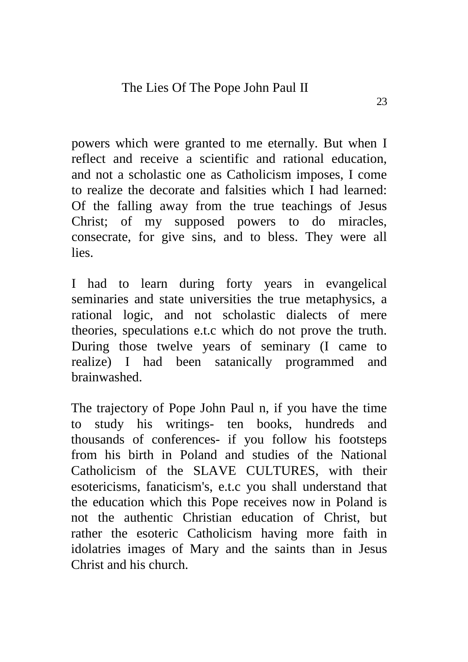powers which were granted to me eternally. But when I reflect and receive a scientific and rational education, and not a scholastic one as Catholicism imposes, I come to realize the decorate and falsities which I had learned: Of the falling away from the true teachings of Jesus Christ; of my supposed powers to do miracles, consecrate, for give sins, and to bless. They were all lies.

I had to learn during forty years in evangelical seminaries and state universities the true metaphysics, a rational logic, and not scholastic dialects of mere theories, speculations e.t.c which do not prove the truth. During those twelve years of seminary (I came to realize) I had been satanically programmed and brainwashed.

The trajectory of Pope John Paul n, if you have the time to study his writings- ten books, hundreds and thousands of conferences- if you follow his footsteps from his birth in Poland and studies of the National Catholicism of the SLAVE CULTURES, with their esotericisms, fanaticism's, e.t.c you shall understand that the education which this Pope receives now in Poland is not the authentic Christian education of Christ, but rather the esoteric Catholicism having more faith in idolatries images of Mary and the saints than in Jesus Christ and his church.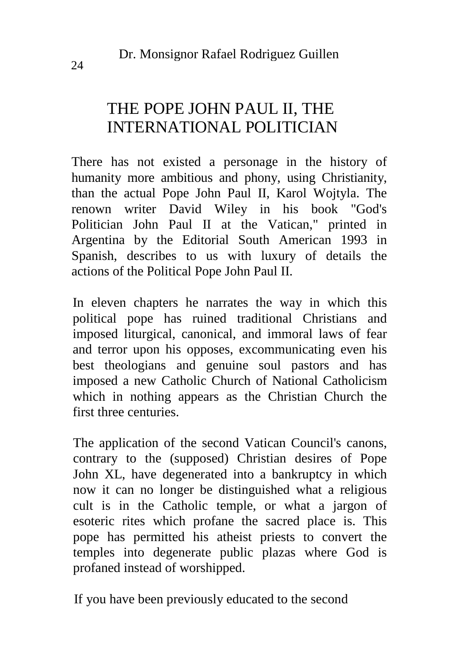### THE POPE JOHN PAUL II, THE INTERNATIONAL POLITICIAN

There has not existed a personage in the history of humanity more ambitious and phony, using Christianity, than the actual Pope John Paul II, Karol Wojtyla. The renown writer David Wiley in his book "God's Politician John Paul II at the Vatican," printed in Argentina by the Editorial South American 1993 in Spanish, describes to us with luxury of details the actions of the Political Pope John Paul II.

In eleven chapters he narrates the way in which this political pope has ruined traditional Christians and imposed liturgical, canonical, and immoral laws of fear and terror upon his opposes, excommunicating even his best theologians and genuine soul pastors and has imposed a new Catholic Church of National Catholicism which in nothing appears as the Christian Church the first three centuries.

The application of the second Vatican Council's canons, contrary to the (supposed) Christian desires of Pope John XL, have degenerated into a bankruptcy in which now it can no longer be distinguished what a religious cult is in the Catholic temple, or what a jargon of esoteric rites which profane the sacred place is. This pope has permitted his atheist priests to convert the temples into degenerate public plazas where God is profaned instead of worshipped.

If you have been previously educated to the second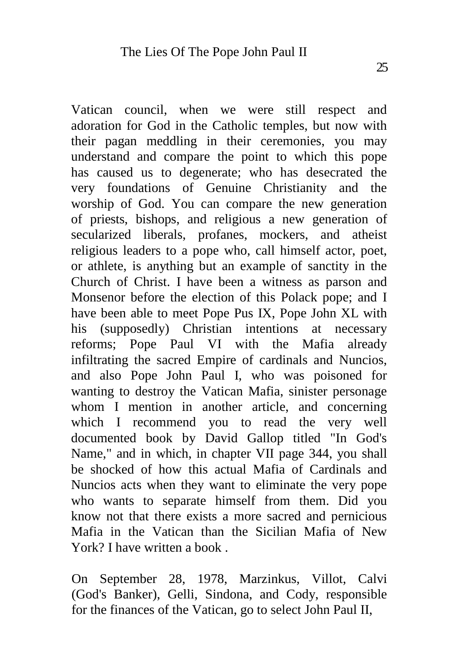Vatican council, when we were still respect and adoration for God in the Catholic temples, but now with their pagan meddling in their ceremonies, you may understand and compare the point to which this pope has caused us to degenerate; who has desecrated the very foundations of Genuine Christianity and the worship of God. You can compare the new generation of priests, bishops, and religious a new generation of secularized liberals, profanes, mockers, and atheist religious leaders to a pope who, call himself actor, poet, or athlete, is anything but an example of sanctity in the Church of Christ. I have been a witness as parson and Monsenor before the election of this Polack pope; and I have been able to meet Pope Pus IX, Pope John XL with his (supposedly) Christian intentions at necessary reforms; Pope Paul VI with the Mafia already infiltrating the sacred Empire of cardinals and Nuncios, and also Pope John Paul I, who was poisoned for wanting to destroy the Vatican Mafia, sinister personage whom I mention in another article, and concerning which I recommend you to read the very well documented book by David Gallop titled "In God's Name," and in which, in chapter VII page 344, you shall be shocked of how this actual Mafia of Cardinals and Nuncios acts when they want to eliminate the very pope who wants to separate himself from them. Did you know not that there exists a more sacred and pernicious Mafia in the Vatican than the Sicilian Mafia of New York? I have written a book

On September 28, 1978, Marzinkus, Villot, Calvi (God's Banker), Gelli, Sindona, and Cody, responsible for the finances of the Vatican, go to select John Paul II,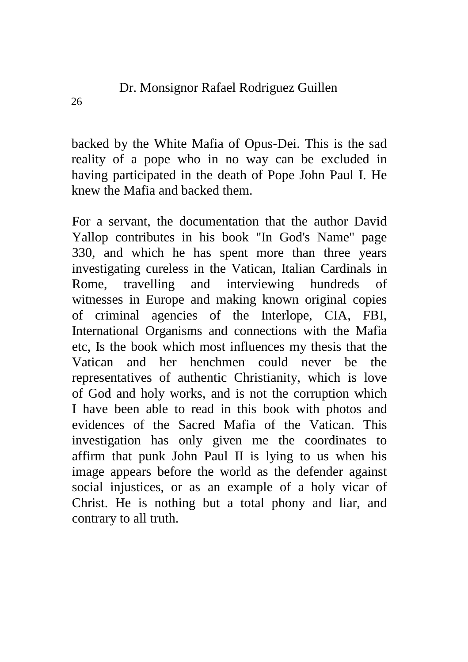backed by the White Mafia of Opus-Dei. This is the sad reality of a pope who in no way can be excluded in having participated in the death of Pope John Paul I. He knew the Mafia and backed them.

For a servant, the documentation that the author David Yallop contributes in his book "In God's Name" page 330, and which he has spent more than three years investigating cureless in the Vatican, Italian Cardinals in Rome, travelling and interviewing hundreds of witnesses in Europe and making known original copies of criminal agencies of the Interlope, CIA, FBI, International Organisms and connections with the Mafia etc, Is the book which most influences my thesis that the Vatican and her henchmen could never be the representatives of authentic Christianity, which is love of God and holy works, and is not the corruption which I have been able to read in this book with photos and evidences of the Sacred Mafia of the Vatican. This investigation has only given me the coordinates to affirm that punk John Paul II is lying to us when his image appears before the world as the defender against social injustices, or as an example of a holy vicar of Christ. He is nothing but a total phony and liar, and contrary to all truth.

26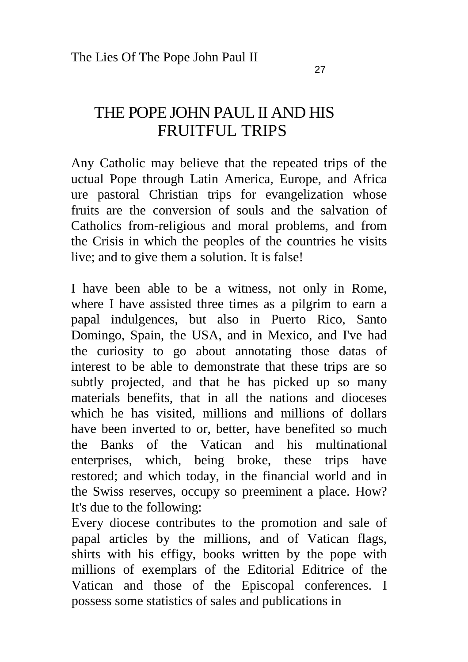### THE POPE JOHN PAUL II AND HIS FRUITFUL TRIPS

Any Catholic may believe that the repeated trips of the uctual Pope through Latin America, Europe, and Africa ure pastoral Christian trips for evangelization whose fruits are the conversion of souls and the salvation of Catholics from-religious and moral problems, and from the Crisis in which the peoples of the countries he visits live; and to give them a solution. It is false!

I have been able to be a witness, not only in Rome, where I have assisted three times as a pilgrim to earn a papal indulgences, but also in Puerto Rico, Santo Domingo, Spain, the USA, and in Mexico, and I've had the curiosity to go about annotating those datas of interest to be able to demonstrate that these trips are so subtly projected, and that he has picked up so many materials benefits, that in all the nations and dioceses which he has visited, millions and millions of dollars have been inverted to or, better, have benefited so much the Banks of the Vatican and his multinational enterprises, which, being broke, these trips have restored; and which today, in the financial world and in the Swiss reserves, occupy so preeminent a place. How? It's due to the following:

Every diocese contributes to the promotion and sale of papal articles by the millions, and of Vatican flags, shirts with his effigy, books written by the pope with millions of exemplars of the Editorial Editrice of the Vatican and those of the Episcopal conferences. I possess some statistics of sales and publications in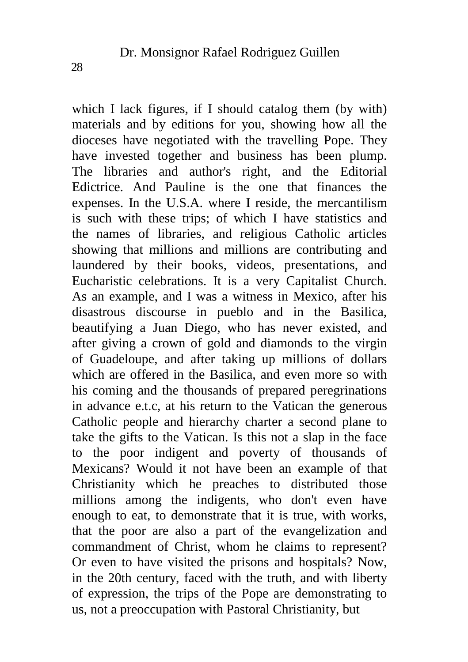which I lack figures, if I should catalog them (by with) materials and by editions for you, showing how all the dioceses have negotiated with the travelling Pope. They have invested together and business has been plump. The libraries and author's right, and the Editorial Edictrice. And Pauline is the one that finances the expenses. In the U.S.A. where I reside, the mercantilism is such with these trips; of which I have statistics and the names of libraries, and religious Catholic articles showing that millions and millions are contributing and laundered by their books, videos, presentations, and Eucharistic celebrations. It is a very Capitalist Church. As an example, and I was a witness in Mexico, after his disastrous discourse in pueblo and in the Basilica, beautifying a Juan Diego, who has never existed, and after giving a crown of gold and diamonds to the virgin of Guadeloupe, and after taking up millions of dollars which are offered in the Basilica, and even more so with his coming and the thousands of prepared peregrinations in advance e.t.c, at his return to the Vatican the generous Catholic people and hierarchy charter a second plane to take the gifts to the Vatican. Is this not a slap in the face to the poor indigent and poverty of thousands of Mexicans? Would it not have been an example of that Christianity which he preaches to distributed those millions among the indigents, who don't even have enough to eat, to demonstrate that it is true, with works, that the poor are also a part of the evangelization and commandment of Christ, whom he claims to represent? Or even to have visited the prisons and hospitals? Now, in the 20th century, faced with the truth, and with liberty of expression, the trips of the Pope are demonstrating to us, not a preoccupation with Pastoral Christianity, but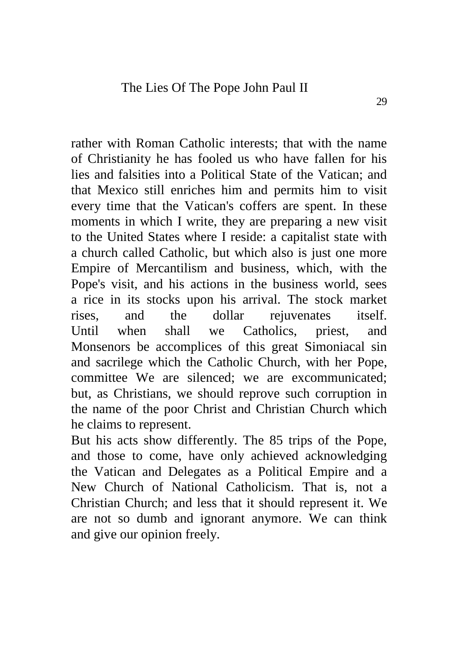rather with Roman Catholic interests; that with the name of Christianity he has fooled us who have fallen for his lies and falsities into a Political State of the Vatican; and that Mexico still enriches him and permits him to visit every time that the Vatican's coffers are spent. In these moments in which I write, they are preparing a new visit to the United States where I reside: a capitalist state with a church called Catholic, but which also is just one more Empire of Mercantilism and business, which, with the Pope's visit, and his actions in the business world, sees a rice in its stocks upon his arrival. The stock market rises, and the dollar rejuvenates itself. Until when shall we Catholics, priest, and Monsenors be accomplices of this great Simoniacal sin and sacrilege which the Catholic Church, with her Pope, committee We are silenced; we are excommunicated; but, as Christians, we should reprove such corruption in the name of the poor Christ and Christian Church which he claims to represent.

But his acts show differently. The 85 trips of the Pope, and those to come, have only achieved acknowledging the Vatican and Delegates as a Political Empire and a New Church of National Catholicism. That is, not a Christian Church; and less that it should represent it. We are not so dumb and ignorant anymore. We can think and give our opinion freely.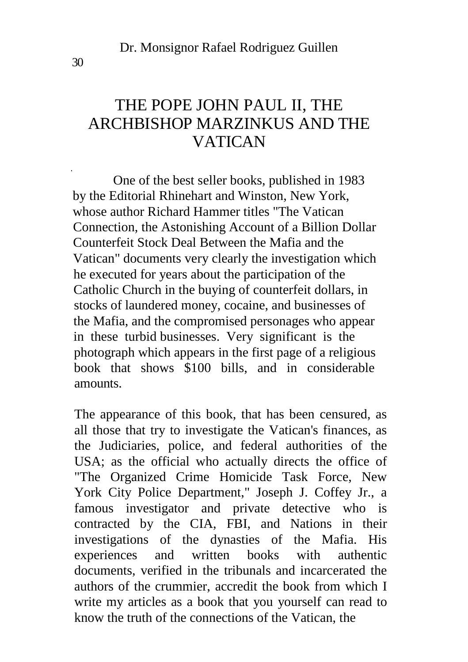### THE POPE JOHN PAUL II, THE ARCHBISHOP MARZINKUS AND THE VATICAN

One of the best seller books, published in 1983 by the Editorial Rhinehart and Winston, New York, whose author Richard Hammer titles "The Vatican Connection, the Astonishing Account of a Billion Dollar Counterfeit Stock Deal Between the Mafia and the Vatican" documents very clearly the investigation which he executed for years about the participation of the Catholic Church in the buying of counterfeit dollars, in stocks of laundered money, cocaine, and businesses of the Mafia, and the compromised personages who appear in these turbid businesses. Very significant is the photograph which appears in the first page of a religious book that shows \$100 bills, and in considerable amounts.

The appearance of this book, that has been censured, as all those that try to investigate the Vatican's finances, as the Judiciaries, police, and federal authorities of the USA; as the official who actually directs the office of "The Organized Crime Homicide Task Force, New York City Police Department," Joseph J. Coffey Jr., a famous investigator and private detective who is contracted by the CIA, FBI, and Nations in their investigations of the dynasties of the Mafia. His experiences and written books with authentic documents, verified in the tribunals and incarcerated the authors of the crummier, accredit the book from which I write my articles as a book that you yourself can read to know the truth of the connections of the Vatican, the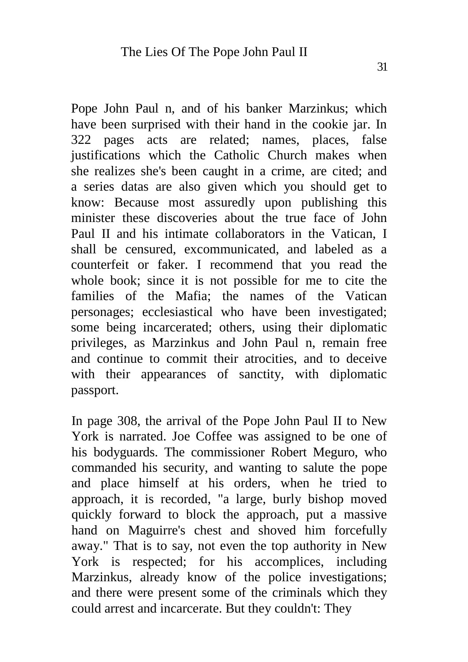Pope John Paul n, and of his banker Marzinkus; which have been surprised with their hand in the cookie jar. In 322 pages acts are related; names, places, false justifications which the Catholic Church makes when she realizes she's been caught in a crime, are cited; and a series datas are also given which you should get to know: Because most assuredly upon publishing this minister these discoveries about the true face of John Paul II and his intimate collaborators in the Vatican, I shall be censured, excommunicated, and labeled as a counterfeit or faker. I recommend that you read the whole book; since it is not possible for me to cite the families of the Mafia; the names of the Vatican personages; ecclesiastical who have been investigated; some being incarcerated; others, using their diplomatic privileges, as Marzinkus and John Paul n, remain free and continue to commit their atrocities, and to deceive with their appearances of sanctity, with diplomatic passport.

In page 308, the arrival of the Pope John Paul II to New York is narrated. Joe Coffee was assigned to be one of his bodyguards. The commissioner Robert Meguro, who commanded his security, and wanting to salute the pope and place himself at his orders, when he tried to approach, it is recorded, "a large, burly bishop moved quickly forward to block the approach, put a massive hand on Maguirre's chest and shoved him forcefully away." That is to say, not even the top authority in New York is respected; for his accomplices, including Marzinkus, already know of the police investigations; and there were present some of the criminals which they could arrest and incarcerate. But they couldn't: They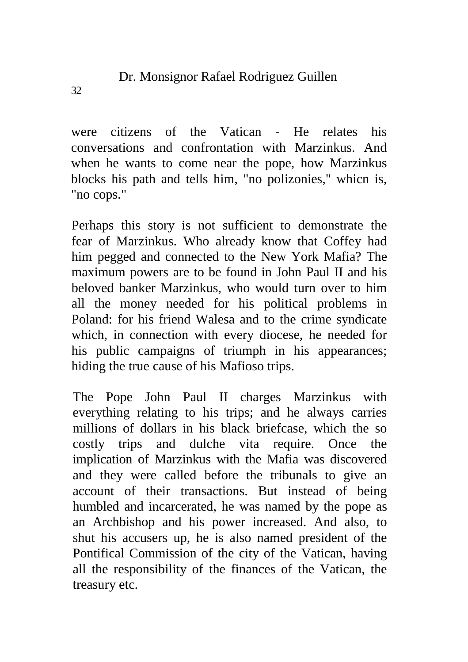were citizens of the Vatican - He relates his conversations and confrontation with Marzinkus. And when he wants to come near the pope, how Marzinkus blocks his path and tells him, "no polizonies," whicn is, "no cops."

Perhaps this story is not sufficient to demonstrate the fear of Marzinkus. Who already know that Coffey had him pegged and connected to the New York Mafia? The maximum powers are to be found in John Paul II and his beloved banker Marzinkus, who would turn over to him all the money needed for his political problems in Poland: for his friend Walesa and to the crime syndicate which, in connection with every diocese, he needed for his public campaigns of triumph in his appearances; hiding the true cause of his Mafioso trips.

The Pope John Paul II charges Marzinkus with everything relating to his trips; and he always carries millions of dollars in his black briefcase, which the so costly trips and dulche vita require. Once the implication of Marzinkus with the Mafia was discovered and they were called before the tribunals to give an account of their transactions. But instead of being humbled and incarcerated, he was named by the pope as an Archbishop and his power increased. And also, to shut his accusers up, he is also named president of the Pontifical Commission of the city of the Vatican, having all the responsibility of the finances of the Vatican, the treasury etc.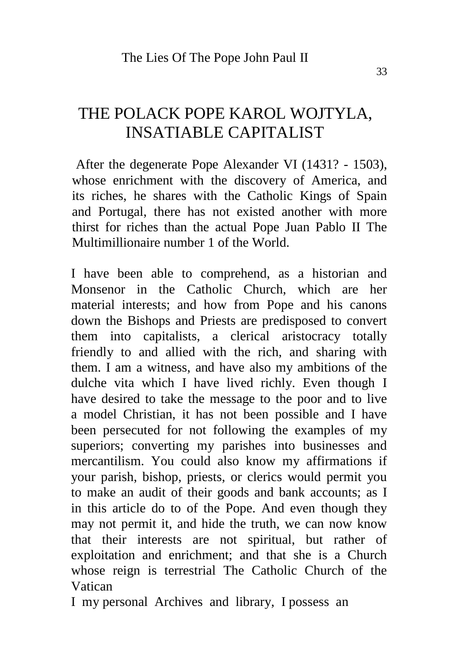### THE POLACK POPE KAROL WOJTYLA, INSATIABLE CAPITALIST

After the degenerate Pope Alexander VI (1431? - 1503), whose enrichment with the discovery of America, and its riches, he shares with the Catholic Kings of Spain and Portugal, there has not existed another with more thirst for riches than the actual Pope Juan Pablo II The Multimillionaire number 1 of the World.

I have been able to comprehend, as a historian and Monsenor in the Catholic Church, which are her material interests; and how from Pope and his canons down the Bishops and Priests are predisposed to convert them into capitalists, a clerical aristocracy totally friendly to and allied with the rich, and sharing with them. I am a witness, and have also my ambitions of the dulche vita which I have lived richly. Even though I have desired to take the message to the poor and to live a model Christian, it has not been possible and I have been persecuted for not following the examples of my superiors; converting my parishes into businesses and mercantilism. You could also know my affirmations if your parish, bishop, priests, or clerics would permit you to make an audit of their goods and bank accounts; as I in this article do to of the Pope. And even though they may not permit it, and hide the truth, we can now know that their interests are not spiritual, but rather of exploitation and enrichment; and that she is a Church whose reign is terrestrial The Catholic Church of the Vatican

I my personal Archives and library, I possess an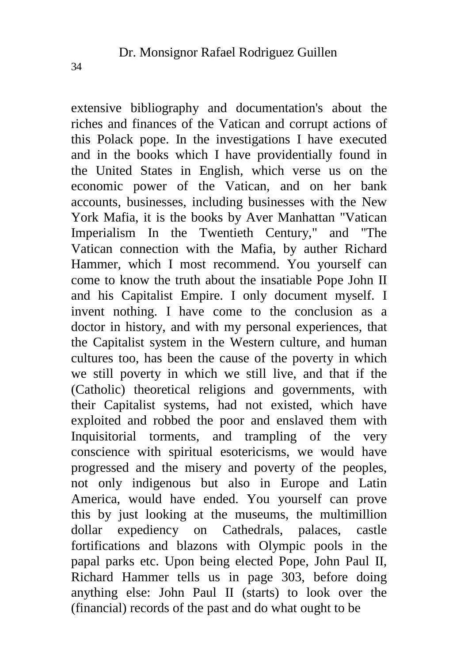extensive bibliography and documentation's about the riches and finances of the Vatican and corrupt actions of this Polack pope. In the investigations I have executed and in the books which I have providentially found in the United States in English, which verse us on the economic power of the Vatican, and on her bank accounts, businesses, including businesses with the New York Mafia, it is the books by Aver Manhattan "Vatican Imperialism In the Twentieth Century," and "The Vatican connection with the Mafia, by auther Richard Hammer, which I most recommend. You yourself can come to know the truth about the insatiable Pope John II and his Capitalist Empire. I only document myself. I invent nothing. I have come to the conclusion as a doctor in history, and with my personal experiences, that the Capitalist system in the Western culture, and human cultures too, has been the cause of the poverty in which we still poverty in which we still live, and that if the (Catholic) theoretical religions and governments, with their Capitalist systems, had not existed, which have exploited and robbed the poor and enslaved them with Inquisitorial torments, and trampling of the very conscience with spiritual esotericisms, we would have progressed and the misery and poverty of the peoples, not only indigenous but also in Europe and Latin America, would have ended. You yourself can prove this by just looking at the museums, the multimillion dollar expediency on Cathedrals, palaces, castle fortifications and blazons with Olympic pools in the papal parks etc. Upon being elected Pope, John Paul II, Richard Hammer tells us in page 303, before doing anything else: John Paul II (starts) to look over the (financial) records of the past and do what ought to be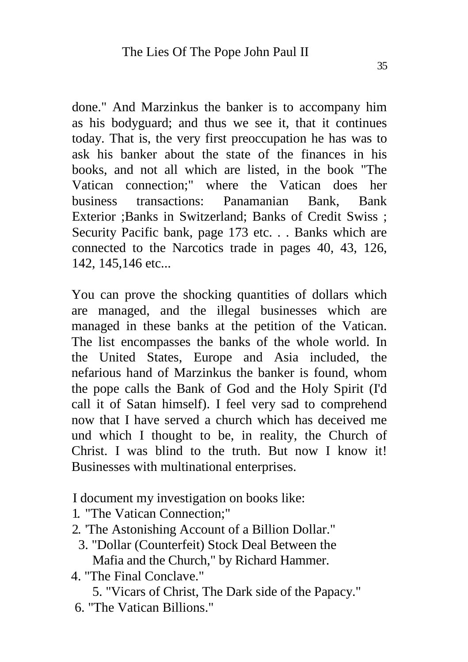done." And Marzinkus the banker is to accompany him as his bodyguard; and thus we see it, that it continues today. That is, the very first preoccupation he has was to ask his banker about the state of the finances in his books, and not all which are listed, in the book "The Vatican connection;" where the Vatican does her business transactions: Panamanian Bank, Bank Exterior ;Banks in Switzerland; Banks of Credit Swiss ; Security Pacific bank, page 173 etc. . . Banks which are connected to the Narcotics trade in pages 40, 43, 126, 142, 145,146 etc...

You can prove the shocking quantities of dollars which are managed, and the illegal businesses which are managed in these banks at the petition of the Vatican. The list encompasses the banks of the whole world. In the United States, Europe and Asia included, the nefarious hand of Marzinkus the banker is found, whom the pope calls the Bank of God and the Holy Spirit (I'd call it of Satan himself). I feel very sad to comprehend now that I have served a church which has deceived me und which I thought to be, in reality, the Church of Christ. I was blind to the truth. But now I know it! Businesses with multinational enterprises.

I document my investigation on books like:

- 1. "The Vatican Connection;"
- 2. 'The Astonishing Account of a Billion Dollar."
	- 3. "Dollar (Counterfeit) Stock Deal Between the Mafia and the Church," by Richard Hammer.
- 4. "The Final Conclave."

5. "Vicars of Christ, The Dark side of the Papacy."

6. "The Vatican Billions."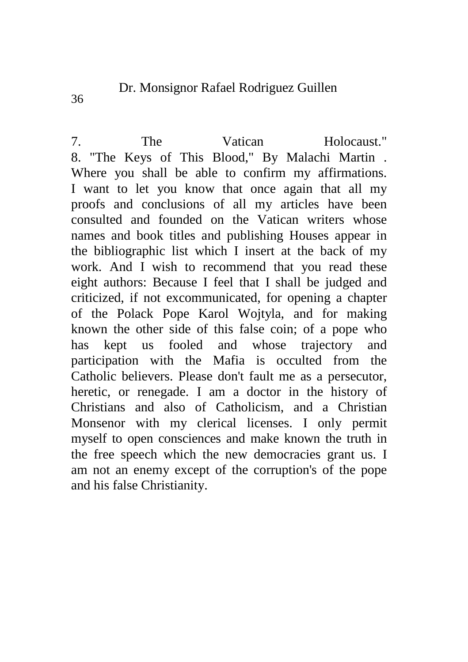36

7. The Vatican Holocaust." 8. "The Keys of This Blood," By Malachi Martin . Where you shall be able to confirm my affirmations. I want to let you know that once again that all my proofs and conclusions of all my articles have been consulted and founded on the Vatican writers whose names and book titles and publishing Houses appear in the bibliographic list which I insert at the back of my work. And I wish to recommend that you read these eight authors: Because I feel that I shall be judged and criticized, if not excommunicated, for opening a chapter of the Polack Pope Karol Wojtyla, and for making known the other side of this false coin; of a pope who has kept us fooled and whose trajectory and participation with the Mafia is occulted from the Catholic believers. Please don't fault me as a persecutor, heretic, or renegade. I am a doctor in the history of Christians and also of Catholicism, and a Christian Monsenor with my clerical licenses. I only permit myself to open consciences and make known the truth in the free speech which the new democracies grant us. I am not an enemy except of the corruption's of the pope and his false Christianity.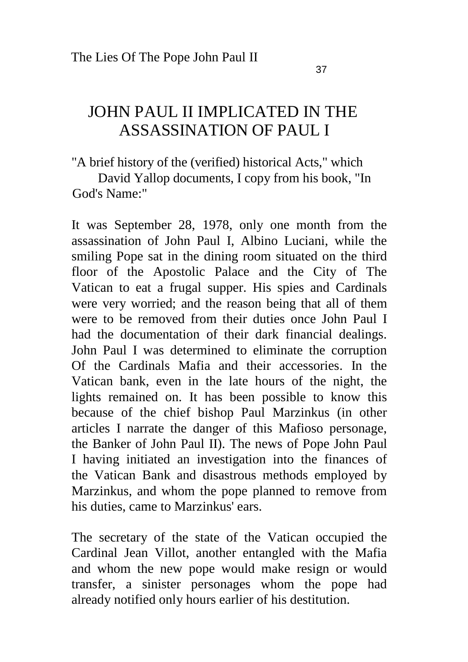#### JOHN PAUL II IMPLICATED IN THE ASSASSINATION OF PAUL I

"A brief history of the (verified) historical Acts," which

David Yallop documents, I copy from his book, "In God's Name:"

It was September 28, 1978, only one month from the assassination of John Paul I, Albino Luciani, while the smiling Pope sat in the dining room situated on the third floor of the Apostolic Palace and the City of The Vatican to eat a frugal supper. His spies and Cardinals were very worried; and the reason being that all of them were to be removed from their duties once John Paul I had the documentation of their dark financial dealings. John Paul I was determined to eliminate the corruption Of the Cardinals Mafia and their accessories. In the Vatican bank, even in the late hours of the night, the lights remained on. It has been possible to know this because of the chief bishop Paul Marzinkus (in other articles I narrate the danger of this Mafioso personage, the Banker of John Paul II). The news of Pope John Paul I having initiated an investigation into the finances of the Vatican Bank and disastrous methods employed by Marzinkus, and whom the pope planned to remove from his duties, came to Marzinkus' ears.

The secretary of the state of the Vatican occupied the Cardinal Jean Villot, another entangled with the Mafia and whom the new pope would make resign or would transfer, a sinister personages whom the pope had already notified only hours earlier of his destitution.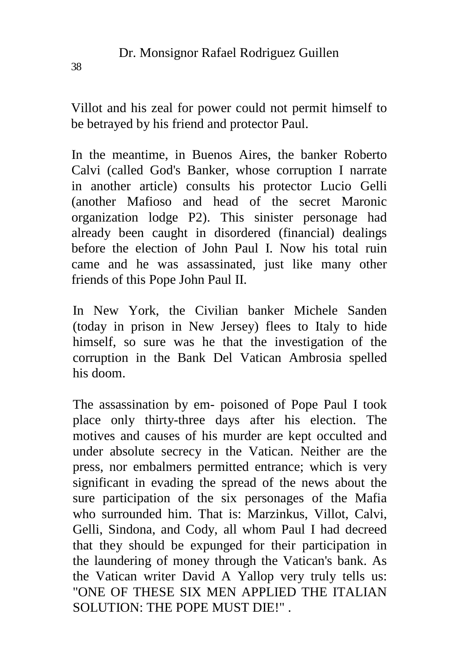Villot and his zeal for power could not permit himself to be betrayed by his friend and protector Paul.

In the meantime, in Buenos Aires, the banker Roberto Calvi (called God's Banker, whose corruption I narrate in another article) consults his protector Lucio Gelli (another Mafioso and head of the secret Maronic organization lodge P2). This sinister personage had already been caught in disordered (financial) dealings before the election of John Paul I. Now his total ruin came and he was assassinated, just like many other friends of this Pope John Paul II.

In New York, the Civilian banker Michele Sanden (today in prison in New Jersey) flees to Italy to hide himself, so sure was he that the investigation of the corruption in the Bank Del Vatican Ambrosia spelled his doom.

The assassination by em- poisoned of Pope Paul I took place only thirty-three days after his election. The motives and causes of his murder are kept occulted and under absolute secrecy in the Vatican. Neither are the press, nor embalmers permitted entrance; which is very significant in evading the spread of the news about the sure participation of the six personages of the Mafia who surrounded him. That is: Marzinkus, Villot, Calvi, Gelli, Sindona, and Cody, all whom Paul I had decreed that they should be expunged for their participation in the laundering of money through the Vatican's bank. As the Vatican writer David A Yallop very truly tells us: "ONE OF THESE SIX MEN APPLIED THE ITALIAN SOLUTION: THE POPE MUST DIE!" .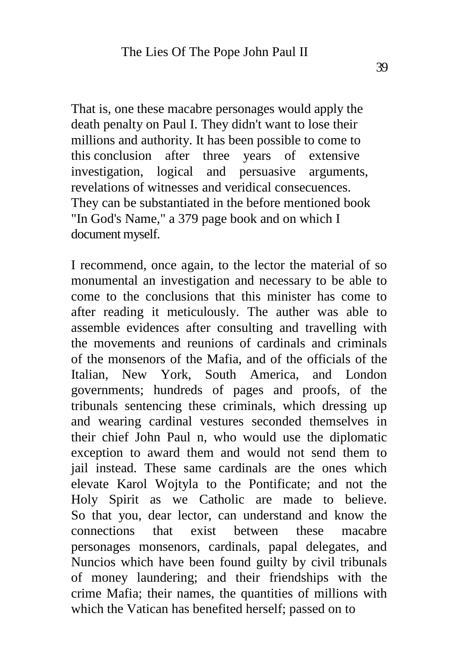That is, one these macabre personages would apply the death penalty on Paul I. They didn't want to lose their millions and authority. It has been possible to come to this conclusion after three years of extensive investigation, logical and persuasive arguments, revelations of witnesses and veridical consecuences. They can be substantiated in the before mentioned book "In God's Name," a 379 page book and on which I document myself.

I recommend, once again, to the lector the material of so monumental an investigation and necessary to be able to come to the conclusions that this minister has come to after reading it meticulously. The auther was able to assemble evidences after consulting and travelling with the movements and reunions of cardinals and criminals of the monsenors of the Mafia, and of the officials of the Italian, New York, South America, and London governments; hundreds of pages and proofs, of the tribunals sentencing these criminals, which dressing up and wearing cardinal vestures seconded themselves in their chief John Paul n, who would use the diplomatic exception to award them and would not send them to jail instead. These same cardinals are the ones which elevate Karol Wojtyla to the Pontificate; and not the Holy Spirit as we Catholic are made to believe. So that you, dear lector, can understand and know the connections that exist between these macabre personages monsenors, cardinals, papal delegates, and Nuncios which have been found guilty by civil tribunals of money laundering; and their friendships with the crime Mafia; their names, the quantities of millions with which the Vatican has benefited herself; passed on to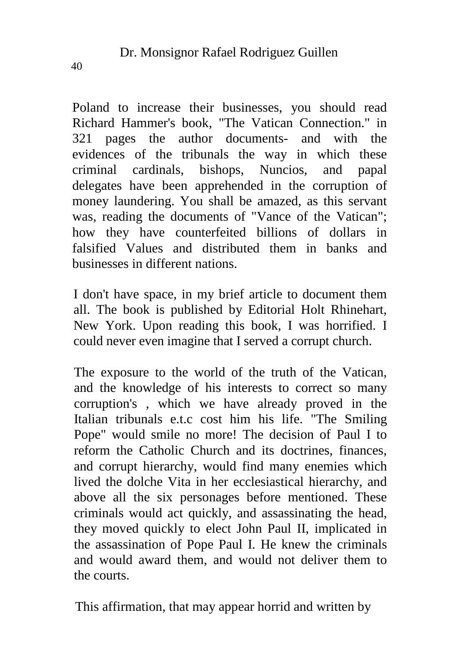Poland to increase their businesses, you should read Richard Hammer's book, "The Vatican Connection." in 321 pages the author documents- and with the evidences of the tribunals the way in which these criminal cardinals, bishops, Nuncios, and papal delegates have been apprehended in the corruption of money laundering. You shall be amazed, as this servant was, reading the documents of "Vance of the Vatican"; how they have counterfeited billions of dollars in falsified Values and distributed them in banks and businesses in different nations.

I don't have space, in my brief article to document them all. The book is published by Editorial Holt Rhinehart, New York. Upon reading this book, I was horrified. I could never even imagine that I served a corrupt church.

The exposure to the world of the truth of the Vatican, and the knowledge of his interests to correct so many corruption's , which we have already proved in the Italian tribunals e.t.c cost him his life. "The Smiling Pope" would smile no more! The decision of Paul I to reform the Catholic Church and its doctrines, finances, and corrupt hierarchy, would find many enemies which lived the dolche Vita in her ecclesiastical hierarchy, and above all the six personages before mentioned. These criminals would act quickly, and assassinating the head, they moved quickly to elect John Paul II, implicated in the assassination of Pope Paul I. He knew the criminals and would award them, and would not deliver them to the courts.

This affirmation, that may appear horrid and written by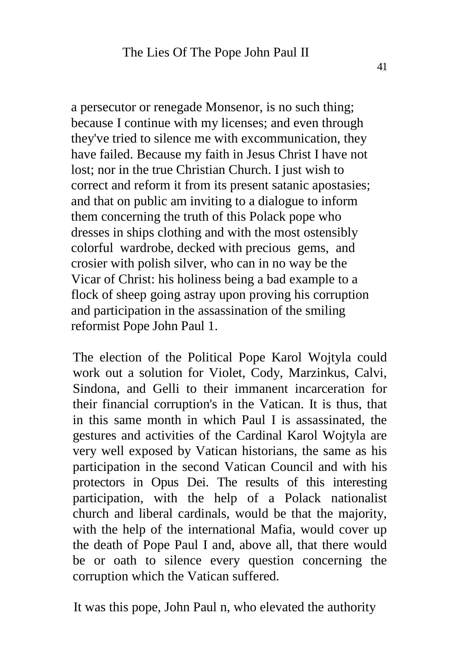a persecutor or renegade Monsenor, is no such thing; because I continue with my licenses; and even through they've tried to silence me with excommunication, they have failed. Because my faith in Jesus Christ I have not lost; nor in the true Christian Church. I just wish to correct and reform it from its present satanic apostasies; and that on public am inviting to a dialogue to inform them concerning the truth of this Polack pope who dresses in ships clothing and with the most ostensibly colorful wardrobe, decked with precious gems, and crosier with polish silver, who can in no way be the Vicar of Christ: his holiness being a bad example to a flock of sheep going astray upon proving his corruption and participation in the assassination of the smiling reformist Pope John Paul 1.

The election of the Political Pope Karol Wojtyla could work out a solution for Violet, Cody, Marzinkus, Calvi, Sindona, and Gelli to their immanent incarceration for their financial corruption's in the Vatican. It is thus, that in this same month in which Paul I is assassinated, the gestures and activities of the Cardinal Karol Wojtyla are very well exposed by Vatican historians, the same as his participation in the second Vatican Council and with his protectors in Opus Dei. The results of this interesting participation, with the help of a Polack nationalist church and liberal cardinals, would be that the majority, with the help of the international Mafia, would cover up the death of Pope Paul I and, above all, that there would be or oath to silence every question concerning the corruption which the Vatican suffered.

It was this pope, John Paul n, who elevated the authority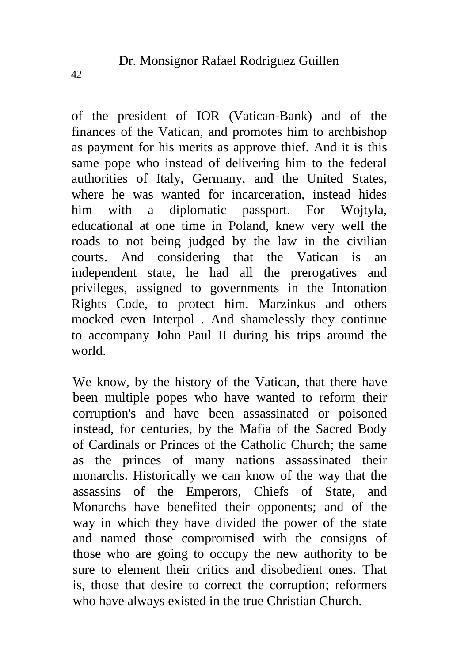of the president of IOR (Vatican-Bank) and of the finances of the Vatican, and promotes him to archbishop as payment for his merits as approve thief. And it is this same pope who instead of delivering him to the federal authorities of Italy, Germany, and the United States, where he was wanted for incarceration, instead hides him with a diplomatic passport. For Wojtyla, educational at one time in Poland, knew very well the roads to not being judged by the law in the civilian courts. And considering that the Vatican is an independent state, he had all the prerogatives and privileges, assigned to governments in the Intonation Rights Code, to protect him. Marzinkus and others mocked even Interpol . And shamelessly they continue to accompany John Paul II during his trips around the world.

We know, by the history of the Vatican, that there have been multiple popes who have wanted to reform their corruption's and have been assassinated or poisoned instead, for centuries, by the Mafia of the Sacred Body of Cardinals or Princes of the Catholic Church; the same as the princes of many nations assassinated their monarchs. Historically we can know of the way that the assassins of the Emperors, Chiefs of State, and Monarchs have benefited their opponents; and of the way in which they have divided the power of the state and named those compromised with the consigns of those who are going to occupy the new authority to be sure to element their critics and disobedient ones. That is, those that desire to correct the corruption; reformers who have always existed in the true Christian Church.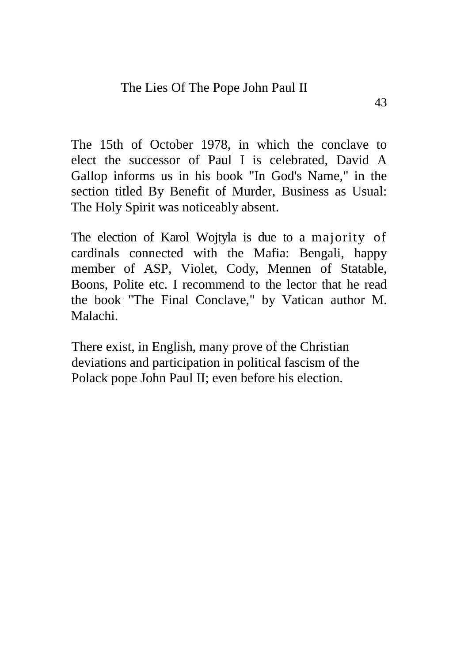The 15th of October 1978, in which the conclave to elect the successor of Paul I is celebrated, David A Gallop informs us in his book "In God's Name," in the section titled By Benefit of Murder, Business as Usual: The Holy Spirit was noticeably absent.

The election of Karol Wojtyla is due to a majority of cardinals connected with the Mafia: Bengali, happy member of ASP, Violet, Cody, Mennen of Statable, Boons, Polite etc. I recommend to the lector that he read the book "The Final Conclave," by Vatican author M. Malachi.

There exist, in English, many prove of the Christian deviations and participation in political fascism of the Polack pope John Paul II; even before his election.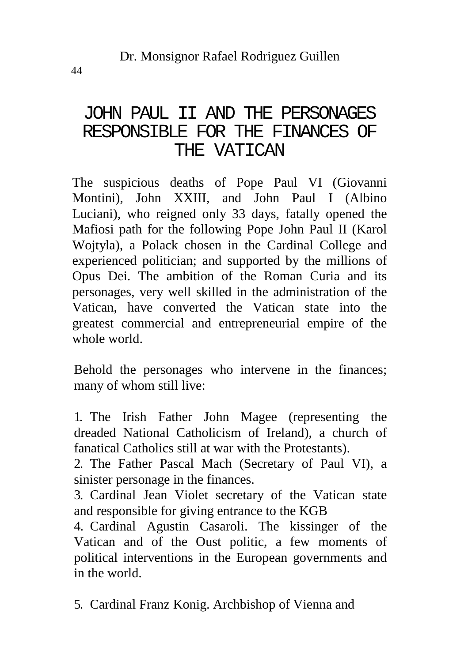#### JOHN PAUL II AND THE PERSONAGES RESPONSIBLE FOR THE FINANCES OF THE VATICAN

The suspicious deaths of Pope Paul VI (Giovanni Montini), John XXIII, and John Paul I (Albino Luciani), who reigned only 33 days, fatally opened the Mafiosi path for the following Pope John Paul II (Karol Wojtyla), a Polack chosen in the Cardinal College and experienced politician; and supported by the millions of Opus Dei. The ambition of the Roman Curia and its personages, very well skilled in the administration of the Vatican, have converted the Vatican state into the greatest commercial and entrepreneurial empire of the whole world.

Behold the personages who intervene in the finances; many of whom still live:

1. The Irish Father John Magee (representing the dreaded National Catholicism of Ireland), a church of fanatical Catholics still at war with the Protestants).

2. The Father Pascal Mach (Secretary of Paul VI), a sinister personage in the finances.

3. Cardinal Jean Violet secretary of the Vatican state and responsible for giving entrance to the KGB

4. Cardinal Agustin Casaroli. The kissinger of the Vatican and of the Oust politic, a few moments of political interventions in the European governments and in the world.

5. Cardinal Franz Konig. Archbishop of Vienna and

44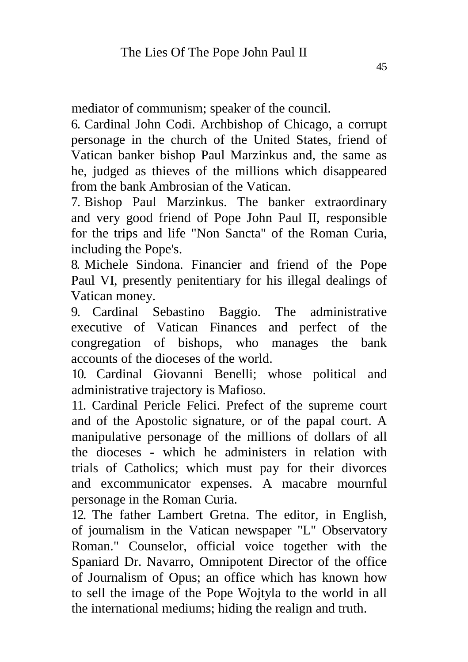mediator of communism; speaker of the council.

6. Cardinal John Codi. Archbishop of Chicago, a corrupt personage in the church of the United States, friend of Vatican banker bishop Paul Marzinkus and, the same as he, judged as thieves of the millions which disappeared from the bank Ambrosian of the Vatican.

7. Bishop Paul Marzinkus. The banker extraordinary and very good friend of Pope John Paul II, responsible for the trips and life "Non Sancta" of the Roman Curia, including the Pope's.

8. Michele Sindona. Financier and friend of the Pope Paul VI, presently penitentiary for his illegal dealings of Vatican money.

9. Cardinal Sebastino Baggio. The administrative executive of Vatican Finances and perfect of the congregation of bishops, who manages the bank accounts of the dioceses of the world.

10. Cardinal Giovanni Benelli; whose political and administrative trajectory is Mafioso.

11. Cardinal Pericle Felici. Prefect of the supreme court and of the Apostolic signature, or of the papal court. A manipulative personage of the millions of dollars of all the dioceses - which he administers in relation with trials of Catholics; which must pay for their divorces and excommunicator expenses. A macabre mournful personage in the Roman Curia.

12. The father Lambert Gretna. The editor, in English, of journalism in the Vatican newspaper "L" Observatory Roman." Counselor, official voice together with the Spaniard Dr. Navarro, Omnipotent Director of the office of Journalism of Opus; an office which has known how to sell the image of the Pope Wojtyla to the world in all the international mediums; hiding the realign and truth.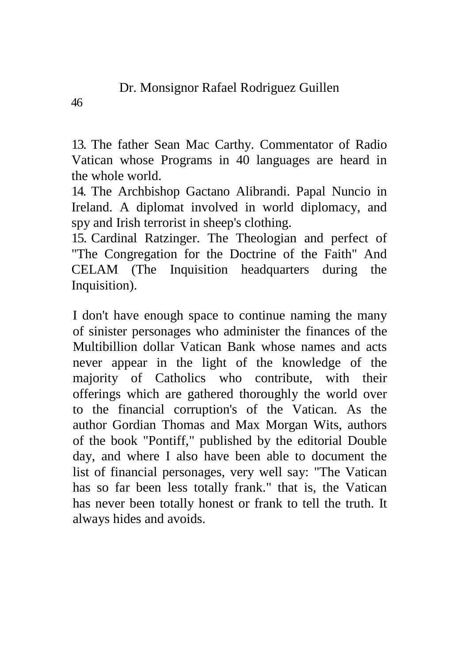13. The father Sean Mac Carthy. Commentator of Radio Vatican whose Programs in 40 languages are heard in the whole world.

14. The Archbishop Gactano Alibrandi. Papal Nuncio in Ireland. A diplomat involved in world diplomacy, and spy and Irish terrorist in sheep's clothing.

15. Cardinal Ratzinger. The Theologian and perfect of "The Congregation for the Doctrine of the Faith" And CELAM (The Inquisition headquarters during the Inquisition).

I don't have enough space to continue naming the many of sinister personages who administer the finances of the Multibillion dollar Vatican Bank whose names and acts never appear in the light of the knowledge of the majority of Catholics who contribute, with their offerings which are gathered thoroughly the world over to the financial corruption's of the Vatican. As the author Gordian Thomas and Max Morgan Wits, authors of the book "Pontiff," published by the editorial Double day, and where I also have been able to document the list of financial personages, very well say: "The Vatican has so far been less totally frank." that is, the Vatican has never been totally honest or frank to tell the truth. It always hides and avoids.

46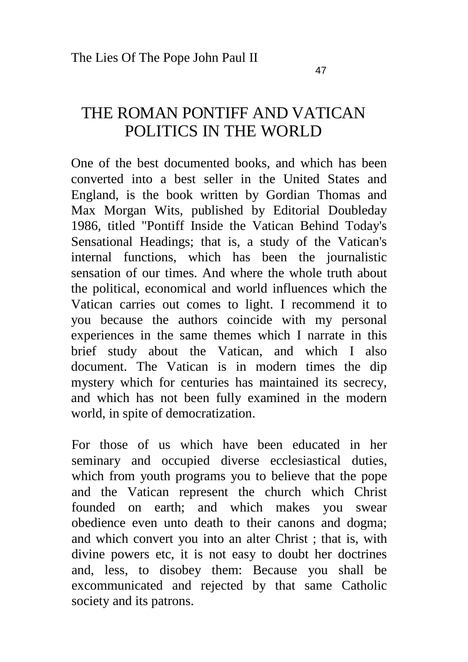#### THE ROMAN PONTIFF AND VATICAN POLITICS IN THE WORLD

One of the best documented books, and which has been converted into a best seller in the United States and England, is the book written by Gordian Thomas and Max Morgan Wits, published by Editorial Doubleday 1986, titled "Pontiff Inside the Vatican Behind Today's Sensational Headings; that is, a study of the Vatican's internal functions, which has been the journalistic sensation of our times. And where the whole truth about the political, economical and world influences which the Vatican carries out comes to light. I recommend it to you because the authors coincide with my personal experiences in the same themes which I narrate in this brief study about the Vatican, and which I also document. The Vatican is in modern times the dip mystery which for centuries has maintained its secrecy, and which has not been fully examined in the modern world, in spite of democratization.

For those of us which have been educated in her seminary and occupied diverse ecclesiastical duties, which from youth programs you to believe that the pope and the Vatican represent the church which Christ founded on earth; and which makes you swear obedience even unto death to their canons and dogma; and which convert you into an alter Christ ; that is, with divine powers etc, it is not easy to doubt her doctrines and, less, to disobey them: Because you shall be excommunicated and rejected by that same Catholic society and its patrons.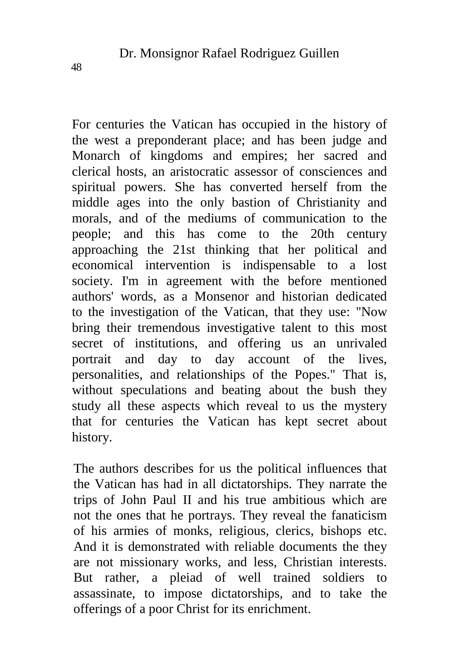For centuries the Vatican has occupied in the history of the west a preponderant place; and has been judge and Monarch of kingdoms and empires; her sacred and clerical hosts, an aristocratic assessor of consciences and spiritual powers. She has converted herself from the middle ages into the only bastion of Christianity and morals, and of the mediums of communication to the people; and this has come to the 20th century approaching the 21st thinking that her political and economical intervention is indispensable to a lost society. I'm in agreement with the before mentioned authors' words, as a Monsenor and historian dedicated to the investigation of the Vatican, that they use: "Now bring their tremendous investigative talent to this most secret of institutions, and offering us an unrivaled portrait and day to day account of the lives, personalities, and relationships of the Popes." That is, without speculations and beating about the bush they study all these aspects which reveal to us the mystery that for centuries the Vatican has kept secret about history.

The authors describes for us the political influences that the Vatican has had in all dictatorships. They narrate the trips of John Paul II and his true ambitious which are not the ones that he portrays. They reveal the fanaticism of his armies of monks, religious, clerics, bishops etc. And it is demonstrated with reliable documents the they are not missionary works, and less, Christian interests. But rather, a pleiad of well trained soldiers to assassinate, to impose dictatorships, and to take the offerings of a poor Christ for its enrichment.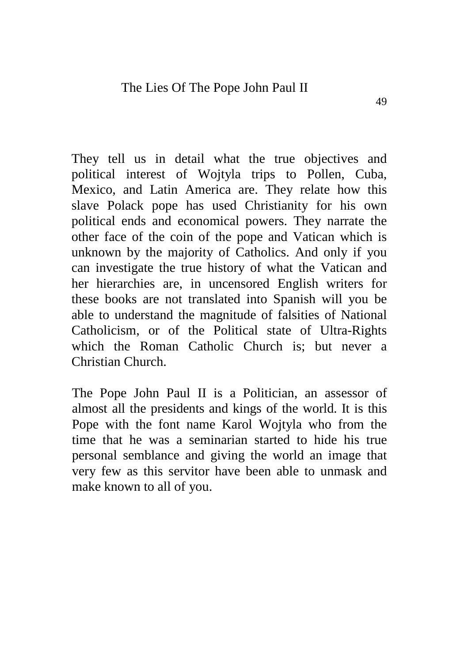They tell us in detail what the true objectives and political interest of Wojtyla trips to Pollen, Cuba, Mexico, and Latin America are. They relate how this slave Polack pope has used Christianity for his own political ends and economical powers. They narrate the other face of the coin of the pope and Vatican which is unknown by the majority of Catholics. And only if you can investigate the true history of what the Vatican and her hierarchies are, in uncensored English writers for these books are not translated into Spanish will you be able to understand the magnitude of falsities of National Catholicism, or of the Political state of Ultra-Rights which the Roman Catholic Church is; but never a Christian Church.

The Pope John Paul II is a Politician, an assessor of almost all the presidents and kings of the world. It is this Pope with the font name Karol Wojtyla who from the time that he was a seminarian started to hide his true personal semblance and giving the world an image that very few as this servitor have been able to unmask and make known to all of you.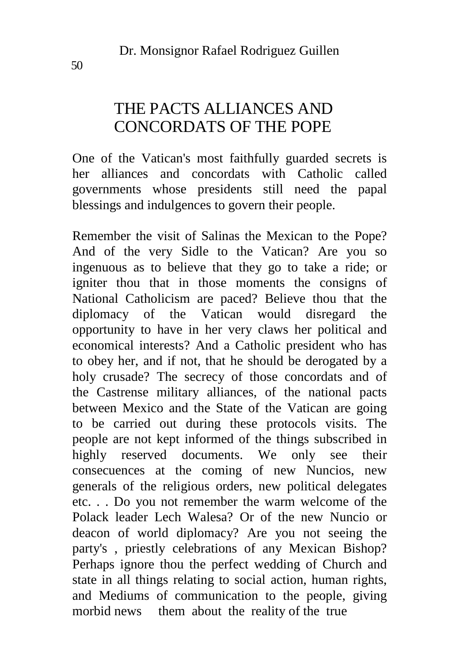### THE PACTS ALLIANCES AND CONCORDATS OF THE POPE

One of the Vatican's most faithfully guarded secrets is her alliances and concordats with Catholic called governments whose presidents still need the papal blessings and indulgences to govern their people.

Remember the visit of Salinas the Mexican to the Pope? And of the very Sidle to the Vatican? Are you so ingenuous as to believe that they go to take a ride; or igniter thou that in those moments the consigns of National Catholicism are paced? Believe thou that the diplomacy of the Vatican would disregard the opportunity to have in her very claws her political and economical interests? And a Catholic president who has to obey her, and if not, that he should be derogated by a holy crusade? The secrecy of those concordats and of the Castrense military alliances, of the national pacts between Mexico and the State of the Vatican are going to be carried out during these protocols visits. The people are not kept informed of the things subscribed in highly reserved documents. We only see their consecuences at the coming of new Nuncios, new generals of the religious orders, new political delegates etc. . . Do you not remember the warm welcome of the Polack leader Lech Walesa? Or of the new Nuncio or deacon of world diplomacy? Are you not seeing the party's , priestly celebrations of any Mexican Bishop? Perhaps ignore thou the perfect wedding of Church and state in all things relating to social action, human rights, and Mediums of communication to the people, giving morbid news them about the reality of the true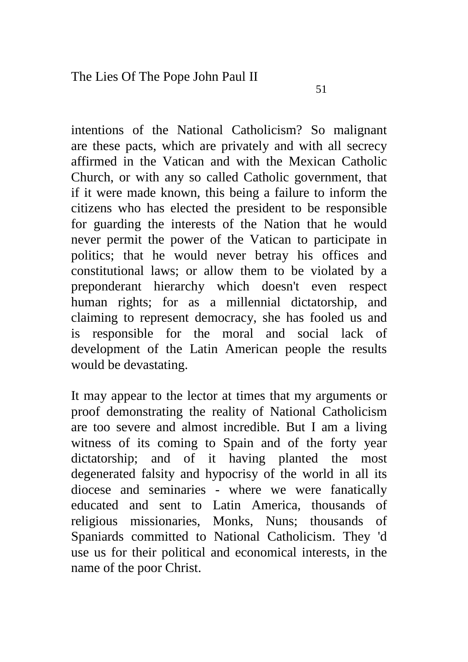intentions of the National Catholicism? So malignant are these pacts, which are privately and with all secrecy affirmed in the Vatican and with the Mexican Catholic Church, or with any so called Catholic government, that if it were made known, this being a failure to inform the citizens who has elected the president to be responsible for guarding the interests of the Nation that he would never permit the power of the Vatican to participate in politics; that he would never betray his offices and constitutional laws; or allow them to be violated by a preponderant hierarchy which doesn't even respect human rights; for as a millennial dictatorship, and claiming to represent democracy, she has fooled us and is responsible for the moral and social lack of development of the Latin American people the results would be devastating.

It may appear to the lector at times that my arguments or proof demonstrating the reality of National Catholicism are too severe and almost incredible. But I am a living witness of its coming to Spain and of the forty year dictatorship; and of it having planted the most degenerated falsity and hypocrisy of the world in all its diocese and seminaries - where we were fanatically educated and sent to Latin America, thousands of religious missionaries, Monks, Nuns; thousands of Spaniards committed to National Catholicism. They 'd use us for their political and economical interests, in the name of the poor Christ.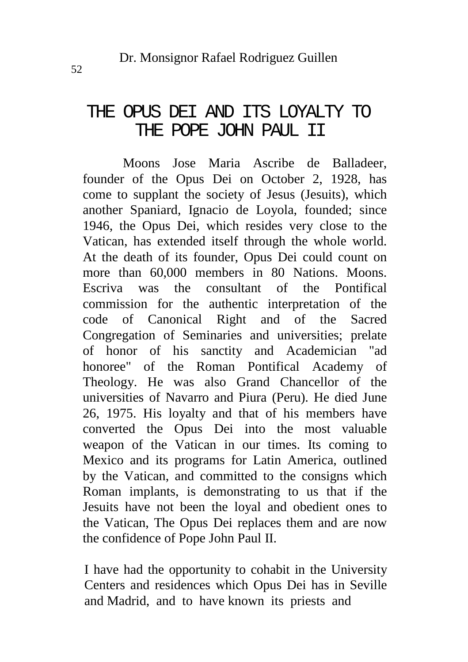#### THE OPUS DEI AND ITS LOYALTY TO THE POPE JOHN PAUL II

Moons Jose Maria Ascribe de Balladeer, founder of the Opus Dei on October 2, 1928, has come to supplant the society of Jesus (Jesuits), which another Spaniard, Ignacio de Loyola, founded; since 1946, the Opus Dei, which resides very close to the Vatican, has extended itself through the whole world. At the death of its founder, Opus Dei could count on more than 60,000 members in 80 Nations. Moons. Escriva was the consultant of the Pontifical commission for the authentic interpretation of the code of Canonical Right and of the Sacred Congregation of Seminaries and universities; prelate of honor of his sanctity and Academician "ad honoree" of the Roman Pontifical Academy of Theology. He was also Grand Chancellor of the universities of Navarro and Piura (Peru). He died June 26, 1975. His loyalty and that of his members have converted the Opus Dei into the most valuable weapon of the Vatican in our times. Its coming to Mexico and its programs for Latin America, outlined by the Vatican, and committed to the consigns which Roman implants, is demonstrating to us that if the Jesuits have not been the loyal and obedient ones to the Vatican, The Opus Dei replaces them and are now the confidence of Pope John Paul II.

I have had the opportunity to cohabit in the University Centers and residences which Opus Dei has in Seville and Madrid, and to have known its priests and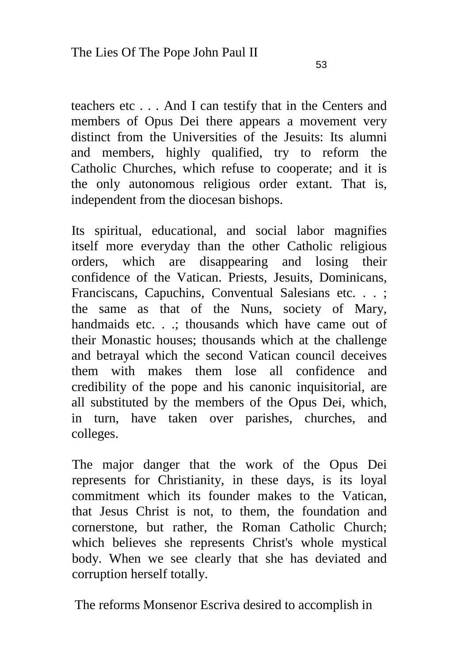teachers etc . . . And I can testify that in the Centers and members of Opus Dei there appears a movement very distinct from the Universities of the Jesuits: Its alumni and members, highly qualified, try to reform the Catholic Churches, which refuse to cooperate; and it is the only autonomous religious order extant. That is, independent from the diocesan bishops.

Its spiritual, educational, and social labor magnifies itself more everyday than the other Catholic religious orders, which are disappearing and losing their confidence of the Vatican. Priests, Jesuits, Dominicans, Franciscans, Capuchins, Conventual Salesians etc. . . ; the same as that of the Nuns, society of Mary, handmaids etc. . .; thousands which have came out of their Monastic houses; thousands which at the challenge and betrayal which the second Vatican council deceives them with makes them lose all confidence and credibility of the pope and his canonic inquisitorial, are all substituted by the members of the Opus Dei, which, in turn, have taken over parishes, churches, and colleges.

The major danger that the work of the Opus Dei represents for Christianity, in these days, is its loyal commitment which its founder makes to the Vatican, that Jesus Christ is not, to them, the foundation and cornerstone, but rather, the Roman Catholic Church; which believes she represents Christ's whole mystical body. When we see clearly that she has deviated and corruption herself totally.

The reforms Monsenor Escriva desired to accomplish in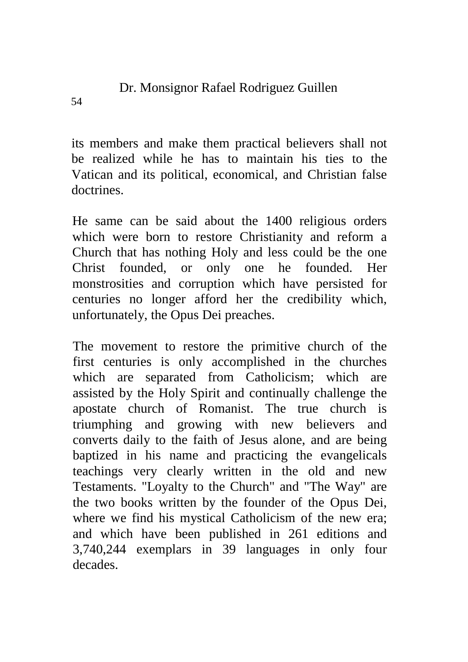its members and make them practical believers shall not be realized while he has to maintain his ties to the Vatican and its political, economical, and Christian false doctrines.

He same can be said about the 1400 religious orders which were born to restore Christianity and reform a Church that has nothing Holy and less could be the one Christ founded, or only one he founded. Her monstrosities and corruption which have persisted for centuries no longer afford her the credibility which, unfortunately, the Opus Dei preaches.

The movement to restore the primitive church of the first centuries is only accomplished in the churches which are separated from Catholicism; which are assisted by the Holy Spirit and continually challenge the apostate church of Romanist. The true church is triumphing and growing with new believers and converts daily to the faith of Jesus alone, and are being baptized in his name and practicing the evangelicals teachings very clearly written in the old and new Testaments. "Loyalty to the Church" and "The Way" are the two books written by the founder of the Opus Dei, where we find his mystical Catholicism of the new era; and which have been published in 261 editions and 3,740,244 exemplars in 39 languages in only four decades.

54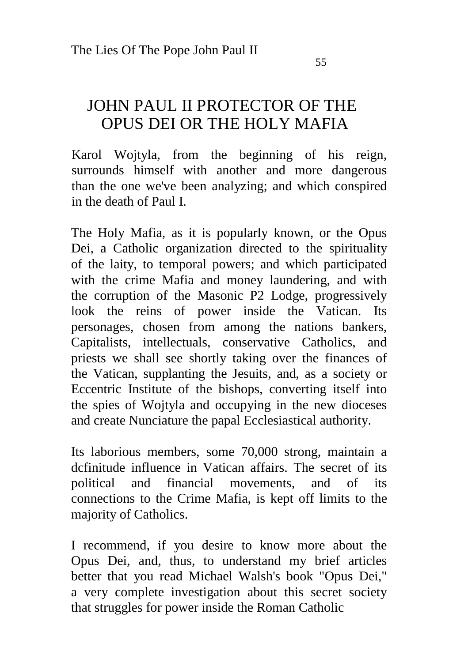### JOHN PAUL II PROTECTOR OF THE OPUS DEI OR THE HOLY MAFIA

Karol Wojtyla, from the beginning of his reign, surrounds himself with another and more dangerous than the one we've been analyzing; and which conspired in the death of Paul I.

The Holy Mafia, as it is popularly known, or the Opus Dei, a Catholic organization directed to the spirituality of the laity, to temporal powers; and which participated with the crime Mafia and money laundering, and with the corruption of the Masonic P2 Lodge, progressively look the reins of power inside the Vatican. Its personages, chosen from among the nations bankers, Capitalists, intellectuals, conservative Catholics, and priests we shall see shortly taking over the finances of the Vatican, supplanting the Jesuits, and, as a society or Eccentric Institute of the bishops, converting itself into the spies of Wojtyla and occupying in the new dioceses and create Nunciature the papal Ecclesiastical authority.

Its laborious members, some 70,000 strong, maintain a dcfinitude influence in Vatican affairs. The secret of its political and financial movements, and of its connections to the Crime Mafia, is kept off limits to the majority of Catholics.

I recommend, if you desire to know more about the Opus Dei, and, thus, to understand my brief articles better that you read Michael Walsh's book "Opus Dei," a very complete investigation about this secret society that struggles for power inside the Roman Catholic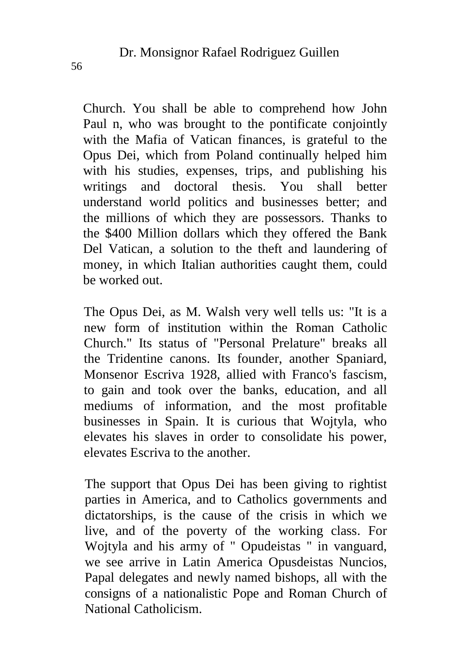Church. You shall be able to comprehend how John Paul n, who was brought to the pontificate conjointly with the Mafia of Vatican finances, is grateful to the Opus Dei, which from Poland continually helped him with his studies, expenses, trips, and publishing his writings and doctoral thesis. You shall better understand world politics and businesses better; and the millions of which they are possessors. Thanks to the \$400 Million dollars which they offered the Bank Del Vatican, a solution to the theft and laundering of money, in which Italian authorities caught them, could be worked out.

The Opus Dei, as M. Walsh very well tells us: "It is a new form of institution within the Roman Catholic Church." Its status of "Personal Prelature" breaks all the Tridentine canons. Its founder, another Spaniard, Monsenor Escriva 1928, allied with Franco's fascism, to gain and took over the banks, education, and all mediums of information, and the most profitable businesses in Spain. It is curious that Wojtyla, who elevates his slaves in order to consolidate his power, elevates Escriva to the another.

The support that Opus Dei has been giving to rightist parties in America, and to Catholics governments and dictatorships, is the cause of the crisis in which we live, and of the poverty of the working class. For Wojtyla and his army of " Opudeistas " in vanguard, we see arrive in Latin America Opusdeistas Nuncios, Papal delegates and newly named bishops, all with the consigns of a nationalistic Pope and Roman Church of National Catholicism.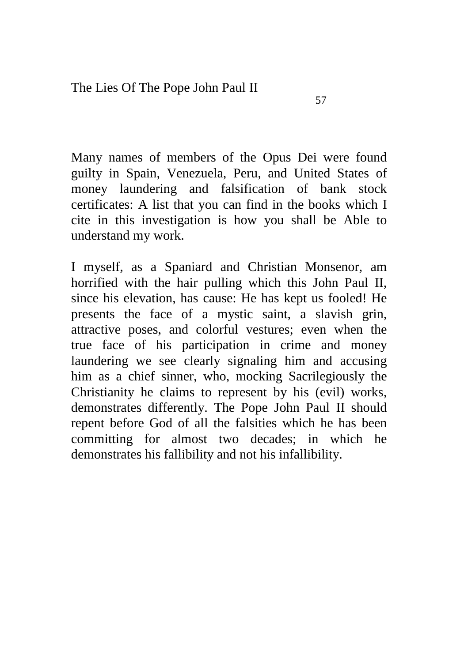Many names of members of the Opus Dei were found guilty in Spain, Venezuela, Peru, and United States of money laundering and falsification of bank stock certificates: A list that you can find in the books which I cite in this investigation is how you shall be Able to understand my work.

I myself, as a Spaniard and Christian Monsenor, am horrified with the hair pulling which this John Paul II, since his elevation, has cause: He has kept us fooled! He presents the face of a mystic saint, a slavish grin, attractive poses, and colorful vestures; even when the true face of his participation in crime and money laundering we see clearly signaling him and accusing him as a chief sinner, who, mocking Sacrilegiously the Christianity he claims to represent by his (evil) works, demonstrates differently. The Pope John Paul II should repent before God of all the falsities which he has been committing for almost two decades; in which he demonstrates his fallibility and not his infallibility.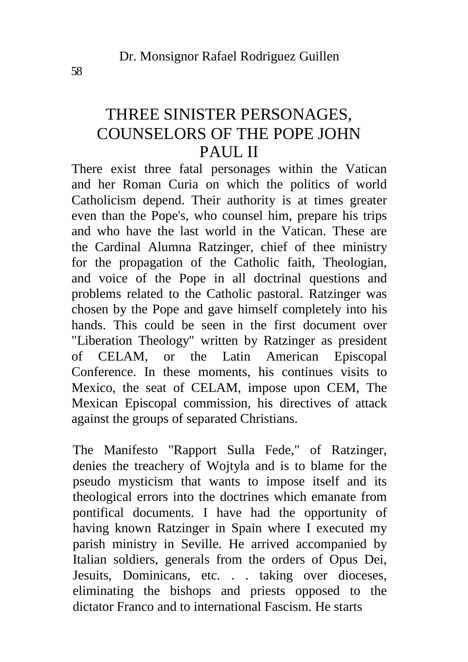#### THREE SINISTER PERSONAGES, COUNSELORS OF THE POPE JOHN PAUL II

There exist three fatal personages within the Vatican and her Roman Curia on which the politics of world Catholicism depend. Their authority is at times greater even than the Pope's, who counsel him, prepare his trips and who have the last world in the Vatican. These are the Cardinal Alumna Ratzinger, chief of thee ministry for the propagation of the Catholic faith, Theologian, and voice of the Pope in all doctrinal questions and problems related to the Catholic pastoral. Ratzinger was chosen by the Pope and gave himself completely into his hands. This could be seen in the first document over "Liberation Theology" written by Ratzinger as president of CELAM, or the Latin American Episcopal Conference. In these moments, his continues visits to Mexico, the seat of CELAM, impose upon CEM, The Mexican Episcopal commission, his directives of attack against the groups of separated Christians.

The Manifesto "Rapport Sulla Fede," of Ratzinger, denies the treachery of Wojtyla and is to blame for the pseudo mysticism that wants to impose itself and its theological errors into the doctrines which emanate from pontifical documents. I have had the opportunity of having known Ratzinger in Spain where I executed my parish ministry in Seville. He arrived accompanied by Italian soldiers, generals from the orders of Opus Dei, Jesuits, Dominicans, etc. . . taking over dioceses, eliminating the bishops and priests opposed to the dictator Franco and to international Fascism. He starts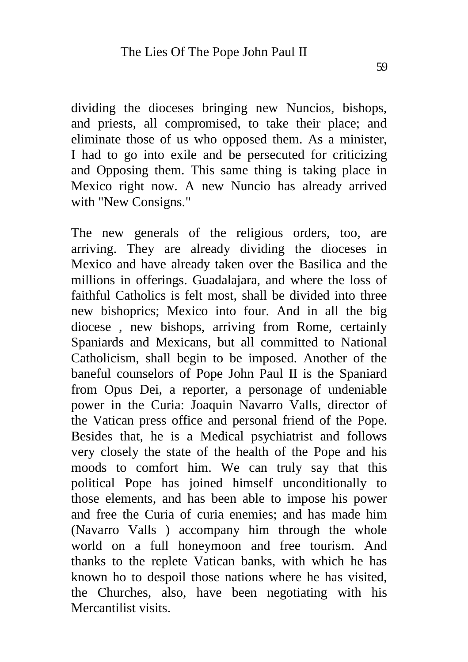dividing the dioceses bringing new Nuncios, bishops, and priests, all compromised, to take their place; and eliminate those of us who opposed them. As a minister, I had to go into exile and be persecuted for criticizing and Opposing them. This same thing is taking place in Mexico right now. A new Nuncio has already arrived with "New Consigns."

The new generals of the religious orders, too, are arriving. They are already dividing the dioceses in Mexico and have already taken over the Basilica and the millions in offerings. Guadalajara, and where the loss of faithful Catholics is felt most, shall be divided into three new bishoprics; Mexico into four. And in all the big diocese , new bishops, arriving from Rome, certainly Spaniards and Mexicans, but all committed to National Catholicism, shall begin to be imposed. Another of the baneful counselors of Pope John Paul II is the Spaniard from Opus Dei, a reporter, a personage of undeniable power in the Curia: Joaquin Navarro Valls, director of the Vatican press office and personal friend of the Pope. Besides that, he is a Medical psychiatrist and follows very closely the state of the health of the Pope and his moods to comfort him. We can truly say that this political Pope has joined himself unconditionally to those elements, and has been able to impose his power and free the Curia of curia enemies; and has made him (Navarro Valls ) accompany him through the whole world on a full honeymoon and free tourism. And thanks to the replete Vatican banks, with which he has known ho to despoil those nations where he has visited, the Churches, also, have been negotiating with his Mercantilist visits.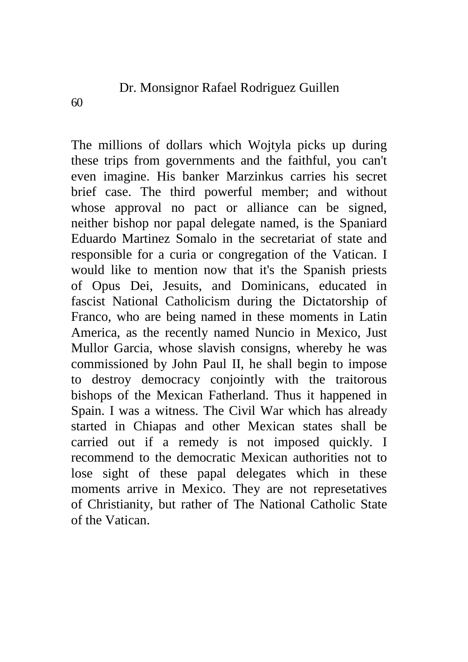The millions of dollars which Wojtyla picks up during these trips from governments and the faithful, you can't even imagine. His banker Marzinkus carries his secret brief case. The third powerful member; and without whose approval no pact or alliance can be signed, neither bishop nor papal delegate named, is the Spaniard Eduardo Martinez Somalo in the secretariat of state and responsible for a curia or congregation of the Vatican. I would like to mention now that it's the Spanish priests of Opus Dei, Jesuits, and Dominicans, educated in fascist National Catholicism during the Dictatorship of Franco, who are being named in these moments in Latin America, as the recently named Nuncio in Mexico, Just Mullor Garcia, whose slavish consigns, whereby he was commissioned by John Paul II, he shall begin to impose to destroy democracy conjointly with the traitorous bishops of the Mexican Fatherland. Thus it happened in Spain. I was a witness. The Civil War which has already started in Chiapas and other Mexican states shall be carried out if a remedy is not imposed quickly. I recommend to the democratic Mexican authorities not to lose sight of these papal delegates which in these moments arrive in Mexico. They are not represetatives of Christianity, but rather of The National Catholic State of the Vatican.

60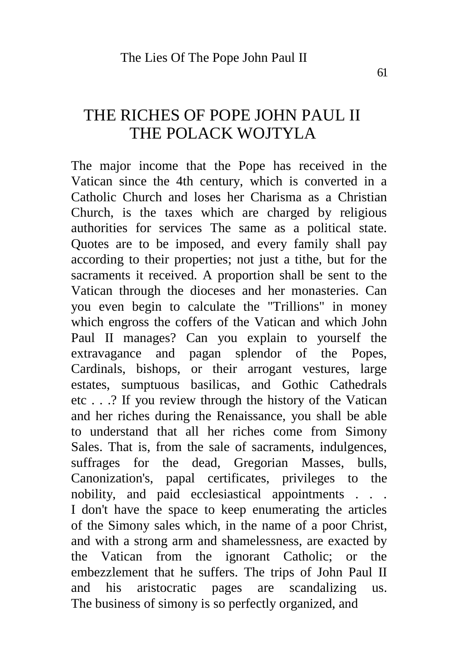#### THE RICHES OF POPE JOHN PAUL II THE POLACK WOJTYLA

The major income that the Pope has received in the Vatican since the 4th century, which is converted in a Catholic Church and loses her Charisma as a Christian Church, is the taxes which are charged by religious authorities for services The same as a political state. Quotes are to be imposed, and every family shall pay according to their properties; not just a tithe, but for the sacraments it received. A proportion shall be sent to the Vatican through the dioceses and her monasteries. Can you even begin to calculate the "Trillions" in money which engross the coffers of the Vatican and which John Paul II manages? Can you explain to yourself the extravagance and pagan splendor of the Popes, Cardinals, bishops, or their arrogant vestures, large estates, sumptuous basilicas, and Gothic Cathedrals etc . . .? If you review through the history of the Vatican and her riches during the Renaissance, you shall be able to understand that all her riches come from Simony Sales. That is, from the sale of sacraments, indulgences, suffrages for the dead, Gregorian Masses, bulls, Canonization's, papal certificates, privileges to the nobility, and paid ecclesiastical appointments . . . I don't have the space to keep enumerating the articles of the Simony sales which, in the name of a poor Christ, and with a strong arm and shamelessness, are exacted by the Vatican from the ignorant Catholic; or the embezzlement that he suffers. The trips of John Paul II and his aristocratic pages are scandalizing us. The business of simony is so perfectly organized, and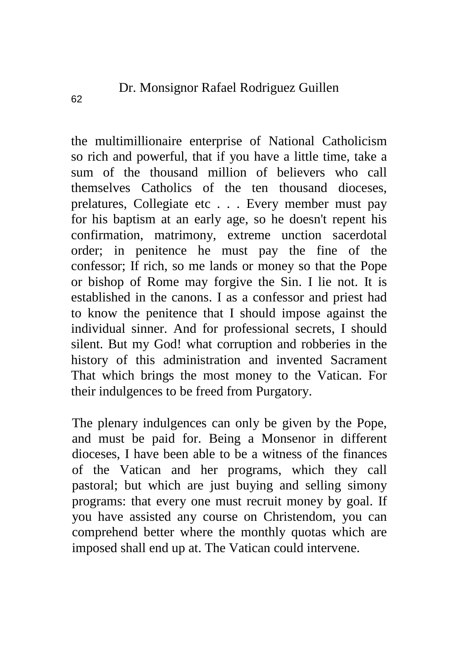the multimillionaire enterprise of National Catholicism so rich and powerful, that if you have a little time, take a sum of the thousand million of believers who call themselves Catholics of the ten thousand dioceses, prelatures, Collegiate etc . . . Every member must pay for his baptism at an early age, so he doesn't repent his confirmation, matrimony, extreme unction sacerdotal order; in penitence he must pay the fine of the confessor; If rich, so me lands or money so that the Pope or bishop of Rome may forgive the Sin. I lie not. It is established in the canons. I as a confessor and priest had to know the penitence that I should impose against the individual sinner. And for professional secrets, I should silent. But my God! what corruption and robberies in the history of this administration and invented Sacrament That which brings the most money to the Vatican. For their indulgences to be freed from Purgatory.

The plenary indulgences can only be given by the Pope, and must be paid for. Being a Monsenor in different dioceses, I have been able to be a witness of the finances of the Vatican and her programs, which they call pastoral; but which are just buying and selling simony programs: that every one must recruit money by goal. If you have assisted any course on Christendom, you can comprehend better where the monthly quotas which are imposed shall end up at. The Vatican could intervene.

62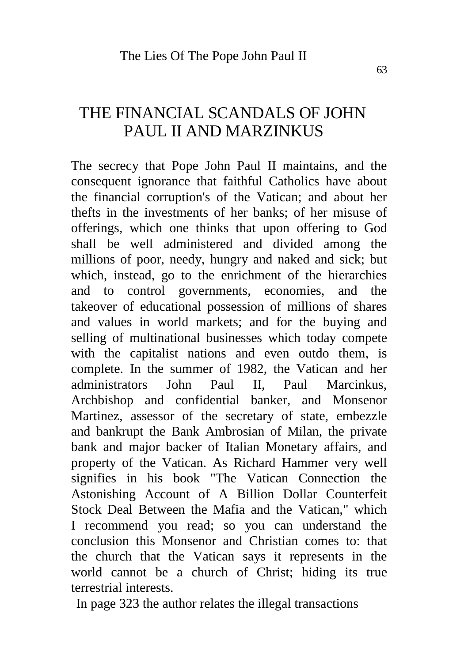#### THE FINANCIAL SCANDALS OF JOHN PAUL II AND MARZINKUS

The secrecy that Pope John Paul II maintains, and the consequent ignorance that faithful Catholics have about the financial corruption's of the Vatican; and about her thefts in the investments of her banks; of her misuse of offerings, which one thinks that upon offering to God shall be well administered and divided among the millions of poor, needy, hungry and naked and sick; but which, instead, go to the enrichment of the hierarchies and to control governments, economies, and the takeover of educational possession of millions of shares and values in world markets; and for the buying and selling of multinational businesses which today compete with the capitalist nations and even outdo them, is complete. In the summer of 1982, the Vatican and her administrators John Paul II, Paul Marcinkus, Archbishop and confidential banker, and Monsenor Martinez, assessor of the secretary of state, embezzle and bankrupt the Bank Ambrosian of Milan, the private bank and major backer of Italian Monetary affairs, and property of the Vatican. As Richard Hammer very well signifies in his book "The Vatican Connection the Astonishing Account of A Billion Dollar Counterfeit Stock Deal Between the Mafia and the Vatican," which I recommend you read; so you can understand the conclusion this Monsenor and Christian comes to: that the church that the Vatican says it represents in the world cannot be a church of Christ; hiding its true terrestrial interests.

In page 323 the author relates the illegal transactions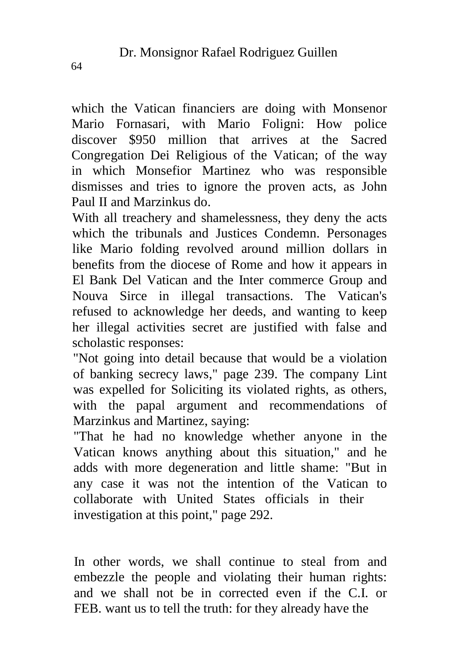which the Vatican financiers are doing with Monsenor Mario Fornasari, with Mario Foligni: How police discover \$950 million that arrives at the Sacred Congregation Dei Religious of the Vatican; of the way in which Monsefior Martinez who was responsible dismisses and tries to ignore the proven acts, as John Paul II and Marzinkus do.

With all treachery and shamelessness, they deny the acts which the tribunals and Justices Condemn. Personages like Mario folding revolved around million dollars in benefits from the diocese of Rome and how it appears in El Bank Del Vatican and the Inter commerce Group and Nouva Sirce in illegal transactions. The Vatican's refused to acknowledge her deeds, and wanting to keep her illegal activities secret are justified with false and scholastic responses:

"Not going into detail because that would be a violation of banking secrecy laws," page 239. The company Lint was expelled for Soliciting its violated rights, as others, with the papal argument and recommendations of Marzinkus and Martinez, saying:

"That he had no knowledge whether anyone in the Vatican knows anything about this situation," and he adds with more degeneration and little shame: "But in any case it was not the intention of the Vatican to collaborate with United States officials in their investigation at this point," page 292.

In other words, we shall continue to steal from and embezzle the people and violating their human rights: and we shall not be in corrected even if the C.I. or FEB. want us to tell the truth: for they already have the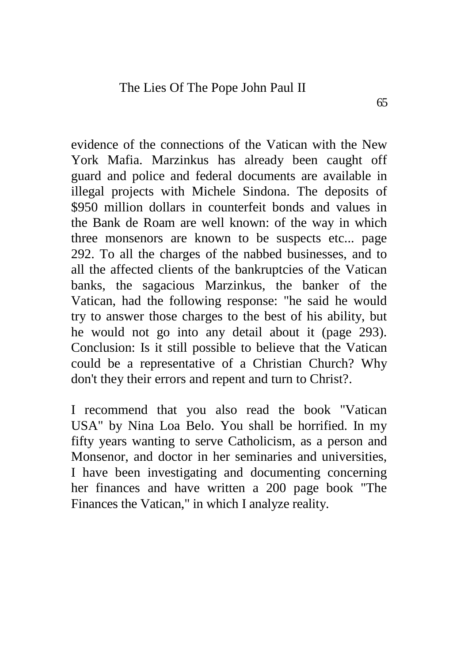evidence of the connections of the Vatican with the New York Mafia. Marzinkus has already been caught off guard and police and federal documents are available in illegal projects with Michele Sindona. The deposits of \$950 million dollars in counterfeit bonds and values in the Bank de Roam are well known: of the way in which three monsenors are known to be suspects etc... page 292. To all the charges of the nabbed businesses, and to all the affected clients of the bankruptcies of the Vatican banks, the sagacious Marzinkus, the banker of the Vatican, had the following response: "he said he would try to answer those charges to the best of his ability, but he would not go into any detail about it (page 293). Conclusion: Is it still possible to believe that the Vatican could be a representative of a Christian Church? Why don't they their errors and repent and turn to Christ?.

I recommend that you also read the book "Vatican USA" by Nina Loa Belo. You shall be horrified. In my fifty years wanting to serve Catholicism, as a person and Monsenor, and doctor in her seminaries and universities, I have been investigating and documenting concerning her finances and have written a 200 page book "The Finances the Vatican," in which I analyze reality.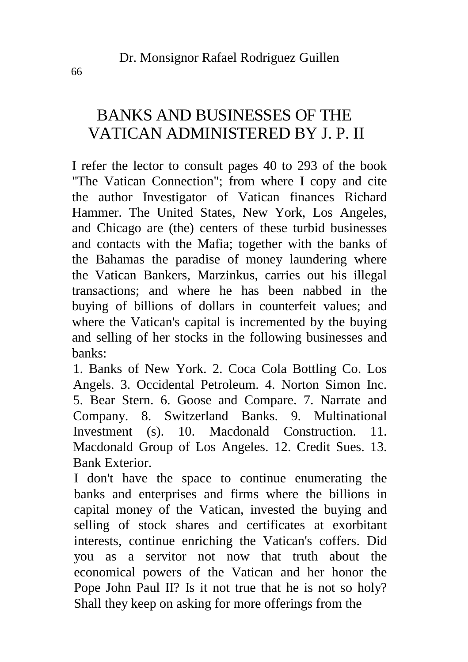# BANKS AND BUSINESSES OF THE VATICAN ADMINISTERED BY J. P. II

I refer the lector to consult pages 40 to 293 of the book "The Vatican Connection"; from where I copy and cite the author Investigator of Vatican finances Richard Hammer. The United States, New York, Los Angeles, and Chicago are (the) centers of these turbid businesses and contacts with the Mafia; together with the banks of the Bahamas the paradise of money laundering where the Vatican Bankers, Marzinkus, carries out his illegal transactions; and where he has been nabbed in the buying of billions of dollars in counterfeit values; and where the Vatican's capital is incremented by the buying and selling of her stocks in the following businesses and banks:

1. Banks of New York. 2. Coca Cola Bottling Co. Los Angels. 3. Occidental Petroleum. 4. Norton Simon Inc. 5. Bear Stern. 6. Goose and Compare. 7. Narrate and Company. 8. Switzerland Banks. 9. Multinational Investment (s). 10. Macdonald Construction. 11. Macdonald Group of Los Angeles. 12. Credit Sues. 13. Bank Exterior.

I don't have the space to continue enumerating the banks and enterprises and firms where the billions in capital money of the Vatican, invested the buying and selling of stock shares and certificates at exorbitant interests, continue enriching the Vatican's coffers. Did you as a servitor not now that truth about the economical powers of the Vatican and her honor the Pope John Paul II? Is it not true that he is not so holy? Shall they keep on asking for more offerings from the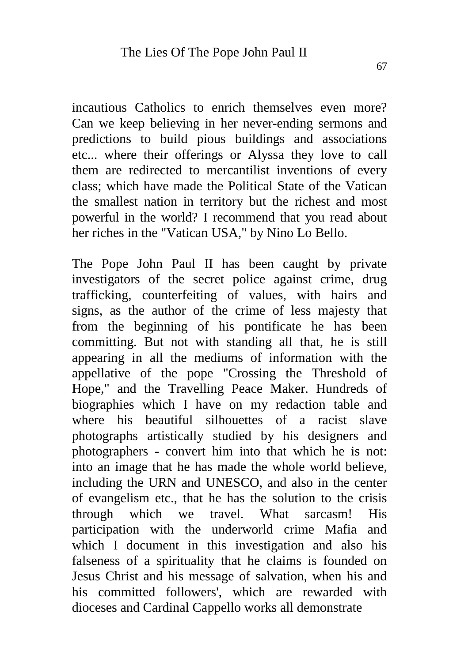incautious Catholics to enrich themselves even more? Can we keep believing in her never-ending sermons and predictions to build pious buildings and associations etc... where their offerings or Alyssa they love to call them are redirected to mercantilist inventions of every class; which have made the Political State of the Vatican the smallest nation in territory but the richest and most powerful in the world? I recommend that you read about her riches in the "Vatican USA," by Nino Lo Bello.

The Pope John Paul II has been caught by private investigators of the secret police against crime, drug trafficking, counterfeiting of values, with hairs and signs, as the author of the crime of less majesty that from the beginning of his pontificate he has been committing. But not with standing all that, he is still appearing in all the mediums of information with the appellative of the pope "Crossing the Threshold of Hope," and the Travelling Peace Maker. Hundreds of biographies which I have on my redaction table and where his beautiful silhouettes of a racist slave photographs artistically studied by his designers and photographers - convert him into that which he is not: into an image that he has made the whole world believe, including the URN and UNESCO, and also in the center of evangelism etc., that he has the solution to the crisis through which we travel. What sarcasm! His participation with the underworld crime Mafia and which I document in this investigation and also his falseness of a spirituality that he claims is founded on Jesus Christ and his message of salvation, when his and his committed followers', which are rewarded with dioceses and Cardinal Cappello works all demonstrate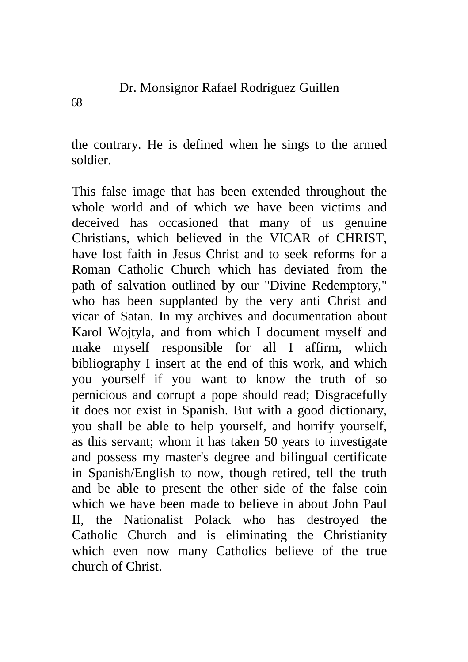the contrary. He is defined when he sings to the armed soldier.

This false image that has been extended throughout the whole world and of which we have been victims and deceived has occasioned that many of us genuine Christians, which believed in the VICAR of CHRIST, have lost faith in Jesus Christ and to seek reforms for a Roman Catholic Church which has deviated from the path of salvation outlined by our "Divine Redemptory," who has been supplanted by the very anti Christ and vicar of Satan. In my archives and documentation about Karol Wojtyla, and from which I document myself and make myself responsible for all I affirm, which bibliography I insert at the end of this work, and which you yourself if you want to know the truth of so pernicious and corrupt a pope should read; Disgracefully it does not exist in Spanish. But with a good dictionary, you shall be able to help yourself, and horrify yourself, as this servant; whom it has taken 50 years to investigate and possess my master's degree and bilingual certificate in Spanish/English to now, though retired, tell the truth and be able to present the other side of the false coin which we have been made to believe in about John Paul II, the Nationalist Polack who has destroyed the Catholic Church and is eliminating the Christianity which even now many Catholics believe of the true church of Christ.

68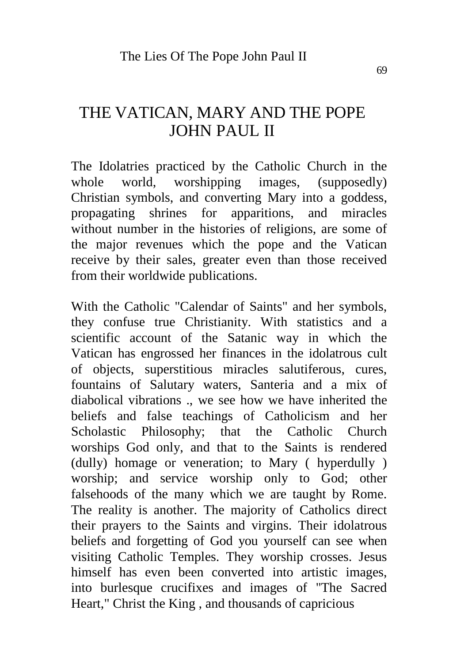### THE VATICAN, MARY AND THE POPE JOHN PAUL II

The Idolatries practiced by the Catholic Church in the whole world, worshipping images, (supposedly) Christian symbols, and converting Mary into a goddess, propagating shrines for apparitions, and miracles without number in the histories of religions, are some of the major revenues which the pope and the Vatican receive by their sales, greater even than those received from their worldwide publications.

With the Catholic "Calendar of Saints" and her symbols, they confuse true Christianity. With statistics and a scientific account of the Satanic way in which the Vatican has engrossed her finances in the idolatrous cult of objects, superstitious miracles salutiferous, cures, fountains of Salutary waters, Santeria and a mix of diabolical vibrations ., we see how we have inherited the beliefs and false teachings of Catholicism and her Scholastic Philosophy; that the Catholic Church worships God only, and that to the Saints is rendered (dully) homage or veneration; to Mary ( hyperdully ) worship; and service worship only to God; other falsehoods of the many which we are taught by Rome. The reality is another. The majority of Catholics direct their prayers to the Saints and virgins. Their idolatrous beliefs and forgetting of God you yourself can see when visiting Catholic Temples. They worship crosses. Jesus himself has even been converted into artistic images, into burlesque crucifixes and images of "The Sacred Heart," Christ the King , and thousands of capricious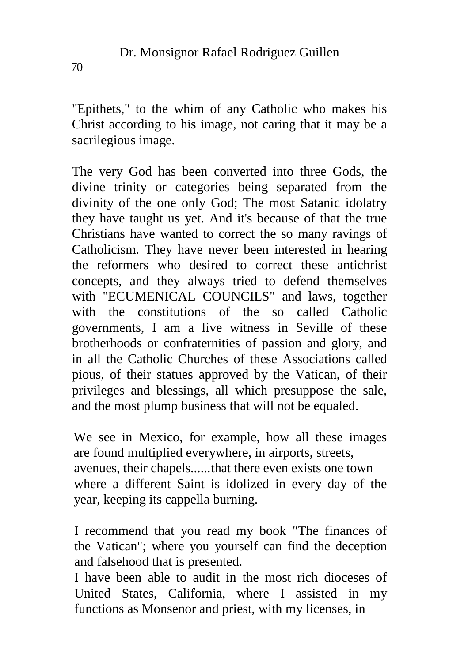"Epithets," to the whim of any Catholic who makes his Christ according to his image, not caring that it may be a sacrilegious image.

The very God has been converted into three Gods, the divine trinity or categories being separated from the divinity of the one only God; The most Satanic idolatry they have taught us yet. And it's because of that the true Christians have wanted to correct the so many ravings of Catholicism. They have never been interested in hearing the reformers who desired to correct these antichrist concepts, and they always tried to defend themselves with "ECUMENICAL COUNCILS" and laws, together with the constitutions of the so called Catholic governments, I am a live witness in Seville of these brotherhoods or confraternities of passion and glory, and in all the Catholic Churches of these Associations called pious, of their statues approved by the Vatican, of their privileges and blessings, all which presuppose the sale, and the most plump business that will not be equaled.

We see in Mexico, for example, how all these images are found multiplied everywhere, in airports, streets, avenues, their chapels......that there even exists one town where a different Saint is idolized in every day of the year, keeping its cappella burning.

I recommend that you read my book "The finances of the Vatican"; where you yourself can find the deception and falsehood that is presented.

I have been able to audit in the most rich dioceses of United States, California, where I assisted in my functions as Monsenor and priest, with my licenses, in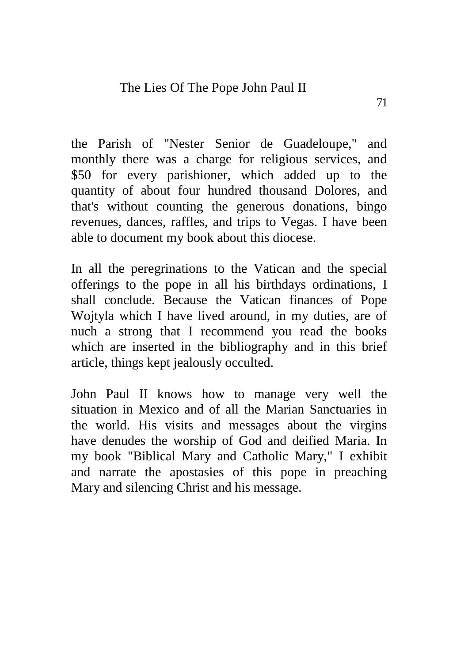the Parish of "Nester Senior de Guadeloupe," and monthly there was a charge for religious services, and \$50 for every parishioner, which added up to the quantity of about four hundred thousand Dolores, and that's without counting the generous donations, bingo revenues, dances, raffles, and trips to Vegas. I have been able to document my book about this diocese.

In all the peregrinations to the Vatican and the special offerings to the pope in all his birthdays ordinations, I shall conclude. Because the Vatican finances of Pope Wojtyla which I have lived around, in my duties, are of nuch a strong that I recommend you read the books which are inserted in the bibliography and in this brief article, things kept jealously occulted.

John Paul II knows how to manage very well the situation in Mexico and of all the Marian Sanctuaries in the world. His visits and messages about the virgins have denudes the worship of God and deified Maria. In my book "Biblical Mary and Catholic Mary," I exhibit and narrate the apostasies of this pope in preaching Mary and silencing Christ and his message.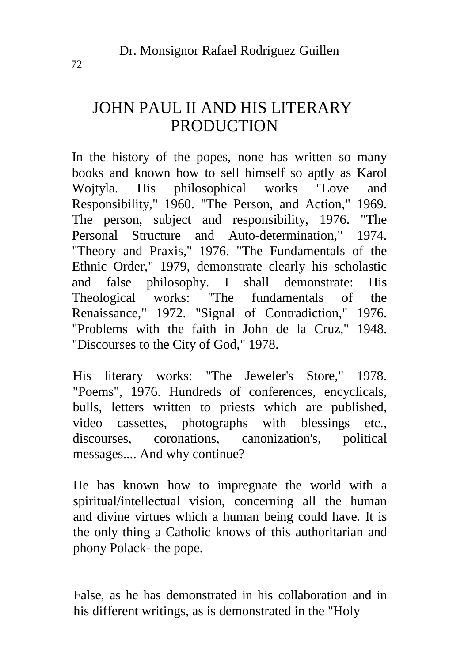# JOHN PAUL II AND HIS LITERARY **PRODUCTION**

In the history of the popes, none has written so many books and known how to sell himself so aptly as Karol Wojtyla. His philosophical works "Love and Responsibility," 1960. "The Person, and Action," 1969. The person, subject and responsibility, 1976. "The Personal Structure and Auto-determination," 1974. "Theory and Praxis," 1976. "The Fundamentals of the Ethnic Order," 1979, demonstrate clearly his scholastic and false philosophy. I shall demonstrate: His<br>Theological works: "The fundamentals of the Theological works: "The fundamentals of the Renaissance," 1972. "Signal of Contradiction," 1976. "Problems with the faith in John de la Cruz," 1948. "Discourses to the City of God," 1978.

His literary works: "The Jeweler's Store," 1978. "Poems", 1976. Hundreds of conferences, encyclicals, bulls, letters written to priests which are published, video cassettes, photographs with blessings etc., discourses, coronations, canonization's, political messages.... And why continue?

He has known how to impregnate the world with a spiritual/intellectual vision, concerning all the human and divine virtues which a human being could have. It is the only thing a Catholic knows of this authoritarian and phony Polack- the pope.

False, as he has demonstrated in his collaboration and in his different writings, as is demonstrated in the "Holy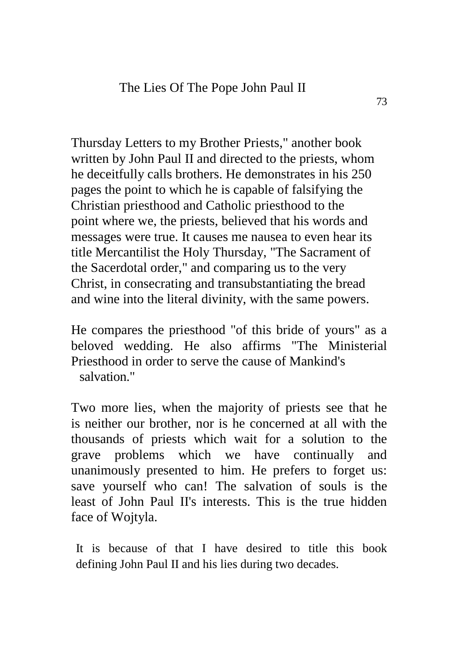Thursday Letters to my Brother Priests," another book written by John Paul II and directed to the priests, whom he deceitfully calls brothers. He demonstrates in his 250 pages the point to which he is capable of falsifying the Christian priesthood and Catholic priesthood to the point where we, the priests, believed that his words and messages were true. It causes me nausea to even hear its title Mercantilist the Holy Thursday, "The Sacrament of the Sacerdotal order," and comparing us to the very Christ, in consecrating and transubstantiating the bread and wine into the literal divinity, with the same powers.

He compares the priesthood "of this bride of yours" as a beloved wedding. He also affirms "The Ministerial Priesthood in order to serve the cause of Mankind's salvation."

Two more lies, when the majority of priests see that he is neither our brother, nor is he concerned at all with the thousands of priests which wait for a solution to the grave problems which we have continually and unanimously presented to him. He prefers to forget us: save yourself who can! The salvation of souls is the least of John Paul II's interests. This is the true hidden face of Wojtyla.

It is because of that I have desired to title this book defining John Paul II and his lies during two decades.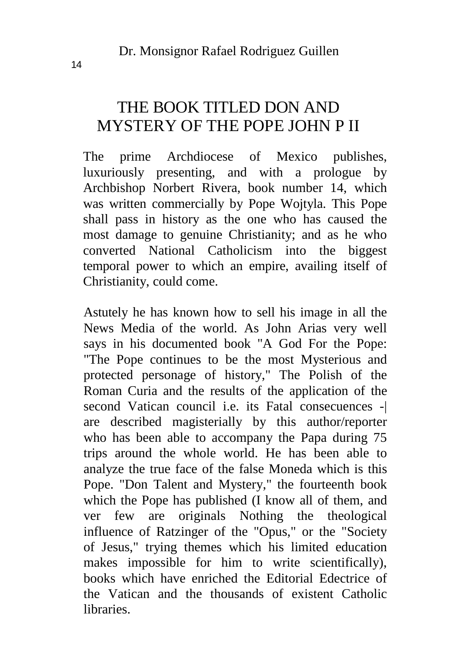# THE BOOK TITLED DON AND MYSTERY OF THE POPE JOHN P II

The prime Archdiocese of Mexico publishes, luxuriously presenting, and with a prologue by Archbishop Norbert Rivera, book number 14, which was written commercially by Pope Wojtyla. This Pope shall pass in history as the one who has caused the most damage to genuine Christianity; and as he who converted National Catholicism into the biggest temporal power to which an empire, availing itself of Christianity, could come.

Astutely he has known how to sell his image in all the News Media of the world. As John Arias very well says in his documented book "A God For the Pope: "The Pope continues to be the most Mysterious and protected personage of history," The Polish of the Roman Curia and the results of the application of the second Vatican council i.e. its Fatal consecuences -| are described magisterially by this author/reporter who has been able to accompany the Papa during 75 trips around the whole world. He has been able to analyze the true face of the false Moneda which is this Pope. "Don Talent and Mystery," the fourteenth book which the Pope has published (I know all of them, and ver few are originals Nothing the theological influence of Ratzinger of the "Opus," or the "Society of Jesus," trying themes which his limited education makes impossible for him to write scientifically), books which have enriched the Editorial Edectrice of the Vatican and the thousands of existent Catholic libraries.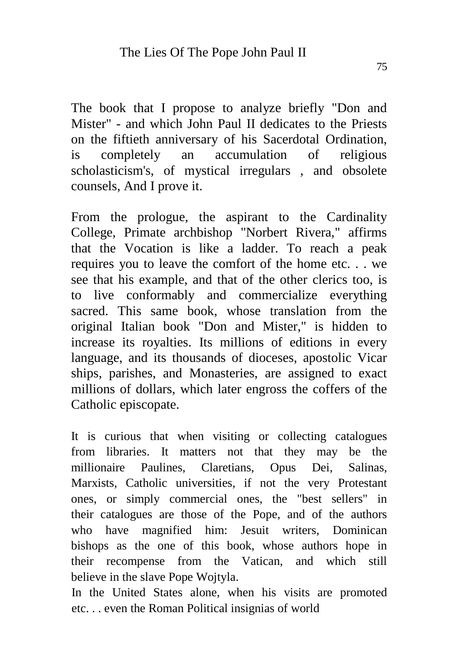The book that I propose to analyze briefly "Don and Mister" - and which John Paul II dedicates to the Priests on the fiftieth anniversary of his Sacerdotal Ordination, is completely an accumulation of religious scholasticism's, of mystical irregulars , and obsolete counsels, And I prove it.

From the prologue, the aspirant to the Cardinality College, Primate archbishop "Norbert Rivera," affirms that the Vocation is like a ladder. To reach a peak requires you to leave the comfort of the home etc. . . we see that his example, and that of the other clerics too, is to live conformably and commercialize everything sacred. This same book, whose translation from the original Italian book "Don and Mister," is hidden to increase its royalties. Its millions of editions in every language, and its thousands of dioceses, apostolic Vicar ships, parishes, and Monasteries, are assigned to exact millions of dollars, which later engross the coffers of the Catholic episcopate.

It is curious that when visiting or collecting catalogues from libraries. It matters not that they may be the millionaire Paulines, Claretians, Opus Dei, Salinas, Marxists, Catholic universities, if not the very Protestant ones, or simply commercial ones, the "best sellers" in their catalogues are those of the Pope, and of the authors who have magnified him: Jesuit writers, Dominican bishops as the one of this book, whose authors hope in their recompense from the Vatican, and which still believe in the slave Pope Wojtyla.

In the United States alone, when his visits are promoted etc. . . even the Roman Political insignias of world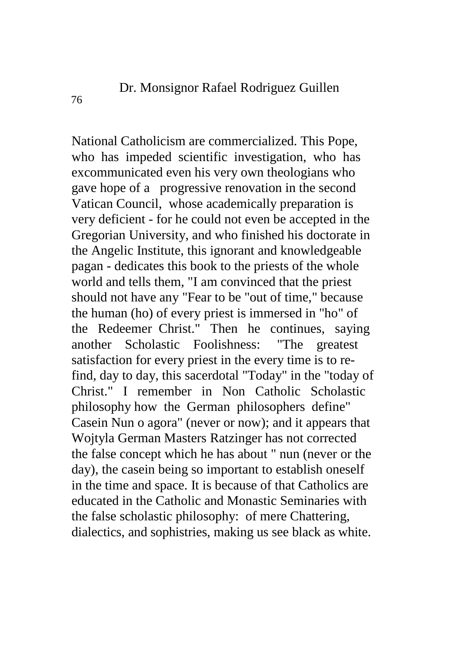National Catholicism are commercialized. This Pope, who has impeded scientific investigation, who has excommunicated even his very own theologians who gave hope of a progressive renovation in the second Vatican Council, whose academically preparation is very deficient - for he could not even be accepted in the Gregorian University, and who finished his doctorate in the Angelic Institute, this ignorant and knowledgeable pagan - dedicates this book to the priests of the whole world and tells them, "I am convinced that the priest should not have any "Fear to be "out of time," because the human (ho) of every priest is immersed in "ho" of the Redeemer Christ." Then he continues, saying another Scholastic Foolishness: "The greatest satisfaction for every priest in the every time is to refind, day to day, this sacerdotal "Today" in the "today of Christ." I remember in Non Catholic Scholastic philosophy how the German philosophers define" Casein Nun o agora" (never or now); and it appears that Wojtyla German Masters Ratzinger has not corrected the false concept which he has about " nun (never or the day), the casein being so important to establish oneself in the time and space. It is because of that Catholics are educated in the Catholic and Monastic Seminaries with the false scholastic philosophy: of mere Chattering, dialectics, and sophistries, making us see black as white.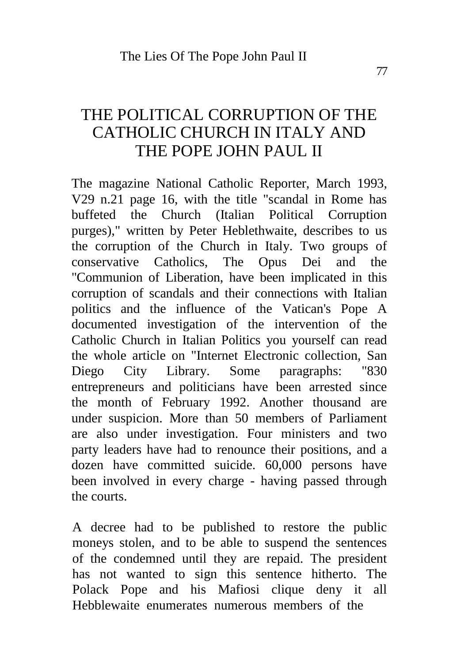# THE POLITICAL CORRUPTION OF THE CATHOLIC CHURCH IN ITALY AND THE POPE JOHN PAUL II

The magazine National Catholic Reporter, March 1993, V29 n.21 page 16, with the title "scandal in Rome has buffeted the Church (Italian Political Corruption purges)," written by Peter Heblethwaite, describes to us the corruption of the Church in Italy. Two groups of conservative Catholics, The Opus Dei and the "Communion of Liberation, have been implicated in this corruption of scandals and their connections with Italian politics and the influence of the Vatican's Pope A documented investigation of the intervention of the Catholic Church in Italian Politics you yourself can read the whole article on "Internet Electronic collection, San Diego City Library. Some paragraphs: "830 entrepreneurs and politicians have been arrested since the month of February 1992. Another thousand are under suspicion. More than 50 members of Parliament are also under investigation. Four ministers and two party leaders have had to renounce their positions, and a dozen have committed suicide. 60,000 persons have been involved in every charge - having passed through the courts.

A decree had to be published to restore the public moneys stolen, and to be able to suspend the sentences of the condemned until they are repaid. The president has not wanted to sign this sentence hitherto. The Polack Pope and his Mafiosi clique deny it all Hebblewaite enumerates numerous members of the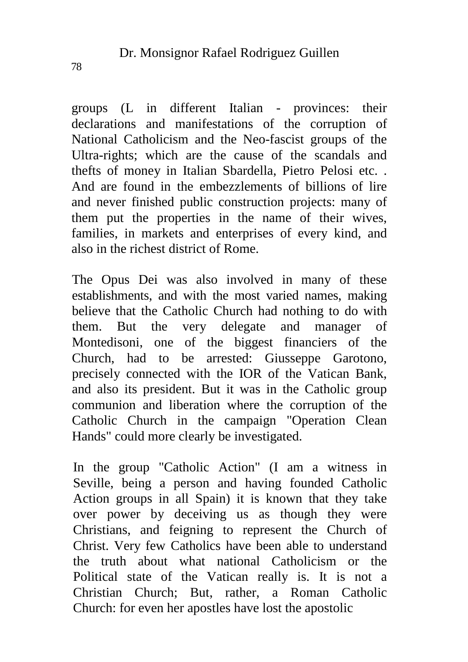groups (L in different Italian - provinces: their declarations and manifestations of the corruption of National Catholicism and the Neo-fascist groups of the Ultra-rights; which are the cause of the scandals and thefts of money in Italian Sbardella, Pietro Pelosi etc. . And are found in the embezzlements of billions of lire and never finished public construction projects: many of them put the properties in the name of their wives, families, in markets and enterprises of every kind, and also in the richest district of Rome.

The Opus Dei was also involved in many of these establishments, and with the most varied names, making believe that the Catholic Church had nothing to do with them. But the very delegate and manager of Montedisoni, one of the biggest financiers of the Church, had to be arrested: Giusseppe Garotono, precisely connected with the IOR of the Vatican Bank, and also its president. But it was in the Catholic group communion and liberation where the corruption of the Catholic Church in the campaign "Operation Clean Hands" could more clearly be investigated.

In the group "Catholic Action" (I am a witness in Seville, being a person and having founded Catholic Action groups in all Spain) it is known that they take over power by deceiving us as though they were Christians, and feigning to represent the Church of Christ. Very few Catholics have been able to understand the truth about what national Catholicism or the Political state of the Vatican really is. It is not a Christian Church; But, rather, a Roman Catholic Church: for even her apostles have lost the apostolic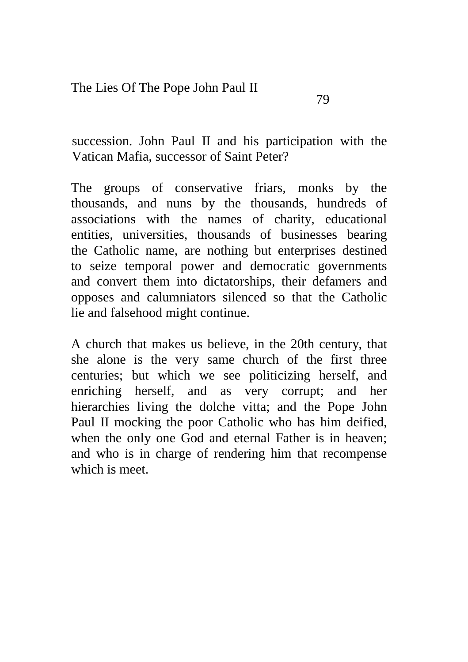succession. John Paul II and his participation with the Vatican Mafia, successor of Saint Peter?

The groups of conservative friars, monks by the thousands, and nuns by the thousands, hundreds of associations with the names of charity, educational entities, universities, thousands of businesses bearing the Catholic name, are nothing but enterprises destined to seize temporal power and democratic governments and convert them into dictatorships, their defamers and opposes and calumniators silenced so that the Catholic lie and falsehood might continue.

A church that makes us believe, in the 20th century, that she alone is the very same church of the first three centuries; but which we see politicizing herself, and enriching herself, and as very corrupt; and her hierarchies living the dolche vitta; and the Pope John Paul II mocking the poor Catholic who has him deified, when the only one God and eternal Father is in heaven; and who is in charge of rendering him that recompense which is meet.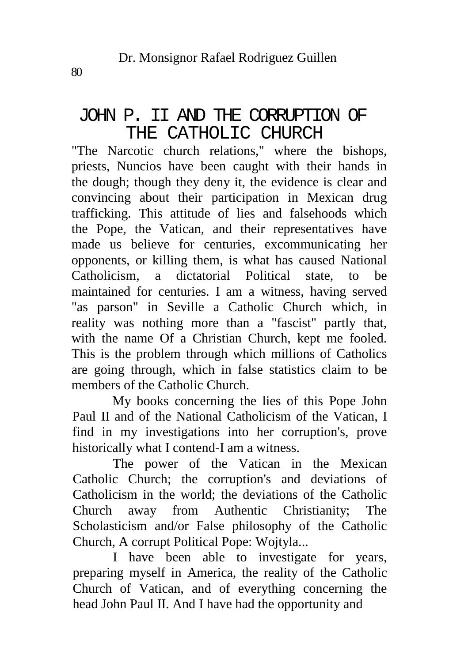#### JOHN P. II AND THE CORRUPTION OF THE CATHOLIC CHURCH

"The Narcotic church relations," where the bishops, priests, Nuncios have been caught with their hands in the dough; though they deny it, the evidence is clear and convincing about their participation in Mexican drug trafficking. This attitude of lies and falsehoods which the Pope, the Vatican, and their representatives have made us believe for centuries, excommunicating her opponents, or killing them, is what has caused National Catholicism, a dictatorial Political state, to be maintained for centuries. I am a witness, having served "as parson" in Seville a Catholic Church which, in reality was nothing more than a "fascist" partly that, with the name Of a Christian Church, kept me fooled. This is the problem through which millions of Catholics are going through, which in false statistics claim to be members of the Catholic Church.

My books concerning the lies of this Pope John Paul II and of the National Catholicism of the Vatican, I find in my investigations into her corruption's, prove historically what I contend-I am a witness.

The power of the Vatican in the Mexican Catholic Church; the corruption's and deviations of Catholicism in the world; the deviations of the Catholic Church away from Authentic Christianity; The Scholasticism and/or False philosophy of the Catholic Church, A corrupt Political Pope: Wojtyla...

I have been able to investigate for years, preparing myself in America, the reality of the Catholic Church of Vatican, and of everything concerning the head John Paul II. And I have had the opportunity and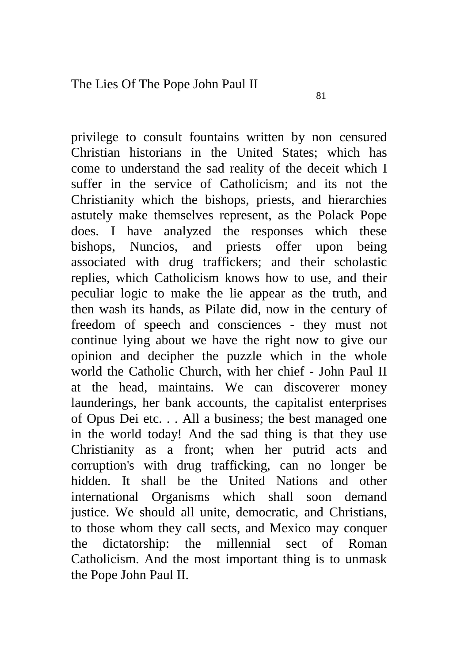privilege to consult fountains written by non censured Christian historians in the United States; which has come to understand the sad reality of the deceit which I suffer in the service of Catholicism; and its not the Christianity which the bishops, priests, and hierarchies astutely make themselves represent, as the Polack Pope does. I have analyzed the responses which these bishops, Nuncios, and priests offer upon being associated with drug traffickers; and their scholastic replies, which Catholicism knows how to use, and their peculiar logic to make the lie appear as the truth, and then wash its hands, as Pilate did, now in the century of freedom of speech and consciences - they must not continue lying about we have the right now to give our opinion and decipher the puzzle which in the whole world the Catholic Church, with her chief - John Paul II at the head, maintains. We can discoverer money launderings, her bank accounts, the capitalist enterprises of Opus Dei etc. . . All a business; the best managed one in the world today! And the sad thing is that they use Christianity as a front; when her putrid acts and corruption's with drug trafficking, can no longer be hidden. It shall be the United Nations and other international Organisms which shall soon demand justice. We should all unite, democratic, and Christians, to those whom they call sects, and Mexico may conquer the dictatorship: the millennial sect of Roman Catholicism. And the most important thing is to unmask the Pope John Paul II.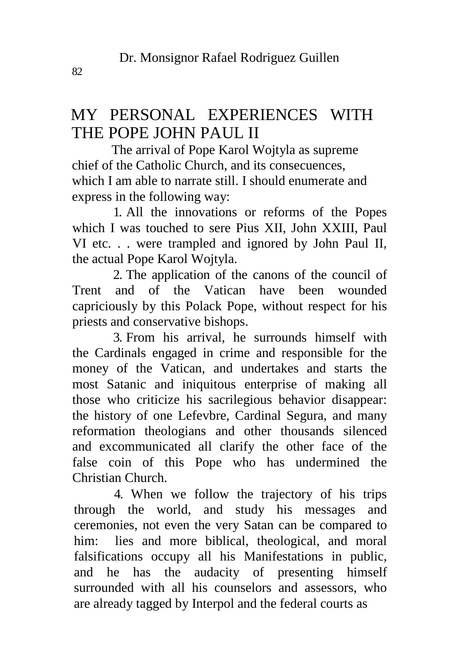# MY PERSONAL EXPERIENCES WITH THE POPE JOHN PAUL II

The arrival of Pope Karol Wojtyla as supreme chief of the Catholic Church, and its consecuences, which I am able to narrate still. I should enumerate and express in the following way:

1. All the innovations or reforms of the Popes which I was touched to sere Pius XII, John XXIII, Paul VI etc. . . were trampled and ignored by John Paul II, the actual Pope Karol Wojtyla.

2. The application of the canons of the council of Trent and of the Vatican have been wounded capriciously by this Polack Pope, without respect for his priests and conservative bishops.

3. From his arrival, he surrounds himself with the Cardinals engaged in crime and responsible for the money of the Vatican, and undertakes and starts the most Satanic and iniquitous enterprise of making all those who criticize his sacrilegious behavior disappear: the history of one Lefevbre, Cardinal Segura, and many reformation theologians and other thousands silenced and excommunicated all clarify the other face of the false coin of this Pope who has undermined the Christian Church.

4. When we follow the trajectory of his trips through the world, and study his messages and ceremonies, not even the very Satan can be compared to him: lies and more biblical, theological, and moral falsifications occupy all his Manifestations in public, and he has the audacity of presenting himself surrounded with all his counselors and assessors, who are already tagged by Interpol and the federal courts as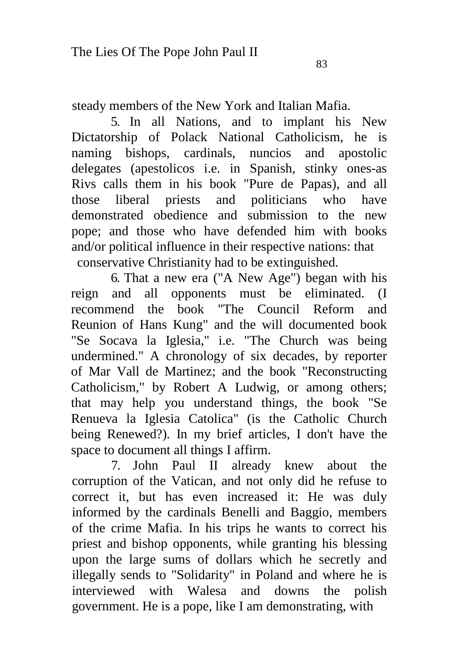steady members of the New York and Italian Mafia.

5. In all Nations, and to implant his New Dictatorship of Polack National Catholicism, he is naming bishops, cardinals, nuncios and apostolic delegates (apestolicos i.e. in Spanish, stinky ones-as Rivs calls them in his book "Pure de Papas), and all those liberal priests and politicians who have demonstrated obedience and submission to the new pope; and those who have defended him with books and/or political influence in their respective nations: that conservative Christianity had to be extinguished.

6. That a new era ("A New Age") began with his reign and all opponents must be eliminated. (I recommend the book "The Council Reform and Reunion of Hans Kung" and the will documented book "Se Socava la Iglesia," i.e. "The Church was being undermined." A chronology of six decades, by reporter of Mar Vall de Martinez; and the book "Reconstructing Catholicism," by Robert A Ludwig, or among others; that may help you understand things, the book "Se Renueva la Iglesia Catolica" (is the Catholic Church being Renewed?). In my brief articles, I don't have the space to document all things I affirm.

7. John Paul II already knew about the corruption of the Vatican, and not only did he refuse to correct it, but has even increased it: He was duly informed by the cardinals Benelli and Baggio, members of the crime Mafia. In his trips he wants to correct his priest and bishop opponents, while granting his blessing upon the large sums of dollars which he secretly and illegally sends to "Solidarity" in Poland and where he is interviewed with Walesa and downs the polish government. He is a pope, like I am demonstrating, with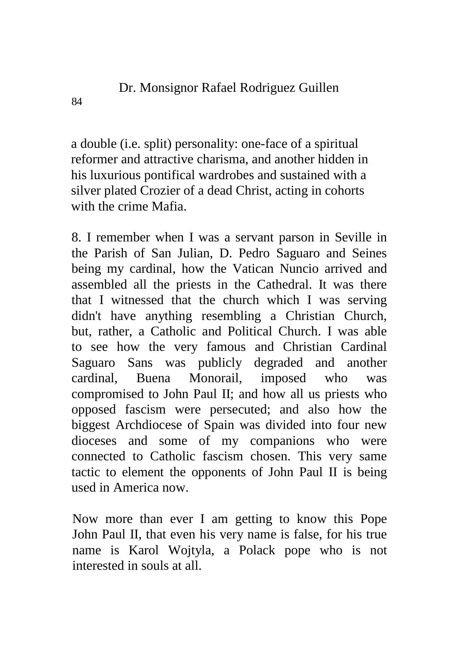a double (i.e. split) personality: one-face of a spiritual reformer and attractive charisma, and another hidden in his luxurious pontifical wardrobes and sustained with a silver plated Crozier of a dead Christ, acting in cohorts with the crime Mafia.

8. I remember when I was a servant parson in Seville in the Parish of San Julian, D. Pedro Saguaro and Seines being my cardinal, how the Vatican Nuncio arrived and assembled all the priests in the Cathedral. It was there that I witnessed that the church which I was serving didn't have anything resembling a Christian Church, but, rather, a Catholic and Political Church. I was able to see how the very famous and Christian Cardinal Saguaro Sans was publicly degraded and another cardinal, Buena Monorail, imposed who was compromised to John Paul II; and how all us priests who opposed fascism were persecuted; and also how the biggest Archdiocese of Spain was divided into four new dioceses and some of my companions who were connected to Catholic fascism chosen. This very same tactic to element the opponents of John Paul II is being used in America now.

Now more than ever I am getting to know this Pope John Paul II, that even his very name is false, for his true name is Karol Wojtyla, a Polack pope who is not interested in souls at all.

84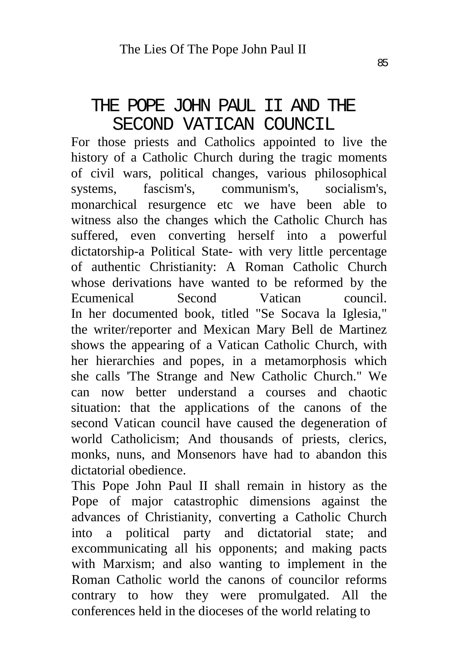#### THE POPE JOHN PAUL II AND THE SECOND VATICAN COUNCIL

For those priests and Catholics appointed to live the history of a Catholic Church during the tragic moments of civil wars, political changes, various philosophical systems, fascism's, communism's, socialism's, monarchical resurgence etc we have been able to witness also the changes which the Catholic Church has suffered, even converting herself into a powerful dictatorship-a Political State- with very little percentage of authentic Christianity: A Roman Catholic Church whose derivations have wanted to be reformed by the Ecumenical Second Vatican council. In her documented book, titled "Se Socava la Iglesia," the writer/reporter and Mexican Mary Bell de Martinez shows the appearing of a Vatican Catholic Church, with her hierarchies and popes, in a metamorphosis which she calls 'The Strange and New Catholic Church." We can now better understand a courses and chaotic situation: that the applications of the canons of the second Vatican council have caused the degeneration of world Catholicism; And thousands of priests, clerics, monks, nuns, and Monsenors have had to abandon this dictatorial obedience.

This Pope John Paul II shall remain in history as the Pope of major catastrophic dimensions against the advances of Christianity, converting a Catholic Church into a political party and dictatorial state; and excommunicating all his opponents; and making pacts with Marxism; and also wanting to implement in the Roman Catholic world the canons of councilor reforms contrary to how they were promulgated. All the conferences held in the dioceses of the world relating to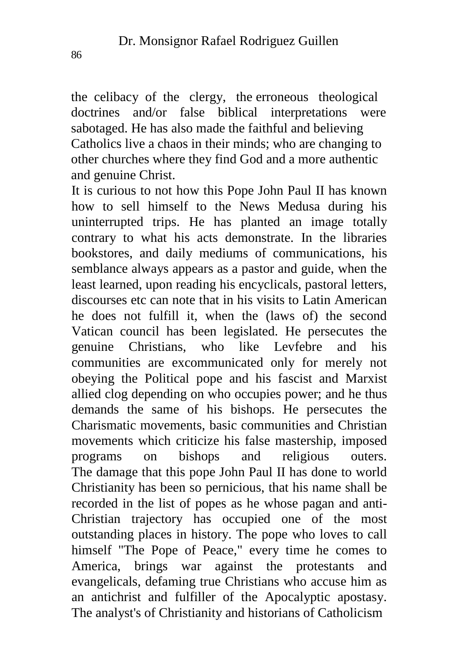the celibacy of the clergy, the erroneous theological doctrines and/or false biblical interpretations were sabotaged. He has also made the faithful and believing Catholics live a chaos in their minds; who are changing to other churches where they find God and a more authentic and genuine Christ.

It is curious to not how this Pope John Paul II has known how to sell himself to the News Medusa during his uninterrupted trips. He has planted an image totally contrary to what his acts demonstrate. In the libraries bookstores, and daily mediums of communications, his semblance always appears as a pastor and guide, when the least learned, upon reading his encyclicals, pastoral letters, discourses etc can note that in his visits to Latin American he does not fulfill it, when the (laws of) the second Vatican council has been legislated. He persecutes the genuine Christians, who like Levfebre and his communities are excommunicated only for merely not obeying the Political pope and his fascist and Marxist allied clog depending on who occupies power; and he thus demands the same of his bishops. He persecutes the Charismatic movements, basic communities and Christian movements which criticize his false mastership, imposed programs on bishops and religious outers. The damage that this pope John Paul II has done to world Christianity has been so pernicious, that his name shall be recorded in the list of popes as he whose pagan and anti-Christian trajectory has occupied one of the most outstanding places in history. The pope who loves to call himself "The Pope of Peace," every time he comes to America, brings war against the protestants and evangelicals, defaming true Christians who accuse him as an antichrist and fulfiller of the Apocalyptic apostasy. The analyst's of Christianity and historians of Catholicism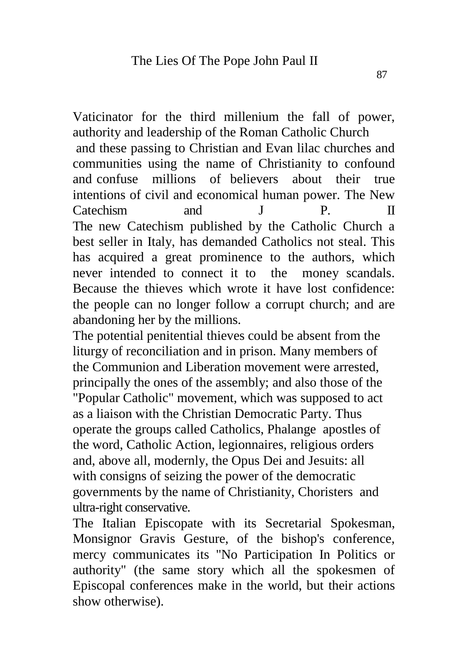Vaticinator for the third millenium the fall of power, authority and leadership of the Roman Catholic Church and these passing to Christian and Evan lilac churches and communities using the name of Christianity to confound and confuse millions of believers about their true

intentions of civil and economical human power. The New Catechism and J P. II The new Catechism published by the Catholic Church a best seller in Italy, has demanded Catholics not steal. This has acquired a great prominence to the authors, which never intended to connect it to the money scandals. Because the thieves which wrote it have lost confidence: the people can no longer follow a corrupt church; and are abandoning her by the millions.

The potential penitential thieves could be absent from the liturgy of reconciliation and in prison. Many members of the Communion and Liberation movement were arrested, principally the ones of the assembly; and also those of the "Popular Catholic" movement, which was supposed to act as a liaison with the Christian Democratic Party. Thus operate the groups called Catholics, Phalange apostles of the word, Catholic Action, legionnaires, religious orders and, above all, modernly, the Opus Dei and Jesuits: all with consigns of seizing the power of the democratic governments by the name of Christianity, Choristers and ultra-right conservative.

The Italian Episcopate with its Secretarial Spokesman, Monsignor Gravis Gesture, of the bishop's conference, mercy communicates its "No Participation In Politics or authority" (the same story which all the spokesmen of Episcopal conferences make in the world, but their actions show otherwise).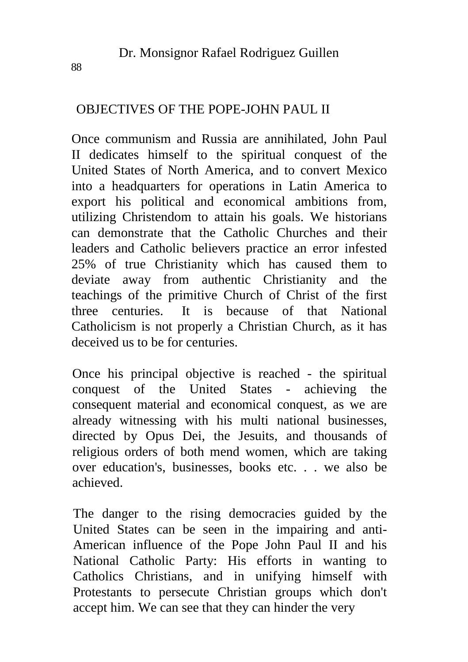#### OBJECTIVES OF THE POPE-JOHN PAUL II

Once communism and Russia are annihilated, John Paul II dedicates himself to the spiritual conquest of the United States of North America, and to convert Mexico into a headquarters for operations in Latin America to export his political and economical ambitions from, utilizing Christendom to attain his goals. We historians can demonstrate that the Catholic Churches and their leaders and Catholic believers practice an error infested 25% of true Christianity which has caused them to deviate away from authentic Christianity and the teachings of the primitive Church of Christ of the first three centuries. It is because of that National Catholicism is not properly a Christian Church, as it has deceived us to be for centuries.

Once his principal objective is reached - the spiritual conquest of the United States - achieving the consequent material and economical conquest, as we are already witnessing with his multi national businesses, directed by Opus Dei, the Jesuits, and thousands of religious orders of both mend women, which are taking over education's, businesses, books etc. . . we also be achieved.

The danger to the rising democracies guided by the United States can be seen in the impairing and anti-American influence of the Pope John Paul II and his National Catholic Party: His efforts in wanting to Catholics Christians, and in unifying himself with Protestants to persecute Christian groups which don't accept him. We can see that they can hinder the very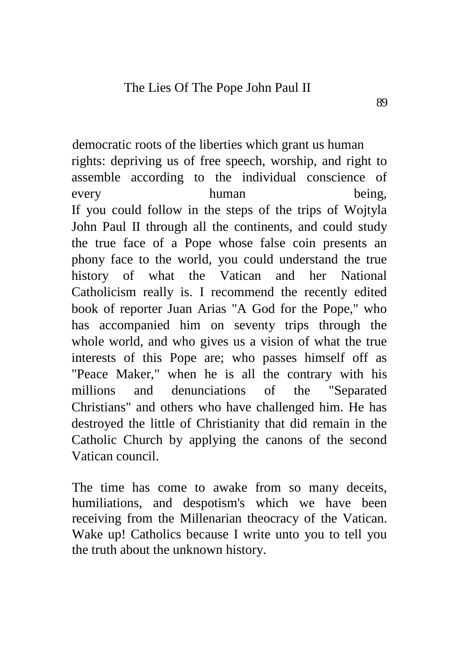democratic roots of the liberties which grant us human rights: depriving us of free speech, worship, and right to assemble according to the individual conscience of every human being, If you could follow in the steps of the trips of Wojtyla John Paul II through all the continents, and could study the true face of a Pope whose false coin presents an phony face to the world, you could understand the true history of what the Vatican and her National Catholicism really is. I recommend the recently edited book of reporter Juan Arias "A God for the Pope," who has accompanied him on seventy trips through the whole world, and who gives us a vision of what the true interests of this Pope are; who passes himself off as "Peace Maker," when he is all the contrary with his millions and denunciations of the "Separated Christians" and others who have challenged him. He has destroyed the little of Christianity that did remain in the Catholic Church by applying the canons of the second Vatican council.

The time has come to awake from so many deceits, humiliations, and despotism's which we have been receiving from the Millenarian theocracy of the Vatican. Wake up! Catholics because I write unto you to tell you the truth about the unknown history.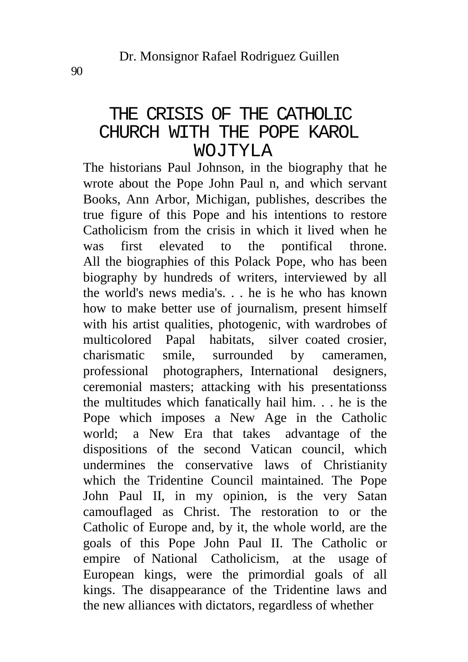# THE CRISIS OF THE CATHOLIC CHURCH WITH THE POPE KAROL WOJTYLA

The historians Paul Johnson, in the biography that he wrote about the Pope John Paul n, and which servant Books, Ann Arbor, Michigan, publishes, describes the true figure of this Pope and his intentions to restore Catholicism from the crisis in which it lived when he was first elevated to the pontifical throne. All the biographies of this Polack Pope, who has been biography by hundreds of writers, interviewed by all the world's news media's. . . he is he who has known how to make better use of journalism, present himself with his artist qualities, photogenic, with wardrobes of multicolored Papal habitats, silver coated crosier, charismatic smile, surrounded by cameramen, professional photographers, International designers, ceremonial masters; attacking with his presentationss the multitudes which fanatically hail him. . . he is the Pope which imposes a New Age in the Catholic world; a New Era that takes advantage of the dispositions of the second Vatican council, which undermines the conservative laws of Christianity which the Tridentine Council maintained. The Pope John Paul II, in my opinion, is the very Satan camouflaged as Christ. The restoration to or the Catholic of Europe and, by it, the whole world, are the goals of this Pope John Paul II. The Catholic or empire of National Catholicism, at the usage of European kings, were the primordial goals of all kings. The disappearance of the Tridentine laws and the new alliances with dictators, regardless of whether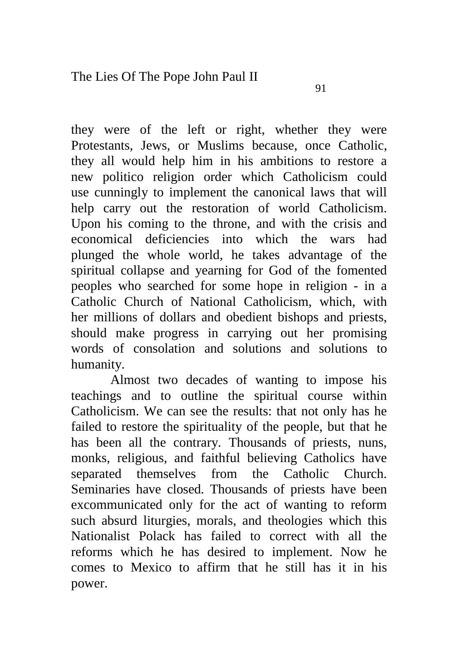they were of the left or right, whether they were Protestants, Jews, or Muslims because, once Catholic, they all would help him in his ambitions to restore a new politico religion order which Catholicism could use cunningly to implement the canonical laws that will help carry out the restoration of world Catholicism. Upon his coming to the throne, and with the crisis and economical deficiencies into which the wars had plunged the whole world, he takes advantage of the spiritual collapse and yearning for God of the fomented peoples who searched for some hope in religion - in a Catholic Church of National Catholicism, which, with her millions of dollars and obedient bishops and priests, should make progress in carrying out her promising words of consolation and solutions and solutions to humanity.

Almost two decades of wanting to impose his teachings and to outline the spiritual course within Catholicism. We can see the results: that not only has he failed to restore the spirituality of the people, but that he has been all the contrary. Thousands of priests, nuns, monks, religious, and faithful believing Catholics have separated themselves from the Catholic Church. Seminaries have closed. Thousands of priests have been excommunicated only for the act of wanting to reform such absurd liturgies, morals, and theologies which this Nationalist Polack has failed to correct with all the reforms which he has desired to implement. Now he comes to Mexico to affirm that he still has it in his power.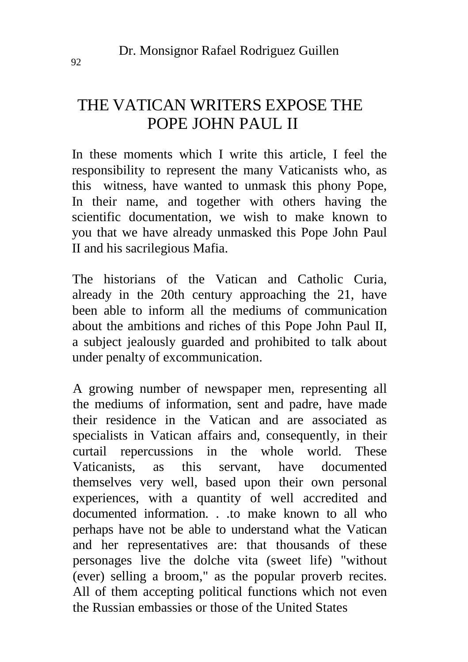# THE VATICAN WRITERS EXPOSE THE POPE JOHN PAUL II

In these moments which I write this article, I feel the responsibility to represent the many Vaticanists who, as this witness, have wanted to unmask this phony Pope, In their name, and together with others having the scientific documentation, we wish to make known to you that we have already unmasked this Pope John Paul II and his sacrilegious Mafia.

The historians of the Vatican and Catholic Curia, already in the 20th century approaching the 21, have been able to inform all the mediums of communication about the ambitions and riches of this Pope John Paul II, a subject jealously guarded and prohibited to talk about under penalty of excommunication.

A growing number of newspaper men, representing all the mediums of information, sent and padre, have made their residence in the Vatican and are associated as specialists in Vatican affairs and, consequently, in their curtail repercussions in the whole world. These Vaticanists, as this servant, have documented themselves very well, based upon their own personal experiences, with a quantity of well accredited and documented information. . . to make known to all who perhaps have not be able to understand what the Vatican and her representatives are: that thousands of these personages live the dolche vita (sweet life) "without (ever) selling a broom," as the popular proverb recites. All of them accepting political functions which not even the Russian embassies or those of the United States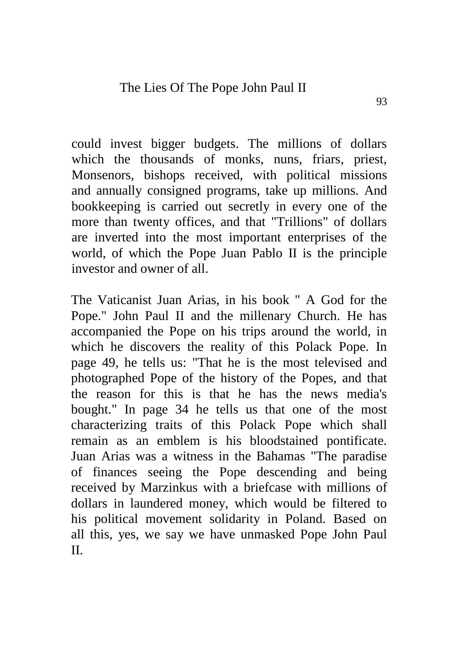could invest bigger budgets. The millions of dollars which the thousands of monks, nuns, friars, priest, Monsenors, bishops received, with political missions and annually consigned programs, take up millions. And bookkeeping is carried out secretly in every one of the more than twenty offices, and that "Trillions" of dollars are inverted into the most important enterprises of the world, of which the Pope Juan Pablo II is the principle investor and owner of all.

The Vaticanist Juan Arias, in his book " A God for the Pope." John Paul II and the millenary Church. He has accompanied the Pope on his trips around the world, in which he discovers the reality of this Polack Pope. In page 49, he tells us: "That he is the most televised and photographed Pope of the history of the Popes, and that the reason for this is that he has the news media's bought." In page 34 he tells us that one of the most characterizing traits of this Polack Pope which shall remain as an emblem is his bloodstained pontificate. Juan Arias was a witness in the Bahamas "The paradise of finances seeing the Pope descending and being received by Marzinkus with a briefcase with millions of dollars in laundered money, which would be filtered to his political movement solidarity in Poland. Based on all this, yes, we say we have unmasked Pope John Paul II.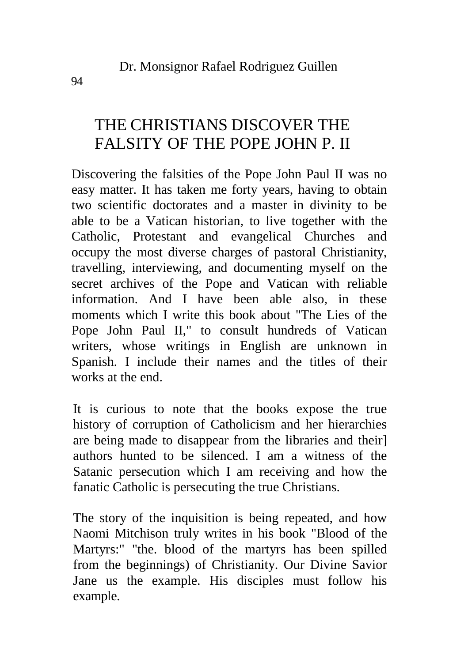# THE CHRISTIANS DISCOVER THE FALSITY OF THE POPE JOHN P. II

Discovering the falsities of the Pope John Paul II was no easy matter. It has taken me forty years, having to obtain two scientific doctorates and a master in divinity to be able to be a Vatican historian, to live together with the Catholic, Protestant and evangelical Churches and occupy the most diverse charges of pastoral Christianity, travelling, interviewing, and documenting myself on the secret archives of the Pope and Vatican with reliable information. And I have been able also, in these moments which I write this book about "The Lies of the Pope John Paul II," to consult hundreds of Vatican writers, whose writings in English are unknown in Spanish. I include their names and the titles of their works at the end.

It is curious to note that the books expose the true history of corruption of Catholicism and her hierarchies are being made to disappear from the libraries and their] authors hunted to be silenced. I am a witness of the Satanic persecution which I am receiving and how the fanatic Catholic is persecuting the true Christians.

The story of the inquisition is being repeated, and how Naomi Mitchison truly writes in his book "Blood of the Martyrs:" "the. blood of the martyrs has been spilled from the beginnings) of Christianity. Our Divine Savior Jane us the example. His disciples must follow his example.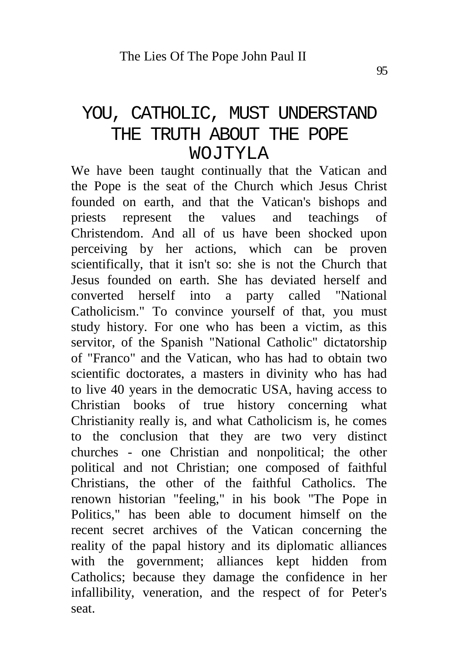# YOU, CATHOLIC, MUST UNDERSTAND THE TRUTH ABOUT THE POPE WOJTYLA

We have been taught continually that the Vatican and the Pope is the seat of the Church which Jesus Christ founded on earth, and that the Vatican's bishops and priests represent the values and teachings of Christendom. And all of us have been shocked upon perceiving by her actions, which can be proven scientifically, that it isn't so: she is not the Church that Jesus founded on earth. She has deviated herself and converted herself into a party called "National Catholicism." To convince yourself of that, you must study history. For one who has been a victim, as this servitor, of the Spanish "National Catholic" dictatorship of "Franco" and the Vatican, who has had to obtain two scientific doctorates, a masters in divinity who has had to live 40 years in the democratic USA, having access to Christian books of true history concerning what Christianity really is, and what Catholicism is, he comes to the conclusion that they are two very distinct churches - one Christian and nonpolitical; the other political and not Christian; one composed of faithful Christians, the other of the faithful Catholics. The renown historian "feeling," in his book "The Pope in Politics," has been able to document himself on the recent secret archives of the Vatican concerning the reality of the papal history and its diplomatic alliances with the government; alliances kept hidden from Catholics; because they damage the confidence in her infallibility, veneration, and the respect of for Peter's seat.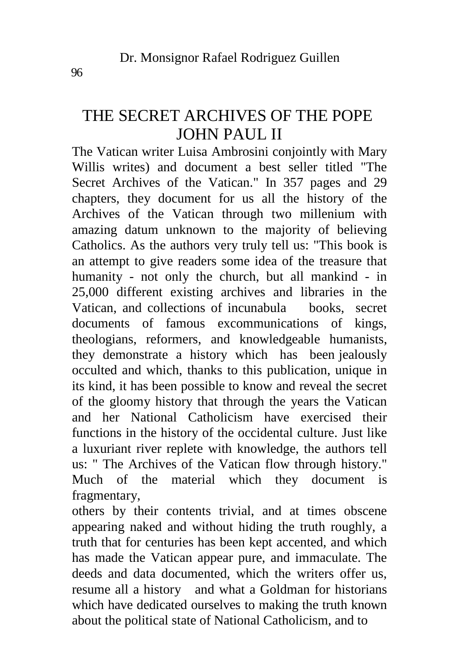# THE SECRET ARCHIVES OF THE POPE JOHN PAUL II

The Vatican writer Luisa Ambrosini conjointly with Mary Willis writes) and document a best seller titled "The Secret Archives of the Vatican." In 357 pages and 29 chapters, they document for us all the history of the Archives of the Vatican through two millenium with amazing datum unknown to the majority of believing Catholics. As the authors very truly tell us: "This book is an attempt to give readers some idea of the treasure that humanity - not only the church, but all mankind - in 25,000 different existing archives and libraries in the Vatican, and collections of incunabula books, secret documents of famous excommunications of kings, theologians, reformers, and knowledgeable humanists, they demonstrate a history which has been jealously occulted and which, thanks to this publication, unique in its kind, it has been possible to know and reveal the secret of the gloomy history that through the years the Vatican and her National Catholicism have exercised their functions in the history of the occidental culture. Just like a luxuriant river replete with knowledge, the authors tell us: " The Archives of the Vatican flow through history." Much of the material which they document is fragmentary,

others by their contents trivial, and at times obscene appearing naked and without hiding the truth roughly, a truth that for centuries has been kept accented, and which has made the Vatican appear pure, and immaculate. The deeds and data documented, which the writers offer us, resume all a history and what a Goldman for historians which have dedicated ourselves to making the truth known about the political state of National Catholicism, and to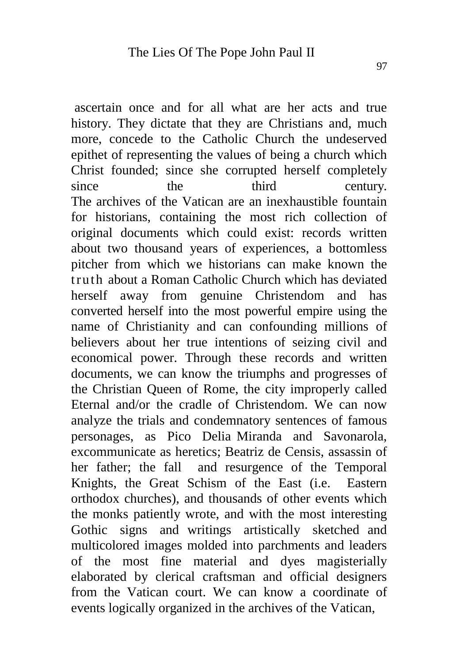ascertain once and for all what are her acts and true history. They dictate that they are Christians and, much more, concede to the Catholic Church the undeserved epithet of representing the values of being a church which Christ founded; since she corrupted herself completely since the third century. The archives of the Vatican are an inexhaustible fountain for historians, containing the most rich collection of original documents which could exist: records written about two thousand years of experiences, a bottomless pitcher from which we historians can make known the truth about a Roman Catholic Church which has deviated herself away from genuine Christendom and has converted herself into the most powerful empire using the name of Christianity and can confounding millions of believers about her true intentions of seizing civil and economical power. Through these records and written documents, we can know the triumphs and progresses of the Christian Queen of Rome, the city improperly called Eternal and/or the cradle of Christendom. We can now analyze the trials and condemnatory sentences of famous personages, as Pico Delia Miranda and Savonarola, excommunicate as heretics; Beatriz de Censis, assassin of her father; the fall and resurgence of the Temporal Knights, the Great Schism of the East (i.e. Eastern orthodox churches), and thousands of other events which the monks patiently wrote, and with the most interesting Gothic signs and writings artistically sketched and multicolored images molded into parchments and leaders of the most fine material and dyes magisterially elaborated by clerical craftsman and official designers from the Vatican court. We can know a coordinate of events logically organized in the archives of the Vatican,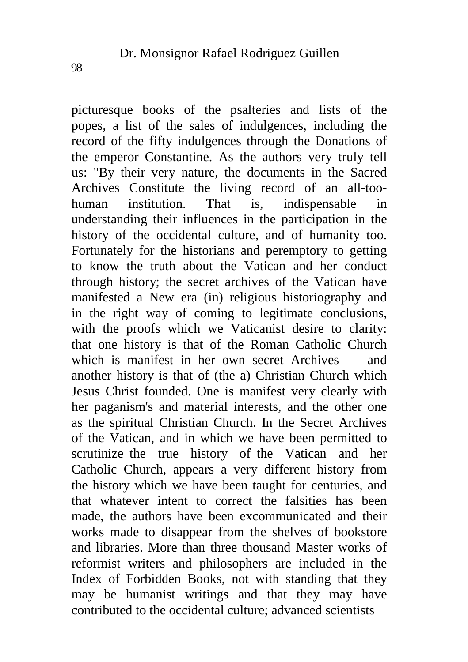picturesque books of the psalteries and lists of the popes, a list of the sales of indulgences, including the record of the fifty indulgences through the Donations of the emperor Constantine. As the authors very truly tell us: "By their very nature, the documents in the Sacred Archives Constitute the living record of an all-toohuman institution. That is, indispensable in understanding their influences in the participation in the history of the occidental culture, and of humanity too. Fortunately for the historians and peremptory to getting to know the truth about the Vatican and her conduct through history; the secret archives of the Vatican have manifested a New era (in) religious historiography and in the right way of coming to legitimate conclusions, with the proofs which we Vaticanist desire to clarity: that one history is that of the Roman Catholic Church which is manifest in her own secret Archives and another history is that of (the a) Christian Church which Jesus Christ founded. One is manifest very clearly with her paganism's and material interests, and the other one as the spiritual Christian Church. In the Secret Archives of the Vatican, and in which we have been permitted to scrutinize the true history of the Vatican and her Catholic Church, appears a very different history from the history which we have been taught for centuries, and that whatever intent to correct the falsities has been made, the authors have been excommunicated and their works made to disappear from the shelves of bookstore and libraries. More than three thousand Master works of reformist writers and philosophers are included in the Index of Forbidden Books, not with standing that they may be humanist writings and that they may have contributed to the occidental culture; advanced scientists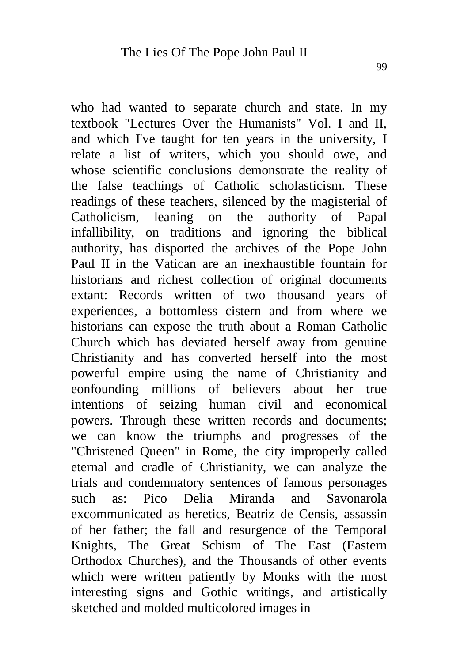who had wanted to separate church and state. In my textbook "Lectures Over the Humanists" Vol. I and II, and which I've taught for ten years in the university, I relate a list of writers, which you should owe, and whose scientific conclusions demonstrate the reality of the false teachings of Catholic scholasticism. These readings of these teachers, silenced by the magisterial of Catholicism, leaning on the authority of Papal infallibility, on traditions and ignoring the biblical authority, has disported the archives of the Pope John Paul II in the Vatican are an inexhaustible fountain for historians and richest collection of original documents extant: Records written of two thousand years of experiences, a bottomless cistern and from where we historians can expose the truth about a Roman Catholic Church which has deviated herself away from genuine Christianity and has converted herself into the most powerful empire using the name of Christianity and eonfounding millions of believers about her true intentions of seizing human civil and economical powers. Through these written records and documents; we can know the triumphs and progresses of the "Christened Queen" in Rome, the city improperly called eternal and cradle of Christianity, we can analyze the trials and condemnatory sentences of famous personages such as: Pico Delia Miranda and Savonarola excommunicated as heretics, Beatriz de Censis, assassin of her father; the fall and resurgence of the Temporal Knights, The Great Schism of The East (Eastern Orthodox Churches), and the Thousands of other events which were written patiently by Monks with the most interesting signs and Gothic writings, and artistically sketched and molded multicolored images in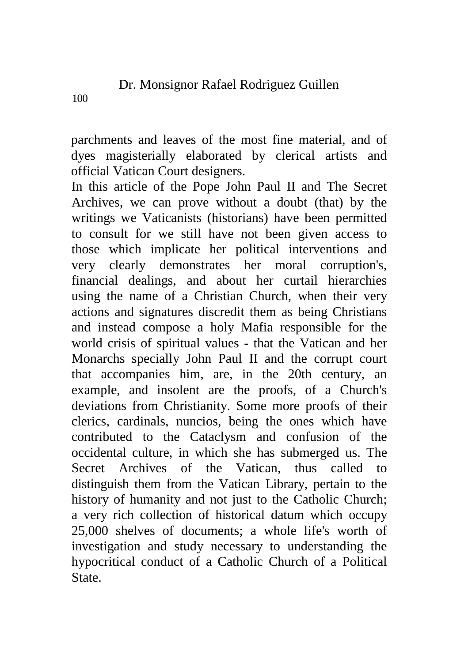100

parchments and leaves of the most fine material, and of dyes magisterially elaborated by clerical artists and official Vatican Court designers.

In this article of the Pope John Paul II and The Secret Archives, we can prove without a doubt (that) by the writings we Vaticanists (historians) have been permitted to consult for we still have not been given access to those which implicate her political interventions and very clearly demonstrates her moral corruption's, financial dealings, and about her curtail hierarchies using the name of a Christian Church, when their very actions and signatures discredit them as being Christians and instead compose a holy Mafia responsible for the world crisis of spiritual values - that the Vatican and her Monarchs specially John Paul II and the corrupt court that accompanies him, are, in the 20th century, an example, and insolent are the proofs, of a Church's deviations from Christianity. Some more proofs of their clerics, cardinals, nuncios, being the ones which have contributed to the Cataclysm and confusion of the occidental culture, in which she has submerged us. The Secret Archives of the Vatican, thus called to distinguish them from the Vatican Library, pertain to the history of humanity and not just to the Catholic Church; a very rich collection of historical datum which occupy 25,000 shelves of documents; a whole life's worth of investigation and study necessary to understanding the hypocritical conduct of a Catholic Church of a Political State.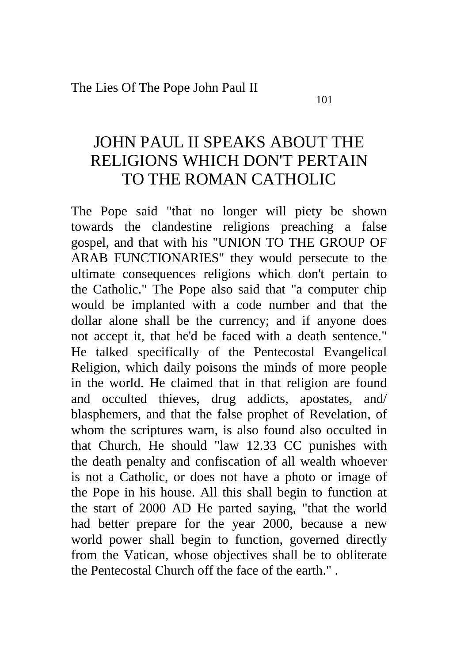# JOHN PAUL II SPEAKS ABOUT THE RELIGIONS WHICH DON'T PERTAIN TO THE ROMAN CATHOLIC

The Pope said "that no longer will piety be shown towards the clandestine religions preaching a false gospel, and that with his "UNION TO THE GROUP OF ARAB FUNCTIONARIES" they would persecute to the ultimate consequences religions which don't pertain to the Catholic." The Pope also said that "a computer chip would be implanted with a code number and that the dollar alone shall be the currency; and if anyone does not accept it, that he'd be faced with a death sentence." He talked specifically of the Pentecostal Evangelical Religion, which daily poisons the minds of more people in the world. He claimed that in that religion are found and occulted thieves, drug addicts, apostates, and/ blasphemers, and that the false prophet of Revelation, of whom the scriptures warn, is also found also occulted in that Church. He should "law 12.33 CC punishes with the death penalty and confiscation of all wealth whoever is not a Catholic, or does not have a photo or image of the Pope in his house. All this shall begin to function at the start of 2000 AD He parted saying, "that the world had better prepare for the year 2000, because a new world power shall begin to function, governed directly from the Vatican, whose objectives shall be to obliterate the Pentecostal Church off the face of the earth." .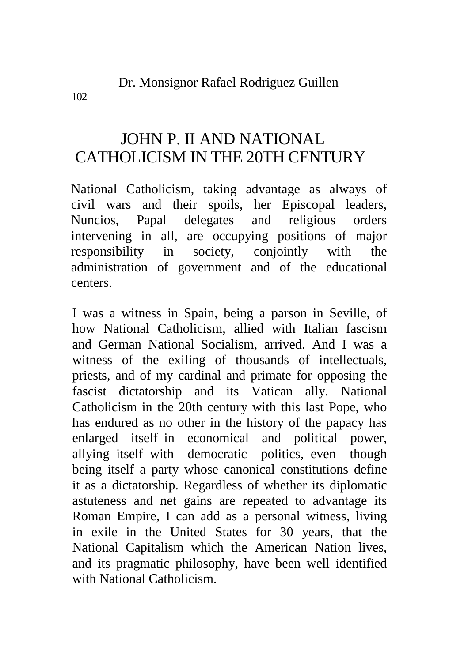102

# JOHN P. II AND NATIONAL CATHOLICISM IN THE 20TH CENTURY

National Catholicism, taking advantage as always of civil wars and their spoils, her Episcopal leaders, Nuncios, Papal delegates and religious orders intervening in all, are occupying positions of major responsibility in society, conjointly with the administration of government and of the educational centers.

I was a witness in Spain, being a parson in Seville, of how National Catholicism, allied with Italian fascism and German National Socialism, arrived. And I was a witness of the exiling of thousands of intellectuals, priests, and of my cardinal and primate for opposing the fascist dictatorship and its Vatican ally. National Catholicism in the 20th century with this last Pope, who has endured as no other in the history of the papacy has enlarged itself in economical and political power, allying itself with democratic politics, even though being itself a party whose canonical constitutions define it as a dictatorship. Regardless of whether its diplomatic astuteness and net gains are repeated to advantage its Roman Empire, I can add as a personal witness, living in exile in the United States for 30 years, that the National Capitalism which the American Nation lives, and its pragmatic philosophy, have been well identified with National Catholicism.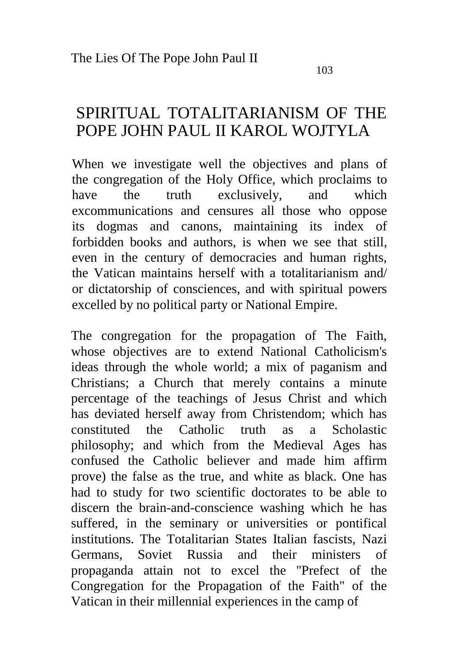#### 103

## SPIRITUAL TOTALITARIANISM OF THE POPE JOHN PAUL II KAROL WOJTYLA

When we investigate well the objectives and plans of the congregation of the Holy Office, which proclaims to have the truth exclusively, and which excommunications and censures all those who oppose its dogmas and canons, maintaining its index of forbidden books and authors, is when we see that still, even in the century of democracies and human rights, the Vatican maintains herself with a totalitarianism and/ or dictatorship of consciences, and with spiritual powers excelled by no political party or National Empire.

The congregation for the propagation of The Faith, whose objectives are to extend National Catholicism's ideas through the whole world; a mix of paganism and Christians; a Church that merely contains a minute percentage of the teachings of Jesus Christ and which has deviated herself away from Christendom; which has constituted the Catholic truth as a Scholastic philosophy; and which from the Medieval Ages has confused the Catholic believer and made him affirm prove) the false as the true, and white as black. One has had to study for two scientific doctorates to be able to discern the brain-and-conscience washing which he has suffered, in the seminary or universities or pontifical institutions. The Totalitarian States Italian fascists, Nazi Germans, Soviet Russia and their ministers of propaganda attain not to excel the "Prefect of the Congregation for the Propagation of the Faith" of the Vatican in their millennial experiences in the camp of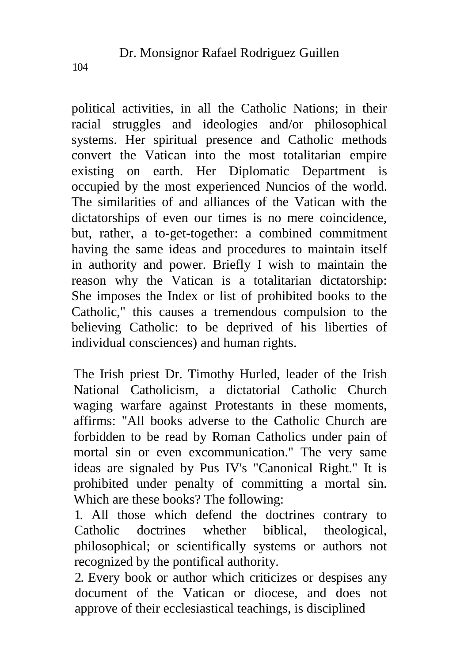political activities, in all the Catholic Nations; in their racial struggles and ideologies and/or philosophical systems. Her spiritual presence and Catholic methods convert the Vatican into the most totalitarian empire existing on earth. Her Diplomatic Department is occupied by the most experienced Nuncios of the world. The similarities of and alliances of the Vatican with the dictatorships of even our times is no mere coincidence, but, rather, a to-get-together: a combined commitment having the same ideas and procedures to maintain itself in authority and power. Briefly I wish to maintain the reason why the Vatican is a totalitarian dictatorship: She imposes the Index or list of prohibited books to the Catholic," this causes a tremendous compulsion to the believing Catholic: to be deprived of his liberties of individual consciences) and human rights.

The Irish priest Dr. Timothy Hurled, leader of the Irish National Catholicism, a dictatorial Catholic Church waging warfare against Protestants in these moments, affirms: "All books adverse to the Catholic Church are forbidden to be read by Roman Catholics under pain of mortal sin or even excommunication." The very same ideas are signaled by Pus IV's "Canonical Right." It is prohibited under penalty of committing a mortal sin. Which are these books? The following:

1. All those which defend the doctrines contrary to Catholic doctrines whether biblical, theological, philosophical; or scientifically systems or authors not recognized by the pontifical authority.

2. Every book or author which criticizes or despises any document of the Vatican or diocese, and does not approve of their ecclesiastical teachings, is disciplined

104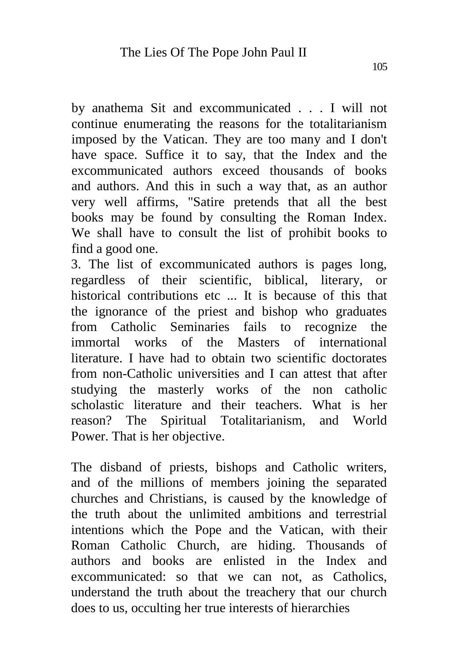by anathema Sit and excommunicated . . . I will not continue enumerating the reasons for the totalitarianism imposed by the Vatican. They are too many and I don't have space. Suffice it to say, that the Index and the excommunicated authors exceed thousands of books and authors. And this in such a way that, as an author very well affirms, "Satire pretends that all the best books may be found by consulting the Roman Index. We shall have to consult the list of prohibit books to find a good one.

3. The list of excommunicated authors is pages long, regardless of their scientific, biblical, literary, or historical contributions etc ... It is because of this that the ignorance of the priest and bishop who graduates from Catholic Seminaries fails to recognize the immortal works of the Masters of international literature. I have had to obtain two scientific doctorates from non-Catholic universities and I can attest that after studying the masterly works of the non catholic scholastic literature and their teachers. What is her reason? The Spiritual Totalitarianism, and World Power. That is her objective.

The disband of priests, bishops and Catholic writers, and of the millions of members joining the separated churches and Christians, is caused by the knowledge of the truth about the unlimited ambitions and terrestrial intentions which the Pope and the Vatican, with their Roman Catholic Church, are hiding. Thousands of authors and books are enlisted in the Index and excommunicated: so that we can not, as Catholics, understand the truth about the treachery that our church does to us, occulting her true interests of hierarchies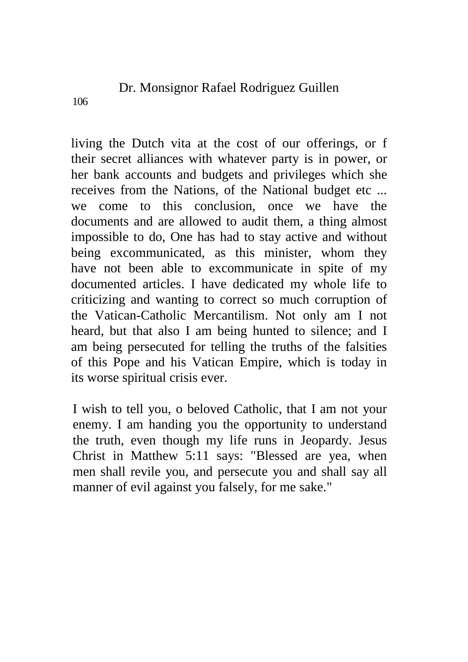Dr. Monsignor Rafael Rodriguez Guillen

living the Dutch vita at the cost of our offerings, or f their secret alliances with whatever party is in power, or her bank accounts and budgets and privileges which she receives from the Nations, of the National budget etc ... we come to this conclusion, once we have the documents and are allowed to audit them, a thing almost impossible to do, One has had to stay active and without being excommunicated, as this minister, whom they have not been able to excommunicate in spite of my documented articles. I have dedicated my whole life to criticizing and wanting to correct so much corruption of the Vatican-Catholic Mercantilism. Not only am I not heard, but that also I am being hunted to silence; and I am being persecuted for telling the truths of the falsities of this Pope and his Vatican Empire, which is today in its worse spiritual crisis ever.

I wish to tell you, o beloved Catholic, that I am not your enemy. I am handing you the opportunity to understand the truth, even though my life runs in Jeopardy. Jesus Christ in Matthew 5:11 says: "Blessed are yea, when men shall revile you, and persecute you and shall say all manner of evil against you falsely, for me sake."

106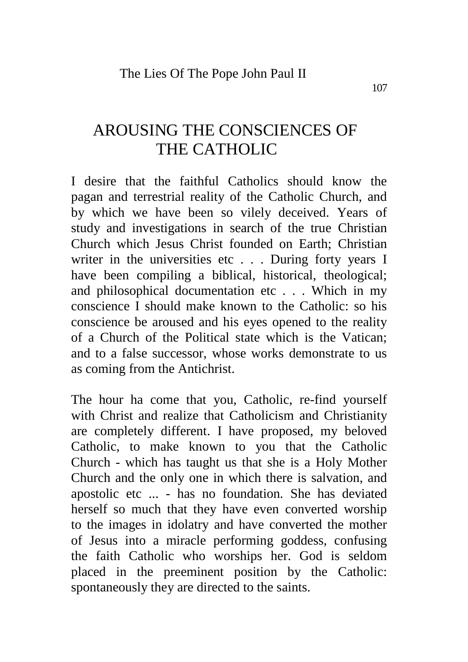# AROUSING THE CONSCIENCES OF THE CATHOLIC

I desire that the faithful Catholics should know the pagan and terrestrial reality of the Catholic Church, and by which we have been so vilely deceived. Years of study and investigations in search of the true Christian Church which Jesus Christ founded on Earth; Christian writer in the universities etc... During forty years I have been compiling a biblical, historical, theological; and philosophical documentation etc . . . Which in my conscience I should make known to the Catholic: so his conscience be aroused and his eyes opened to the reality of a Church of the Political state which is the Vatican; and to a false successor, whose works demonstrate to us as coming from the Antichrist.

The hour ha come that you, Catholic, re-find yourself with Christ and realize that Catholicism and Christianity are completely different. I have proposed, my beloved Catholic, to make known to you that the Catholic Church - which has taught us that she is a Holy Mother Church and the only one in which there is salvation, and apostolic etc ... - has no foundation. She has deviated herself so much that they have even converted worship to the images in idolatry and have converted the mother of Jesus into a miracle performing goddess, confusing the faith Catholic who worships her. God is seldom placed in the preeminent position by the Catholic: spontaneously they are directed to the saints.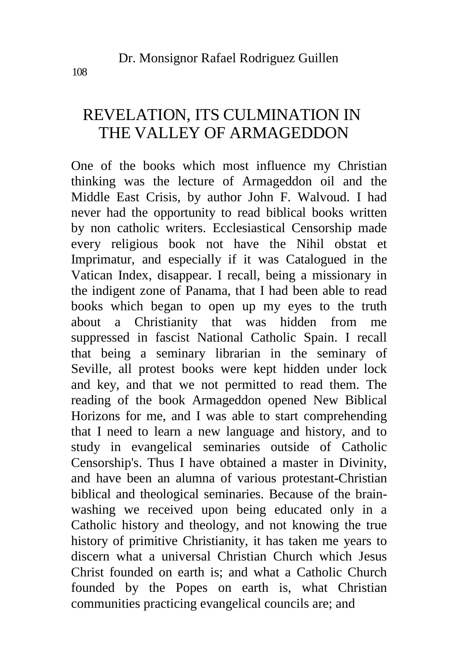# REVELATION, ITS CULMINATION IN THE VALLEY OF ARMAGEDDON

One of the books which most influence my Christian thinking was the lecture of Armageddon oil and the Middle East Crisis, by author John F. Walvoud. I had never had the opportunity to read biblical books written by non catholic writers. Ecclesiastical Censorship made every religious book not have the Nihil obstat et Imprimatur, and especially if it was Catalogued in the Vatican Index, disappear. I recall, being a missionary in the indigent zone of Panama, that I had been able to read books which began to open up my eyes to the truth about a Christianity that was hidden from me suppressed in fascist National Catholic Spain. I recall that being a seminary librarian in the seminary of Seville, all protest books were kept hidden under lock and key, and that we not permitted to read them. The reading of the book Armageddon opened New Biblical Horizons for me, and I was able to start comprehending that I need to learn a new language and history, and to study in evangelical seminaries outside of Catholic Censorship's. Thus I have obtained a master in Divinity, and have been an alumna of various protestant-Christian biblical and theological seminaries. Because of the brainwashing we received upon being educated only in a Catholic history and theology, and not knowing the true history of primitive Christianity, it has taken me years to discern what a universal Christian Church which Jesus Christ founded on earth is; and what a Catholic Church founded by the Popes on earth is, what Christian communities practicing evangelical councils are; and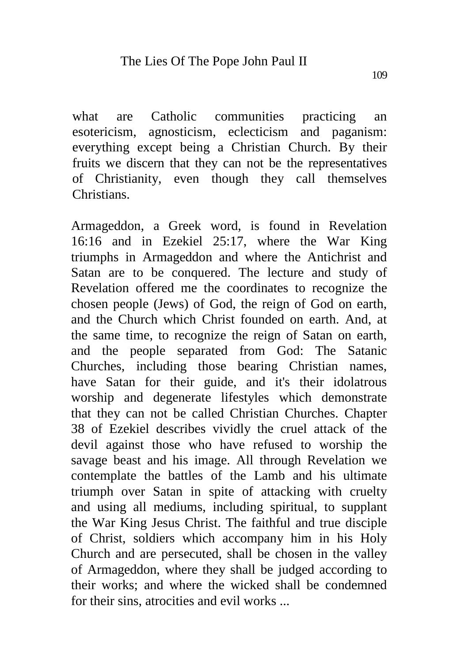what are Catholic communities practicing an esotericism, agnosticism, eclecticism and paganism: everything except being a Christian Church. By their fruits we discern that they can not be the representatives of Christianity, even though they call themselves Christians.

Armageddon, a Greek word, is found in Revelation 16:16 and in Ezekiel 25:17, where the War King triumphs in Armageddon and where the Antichrist and Satan are to be conquered. The lecture and study of Revelation offered me the coordinates to recognize the chosen people (Jews) of God, the reign of God on earth, and the Church which Christ founded on earth. And, at the same time, to recognize the reign of Satan on earth, and the people separated from God: The Satanic Churches, including those bearing Christian names, have Satan for their guide, and it's their idolatrous worship and degenerate lifestyles which demonstrate that they can not be called Christian Churches. Chapter 38 of Ezekiel describes vividly the cruel attack of the devil against those who have refused to worship the savage beast and his image. All through Revelation we contemplate the battles of the Lamb and his ultimate triumph over Satan in spite of attacking with cruelty and using all mediums, including spiritual, to supplant the War King Jesus Christ. The faithful and true disciple of Christ, soldiers which accompany him in his Holy Church and are persecuted, shall be chosen in the valley of Armageddon, where they shall be judged according to their works; and where the wicked shall be condemned for their sins, atrocities and evil works ...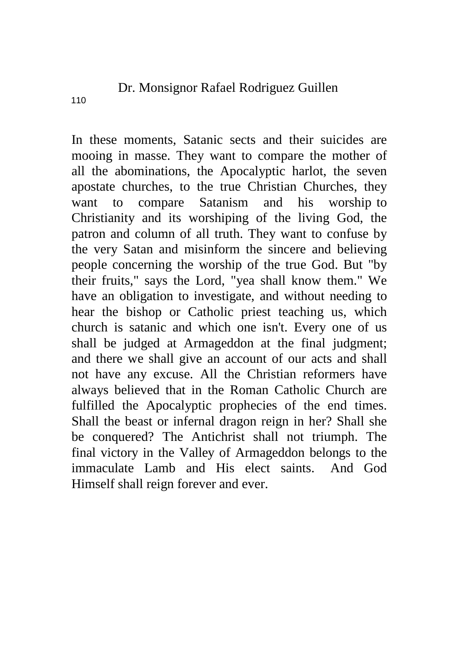In these moments, Satanic sects and their suicides are mooing in masse. They want to compare the mother of all the abominations, the Apocalyptic harlot, the seven apostate churches, to the true Christian Churches, they want to compare Satanism and his worship to Christianity and its worshiping of the living God, the patron and column of all truth. They want to confuse by the very Satan and misinform the sincere and believing people concerning the worship of the true God. But "by their fruits," says the Lord, "yea shall know them." We have an obligation to investigate, and without needing to hear the bishop or Catholic priest teaching us, which church is satanic and which one isn't. Every one of us shall be judged at Armageddon at the final judgment; and there we shall give an account of our acts and shall not have any excuse. All the Christian reformers have always believed that in the Roman Catholic Church are fulfilled the Apocalyptic prophecies of the end times. Shall the beast or infernal dragon reign in her? Shall she be conquered? The Antichrist shall not triumph. The final victory in the Valley of Armageddon belongs to the immaculate Lamb and His elect saints. And God Himself shall reign forever and ever.

110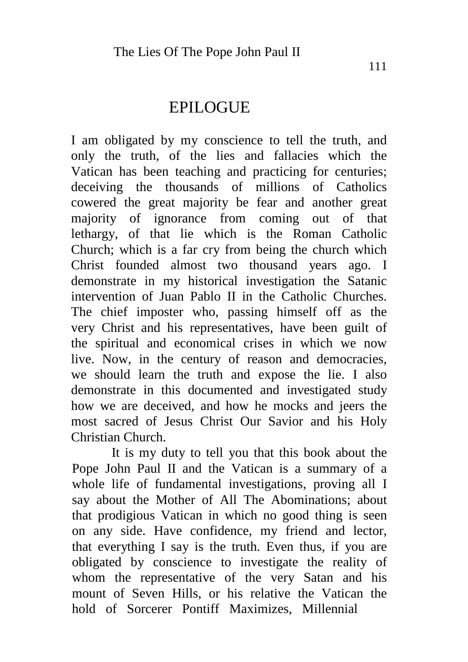## EPILOGUE

I am obligated by my conscience to tell the truth, and only the truth, of the lies and fallacies which the Vatican has been teaching and practicing for centuries; deceiving the thousands of millions of Catholics cowered the great majority be fear and another great majority of ignorance from coming out of that lethargy, of that lie which is the Roman Catholic Church; which is a far cry from being the church which Christ founded almost two thousand years ago. I demonstrate in my historical investigation the Satanic intervention of Juan Pablo II in the Catholic Churches. The chief imposter who, passing himself off as the very Christ and his representatives, have been guilt of the spiritual and economical crises in which we now live. Now, in the century of reason and democracies, we should learn the truth and expose the lie. I also demonstrate in this documented and investigated study how we are deceived, and how he mocks and jeers the most sacred of Jesus Christ Our Savior and his Holy Christian Church.

It is my duty to tell you that this book about the Pope John Paul II and the Vatican is a summary of a whole life of fundamental investigations, proving all I say about the Mother of All The Abominations; about that prodigious Vatican in which no good thing is seen on any side. Have confidence, my friend and lector, that everything I say is the truth. Even thus, if you are obligated by conscience to investigate the reality of whom the representative of the very Satan and his mount of Seven Hills, or his relative the Vatican the hold of Sorcerer Pontiff Maximizes, Millennial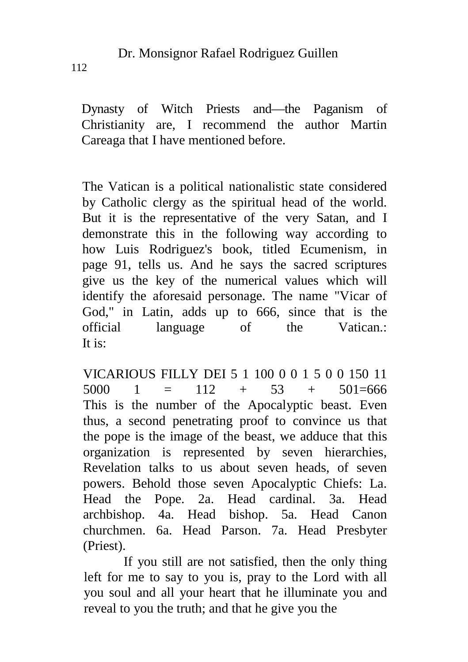Dynasty of Witch Priests and—the Paganism of Christianity are, I recommend the author Martin Careaga that I have mentioned before.

The Vatican is a political nationalistic state considered by Catholic clergy as the spiritual head of the world. But it is the representative of the very Satan, and I demonstrate this in the following way according to how Luis Rodriguez's book, titled Ecumenism, in page 91, tells us. And he says the sacred scriptures give us the key of the numerical values which will identify the aforesaid personage. The name "Vicar of God," in Latin, adds up to 666, since that is the official language of the Vatican.: It is:

VICARIOUS FILLY DEI 5 1 100 0 0 1 5 0 0 150 11 5000 1 =  $112 + 53 + 501=666$ This is the number of the Apocalyptic beast. Even thus, a second penetrating proof to convince us that the pope is the image of the beast, we adduce that this organization is represented by seven hierarchies, Revelation talks to us about seven heads, of seven powers. Behold those seven Apocalyptic Chiefs: La. Head the Pope. 2a. Head cardinal. 3a. Head archbishop. 4a. Head bishop. 5a. Head Canon churchmen. 6a. Head Parson. 7a. Head Presbyter (Priest).

If you still are not satisfied, then the only thing left for me to say to you is, pray to the Lord with all you soul and all your heart that he illuminate you and reveal to you the truth; and that he give you the

112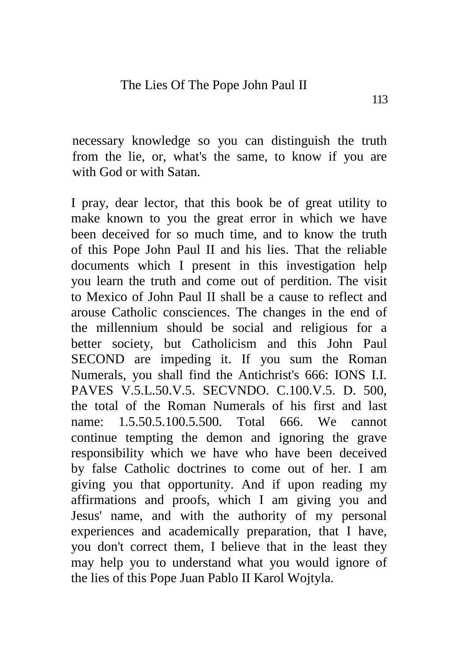necessary knowledge so you can distinguish the truth from the lie, or, what's the same, to know if you are with God or with Satan.

I pray, dear lector, that this book be of great utility to make known to you the great error in which we have been deceived for so much time, and to know the truth of this Pope John Paul II and his lies. That the reliable documents which I present in this investigation help you learn the truth and come out of perdition. The visit to Mexico of John Paul II shall be a cause to reflect and arouse Catholic consciences. The changes in the end of the millennium should be social and religious for a better society, but Catholicism and this John Paul SECOND are impeding it. If you sum the Roman Numerals, you shall find the Antichrist's 666: IONS I.I. PAVES V.5.L.50.V.5. SECVNDO. C.100.V.5. D. 500, the total of the Roman Numerals of his first and last name: 1.5.50.5.100.5.500. Total 666. We cannot continue tempting the demon and ignoring the grave responsibility which we have who have been deceived by false Catholic doctrines to come out of her. I am giving you that opportunity. And if upon reading my affirmations and proofs, which I am giving you and Jesus' name, and with the authority of my personal experiences and academically preparation, that I have, you don't correct them, I believe that in the least they may help you to understand what you would ignore of the lies of this Pope Juan Pablo II Karol Wojtyla.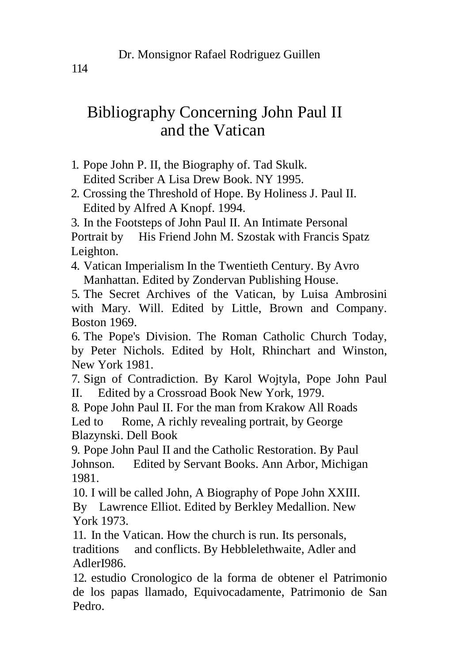## Bibliography Concerning John Paul II and the Vatican

- 1. Pope John P. II, the Biography of. Tad Skulk. Edited Scriber A Lisa Drew Book. NY 1995.
- 2. Crossing the Threshold of Hope. By Holiness J. Paul II. Edited by Alfred A Knopf. 1994.

3. In the Footsteps of John Paul II. An Intimate Personal Portrait by His Friend John M. Szostak with Francis Spatz Leighton.

4. Vatican Imperialism In the Twentieth Century. By Avro Manhattan. Edited by Zondervan Publishing House.

5. The Secret Archives of the Vatican, by Luisa Ambrosini with Mary. Will. Edited by Little, Brown and Company. Boston 1969.

6. The Pope's Division. The Roman Catholic Church Today, by Peter Nichols. Edited by Holt, Rhinchart and Winston, New York 1981.

7. Sign of Contradiction. By Karol Wojtyla, Pope John Paul II. Edited by a Crossroad Book New York, 1979.

8. Pope John Paul II. For the man from Krakow All Roads Led to Rome, A richly revealing portrait, by George Blazynski. Dell Book

9. Pope John Paul II and the Catholic Restoration. By Paul Johnson. Edited by Servant Books. Ann Arbor, Michigan 1981.

10. I will be called John, A Biography of Pope John XXIII. By Lawrence Elliot. Edited by Berkley Medallion. New York 1973.

11. In the Vatican. How the church is run. Its personals, traditions and conflicts. By Hebblelethwaite, Adler and AdlerI986.

12. estudio Cronologico de la forma de obtener el Patrimonio de los papas llamado, Equivocadamente, Patrimonio de San Pedro.